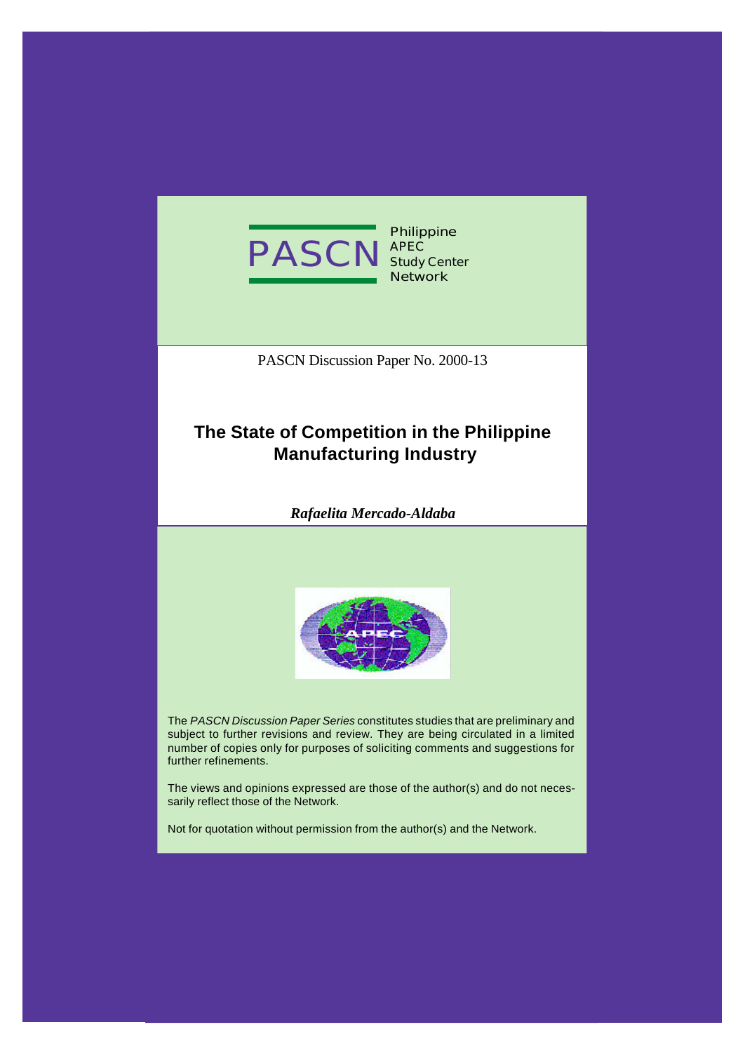

PASCN Discussion Paper No. 2000-13

# **The State of Competition in the Philippine Manufacturing Industry**

*Rafaelita Mercado-Aldaba*



The *PASCN Discussion Paper Series* constitutes studies that are preliminary and subject to further revisions and review. They are being circulated in a limited number of copies only for purposes of soliciting comments and suggestions for further refinements.

The views and opinions expressed are those of the author(s) and do not necessarily reflect those of the Network.

Not for quotation without permission from the author(s) and the Network.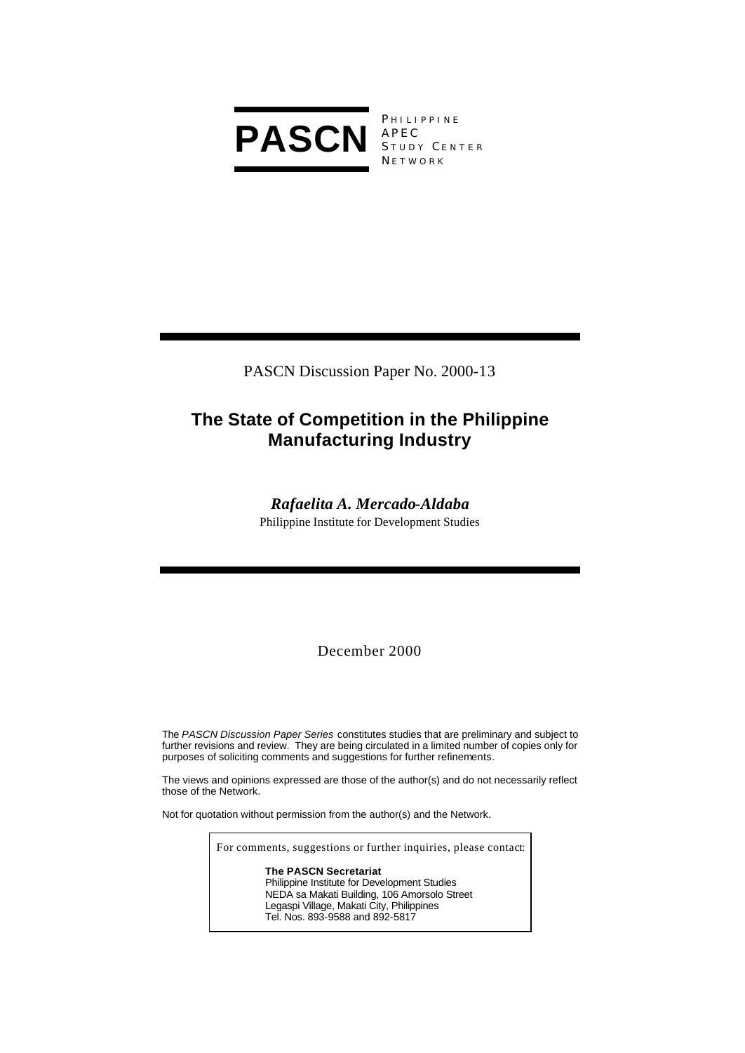

PHILIPPINE APEC STUDY CENTER **NETWORK** 

PASCN Discussion Paper No. 2000-13

# **The State of Competition in the Philippine Manufacturing Industry**

## *Rafaelita A. Mercado-Aldaba*

Philippine Institute for Development Studies

December 2000

The *PASCN Discussion Paper Series* constitutes studies that are preliminary and subject to further revisions and review. They are being circulated in a limited number of copies only for purposes of soliciting comments and suggestions for further refinements.

The views and opinions expressed are those of the author(s) and do not necessarily reflect those of the Network.

Not for quotation without permission from the author(s) and the Network.

For comments, suggestions or further inquiries, please contact:

**The PASCN Secretariat** Philippine Institute for Development Studies NEDA sa Makati Building, 106 Amorsolo Street Legaspi Village, Makati City, Philippines Tel. Nos. 893-9588 and 892-5817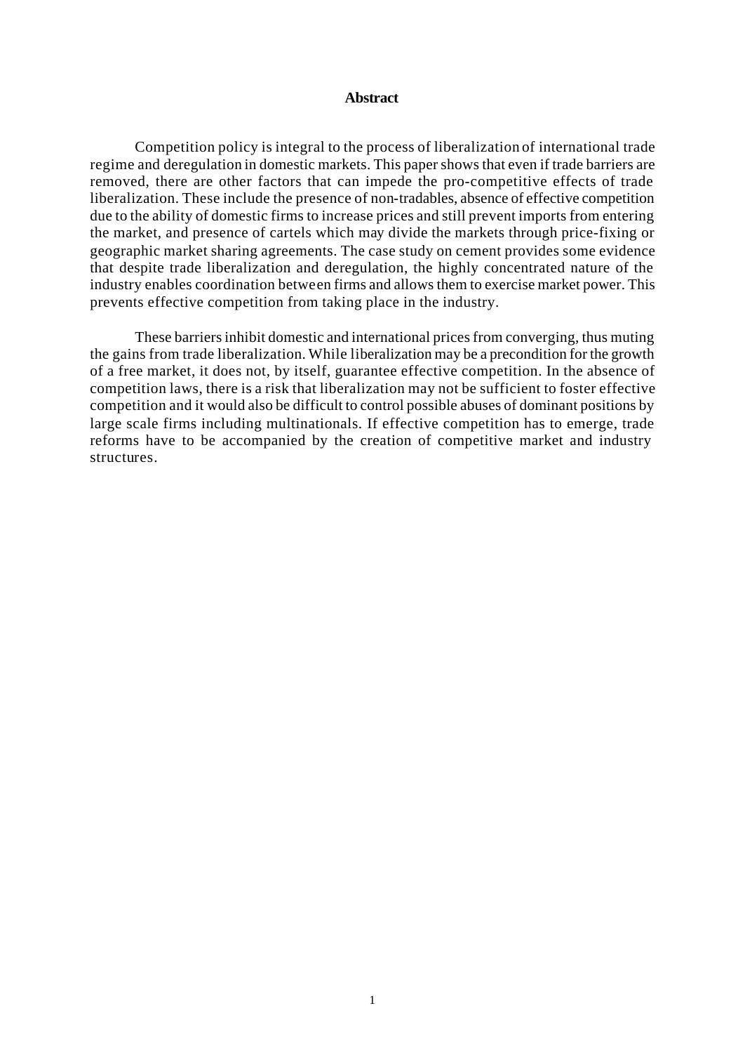#### **Abstract**

Competition policy is integral to the process of liberalization of international trade regime and deregulation in domestic markets. This paper shows that even if trade barriers are removed, there are other factors that can impede the pro-competitive effects of trade liberalization. These include the presence of non-tradables, absence of effective competition due to the ability of domestic firms to increase prices and still prevent imports from entering the market, and presence of cartels which may divide the markets through price-fixing or geographic market sharing agreements. The case study on cement provides some evidence that despite trade liberalization and deregulation, the highly concentrated nature of the industry enables coordination between firms and allows them to exercise market power. This prevents effective competition from taking place in the industry.

These barriers inhibit domestic and international prices from converging, thus muting the gains from trade liberalization. While liberalization may be a precondition for the growth of a free market, it does not, by itself, guarantee effective competition. In the absence of competition laws, there is a risk that liberalization may not be sufficient to foster effective competition and it would also be difficult to control possible abuses of dominant positions by large scale firms including multinationals. If effective competition has to emerge, trade reforms have to be accompanied by the creation of competitive market and industry structures.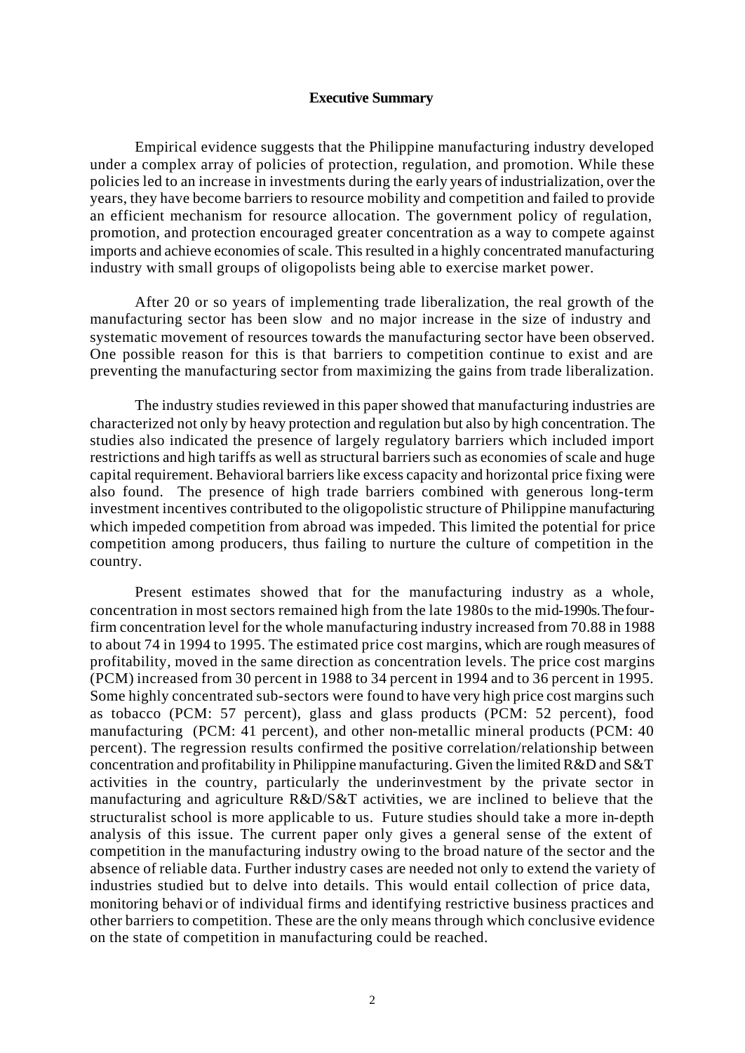#### **Executive Summary**

Empirical evidence suggests that the Philippine manufacturing industry developed under a complex array of policies of protection, regulation, and promotion. While these policies led to an increase in investments during the early years of industrialization, over the years, they have become barriers to resource mobility and competition and failed to provide an efficient mechanism for resource allocation. The government policy of regulation, promotion, and protection encouraged greater concentration as a way to compete against imports and achieve economies of scale. This resulted in a highly concentrated manufacturing industry with small groups of oligopolists being able to exercise market power.

After 20 or so years of implementing trade liberalization, the real growth of the manufacturing sector has been slow and no major increase in the size of industry and systematic movement of resources towards the manufacturing sector have been observed. One possible reason for this is that barriers to competition continue to exist and are preventing the manufacturing sector from maximizing the gains from trade liberalization.

The industry studies reviewed in this paper showed that manufacturing industries are characterized not only by heavy protection and regulation but also by high concentration. The studies also indicated the presence of largely regulatory barriers which included import restrictions and high tariffs as well as structural barriers such as economies of scale and huge capital requirement. Behavioral barriers like excess capacity and horizontal price fixing were also found. The presence of high trade barriers combined with generous long-term investment incentives contributed to the oligopolistic structure of Philippine manufacturing which impeded competition from abroad was impeded. This limited the potential for price competition among producers, thus failing to nurture the culture of competition in the country.

Present estimates showed that for the manufacturing industry as a whole, concentration in most sectors remained high from the late 1980s to the mid-1990s. The fourfirm concentration level for the whole manufacturing industry increased from 70.88 in 1988 to about 74 in 1994 to 1995. The estimated price cost margins, which are rough measures of profitability, moved in the same direction as concentration levels. The price cost margins (PCM) increased from 30 percent in 1988 to 34 percent in 1994 and to 36 percent in 1995. Some highly concentrated sub-sectors were found to have very high price cost margins such as tobacco (PCM: 57 percent), glass and glass products (PCM: 52 percent), food manufacturing (PCM: 41 percent), and other non-metallic mineral products (PCM: 40 percent). The regression results confirmed the positive correlation/relationship between concentration and profitability in Philippine manufacturing. Given the limited R&D and S&T activities in the country, particularly the underinvestment by the private sector in manufacturing and agriculture R&D/S&T activities, we are inclined to believe that the structuralist school is more applicable to us. Future studies should take a more in-depth analysis of this issue. The current paper only gives a general sense of the extent of competition in the manufacturing industry owing to the broad nature of the sector and the absence of reliable data. Further industry cases are needed not only to extend the variety of industries studied but to delve into details. This would entail collection of price data, monitoring behavi or of individual firms and identifying restrictive business practices and other barriers to competition. These are the only means through which conclusive evidence on the state of competition in manufacturing could be reached.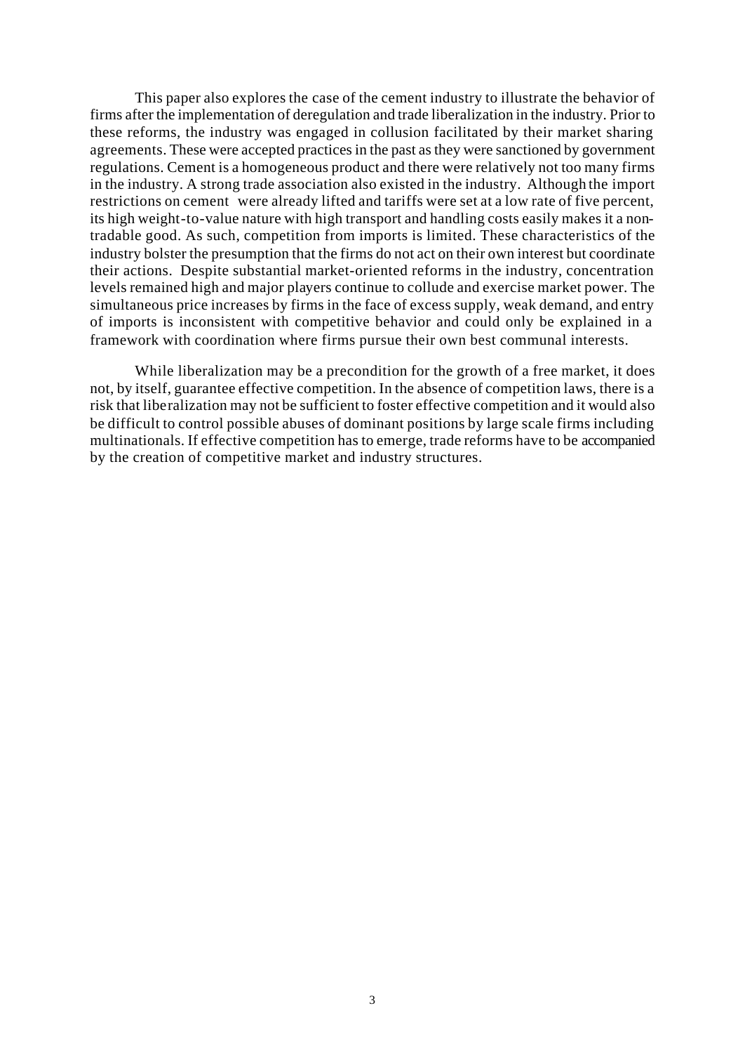This paper also explores the case of the cement industry to illustrate the behavior of firms after the implementation of deregulation and trade liberalization in the industry. Prior to these reforms, the industry was engaged in collusion facilitated by their market sharing agreements. These were accepted practices in the past as they were sanctioned by government regulations. Cement is a homogeneous product and there were relatively not too many firms in the industry. A strong trade association also existed in the industry. Although the import restrictions on cement were already lifted and tariffs were set at a low rate of five percent, its high weight-to-value nature with high transport and handling costs easily makes it a nontradable good. As such, competition from imports is limited. These characteristics of the industry bolster the presumption that the firms do not act on their own interest but coordinate their actions. Despite substantial market-oriented reforms in the industry, concentration levels remained high and major players continue to collude and exercise market power. The simultaneous price increases by firms in the face of excess supply, weak demand, and entry of imports is inconsistent with competitive behavior and could only be explained in a framework with coordination where firms pursue their own best communal interests.

While liberalization may be a precondition for the growth of a free market, it does not, by itself, guarantee effective competition. In the absence of competition laws, there is a risk that liberalization may not be sufficient to foster effective competition and it would also be difficult to control possible abuses of dominant positions by large scale firms including multinationals. If effective competition has to emerge, trade reforms have to be accompanied by the creation of competitive market and industry structures.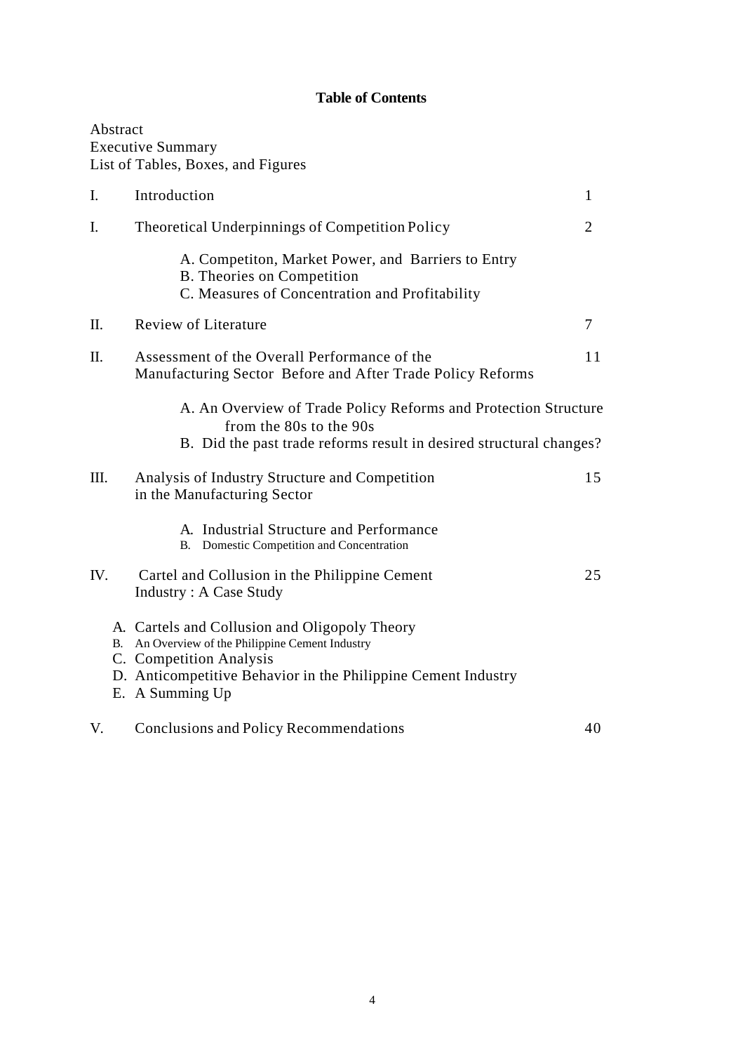## **Table of Contents**

|                | Abstract | <b>Executive Summary</b><br>List of Tables, Boxes, and Figures                                                                                                                                                   |                |
|----------------|----------|------------------------------------------------------------------------------------------------------------------------------------------------------------------------------------------------------------------|----------------|
| $\mathbf{I}$ . |          | Introduction                                                                                                                                                                                                     | $\mathbf{1}$   |
| I.             |          | Theoretical Underpinnings of Competition Policy                                                                                                                                                                  | $\overline{2}$ |
|                |          | A. Competiton, Market Power, and Barriers to Entry<br><b>B.</b> Theories on Competition<br>C. Measures of Concentration and Profitability                                                                        |                |
| П.             |          | <b>Review of Literature</b>                                                                                                                                                                                      | $\overline{7}$ |
| Π.             |          | Assessment of the Overall Performance of the<br>Manufacturing Sector Before and After Trade Policy Reforms                                                                                                       | 11             |
|                |          | A. An Overview of Trade Policy Reforms and Protection Structure<br>from the 80s to the 90s<br>B. Did the past trade reforms result in desired structural changes?                                                |                |
| III.           |          | Analysis of Industry Structure and Competition<br>in the Manufacturing Sector                                                                                                                                    | 15             |
|                |          | A. Industrial Structure and Performance<br>Domestic Competition and Concentration<br><b>B.</b>                                                                                                                   |                |
| IV.            |          | Cartel and Collusion in the Philippine Cement<br><b>Industry: A Case Study</b>                                                                                                                                   | 25             |
|                |          | A. Cartels and Collusion and Oligopoly Theory<br>B. An Overview of the Philippine Cement Industry<br>C. Competition Analysis<br>D. Anticompetitive Behavior in the Philippine Cement Industry<br>E. A Summing Up |                |
| V.             |          | <b>Conclusions and Policy Recommendations</b>                                                                                                                                                                    | 40             |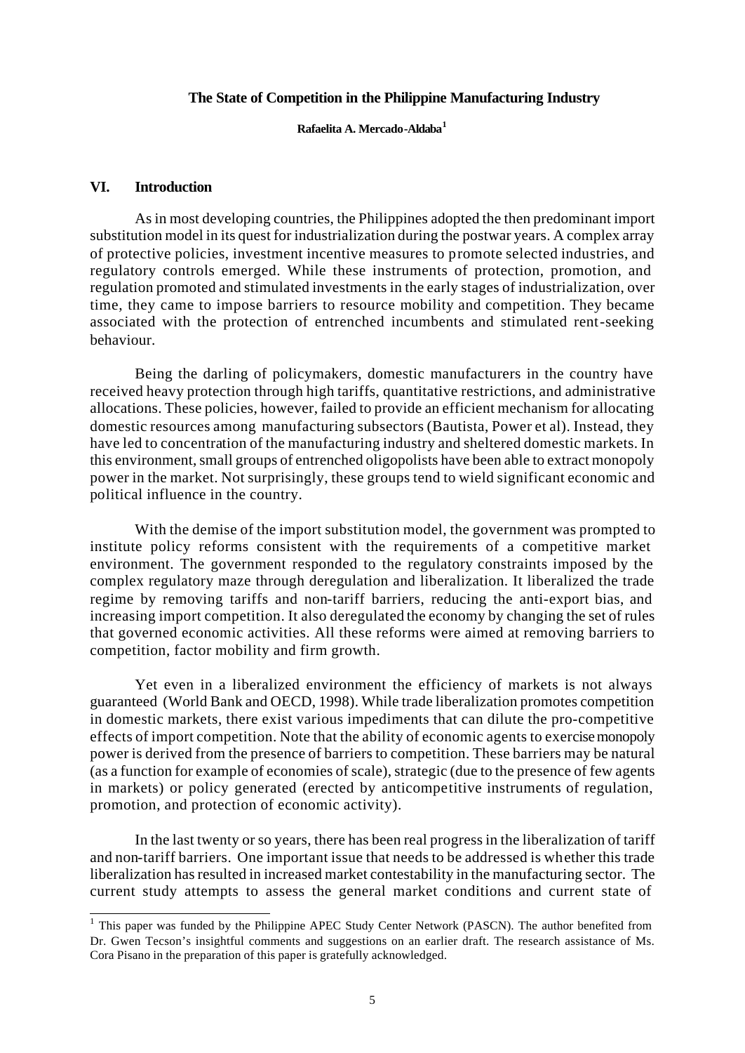#### **The State of Competition in the Philippine Manufacturing Industry**

#### **Rafaelita A. Mercado-Aldaba<sup>1</sup>**

#### **VI. Introduction**

As in most developing countries, the Philippines adopted the then predominant import substitution model in its quest for industrialization during the postwar years. A complex array of protective policies, investment incentive measures to promote selected industries, and regulatory controls emerged. While these instruments of protection, promotion, and regulation promoted and stimulated investments in the early stages of industrialization, over time, they came to impose barriers to resource mobility and competition. They became associated with the protection of entrenched incumbents and stimulated rent-seeking behaviour.

Being the darling of policymakers, domestic manufacturers in the country have received heavy protection through high tariffs, quantitative restrictions, and administrative allocations. These policies, however, failed to provide an efficient mechanism for allocating domestic resources among manufacturing subsectors (Bautista, Power et al). Instead, they have led to concentration of the manufacturing industry and sheltered domestic markets. In this environment, small groups of entrenched oligopolists have been able to extract monopoly power in the market. Not surprisingly, these groups tend to wield significant economic and political influence in the country.

With the demise of the import substitution model, the government was prompted to institute policy reforms consistent with the requirements of a competitive market environment. The government responded to the regulatory constraints imposed by the complex regulatory maze through deregulation and liberalization. It liberalized the trade regime by removing tariffs and non-tariff barriers, reducing the anti-export bias, and increasing import competition. It also deregulated the economy by changing the set of rules that governed economic activities. All these reforms were aimed at removing barriers to competition, factor mobility and firm growth.

Yet even in a liberalized environment the efficiency of markets is not always guaranteed (World Bank and OECD, 1998). While trade liberalization promotes competition in domestic markets, there exist various impediments that can dilute the pro-competitive effects of import competition. Note that the ability of economic agents to exercise monopoly power is derived from the presence of barriers to competition. These barriers may be natural (as a function for example of economies of scale), strategic (due to the presence of few agents in markets) or policy generated (erected by anticompetitive instruments of regulation, promotion, and protection of economic activity).

In the last twenty or so years, there has been real progress in the liberalization of tariff and non-tariff barriers. One important issue that needs to be addressed is whether this trade liberalization has resulted in increased market contestability in the manufacturing sector. The current study attempts to assess the general market conditions and current state of

<sup>&</sup>lt;sup>1</sup> This paper was funded by the Philippine APEC Study Center Network (PASCN). The author benefited from Dr. Gwen Tecson's insightful comments and suggestions on an earlier draft. The research assistance of Ms. Cora Pisano in the preparation of this paper is gratefully acknowledged.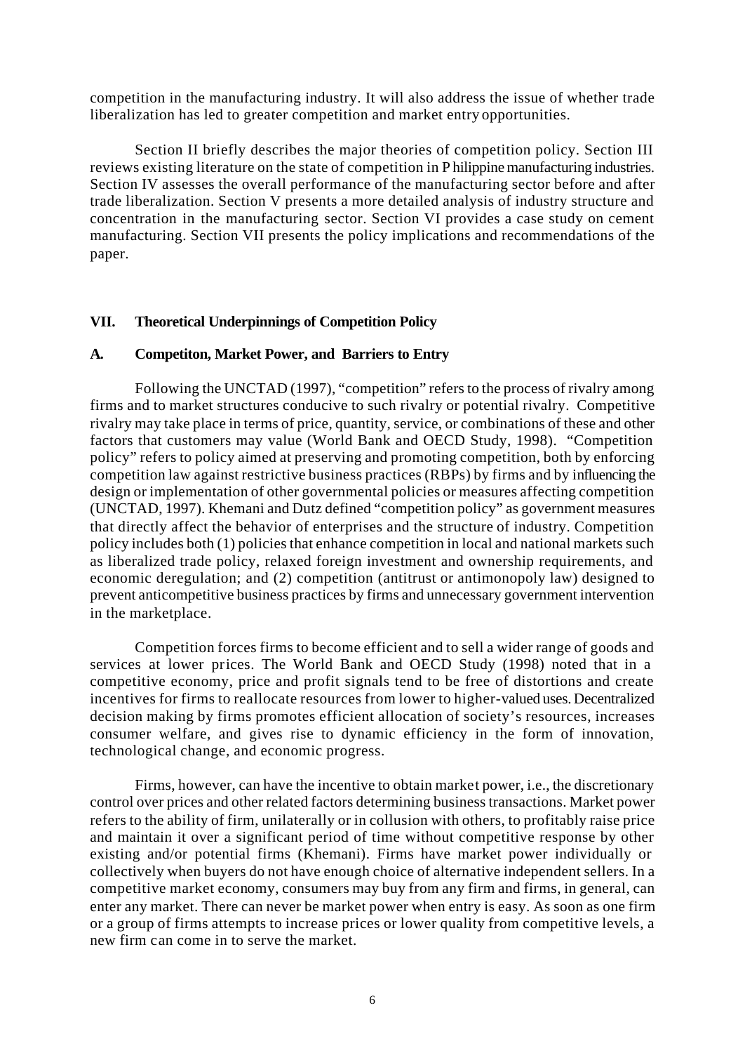competition in the manufacturing industry. It will also address the issue of whether trade liberalization has led to greater competition and market entry opportunities.

Section II briefly describes the major theories of competition policy. Section III reviews existing literature on the state of competition in P hilippine manufacturing industries. Section IV assesses the overall performance of the manufacturing sector before and after trade liberalization. Section V presents a more detailed analysis of industry structure and concentration in the manufacturing sector. Section VI provides a case study on cement manufacturing. Section VII presents the policy implications and recommendations of the paper.

## **VII. Theoretical Underpinnings of Competition Policy**

## **A. Competiton, Market Power, and Barriers to Entry**

Following the UNCTAD (1997), "competition" refers to the process of rivalry among firms and to market structures conducive to such rivalry or potential rivalry. Competitive rivalry may take place in terms of price, quantity, service, or combinations of these and other factors that customers may value (World Bank and OECD Study, 1998). "Competition policy" refers to policy aimed at preserving and promoting competition, both by enforcing competition law against restrictive business practices (RBPs) by firms and by influencing the design or implementation of other governmental policies or measures affecting competition (UNCTAD, 1997). Khemani and Dutz defined "competition policy" as government measures that directly affect the behavior of enterprises and the structure of industry. Competition policy includes both (1) policies that enhance competition in local and national markets such as liberalized trade policy, relaxed foreign investment and ownership requirements, and economic deregulation; and (2) competition (antitrust or antimonopoly law) designed to prevent anticompetitive business practices by firms and unnecessary government intervention in the marketplace.

Competition forces firms to become efficient and to sell a wider range of goods and services at lower prices. The World Bank and OECD Study (1998) noted that in a competitive economy, price and profit signals tend to be free of distortions and create incentives for firms to reallocate resources from lower to higher-valued uses. Decentralized decision making by firms promotes efficient allocation of society's resources, increases consumer welfare, and gives rise to dynamic efficiency in the form of innovation, technological change, and economic progress.

Firms, however, can have the incentive to obtain market power, i.e., the discretionary control over prices and other related factors determining business transactions. Market power refers to the ability of firm, unilaterally or in collusion with others, to profitably raise price and maintain it over a significant period of time without competitive response by other existing and/or potential firms (Khemani). Firms have market power individually or collectively when buyers do not have enough choice of alternative independent sellers. In a competitive market economy, consumers may buy from any firm and firms, in general, can enter any market. There can never be market power when entry is easy. As soon as one firm or a group of firms attempts to increase prices or lower quality from competitive levels, a new firm can come in to serve the market.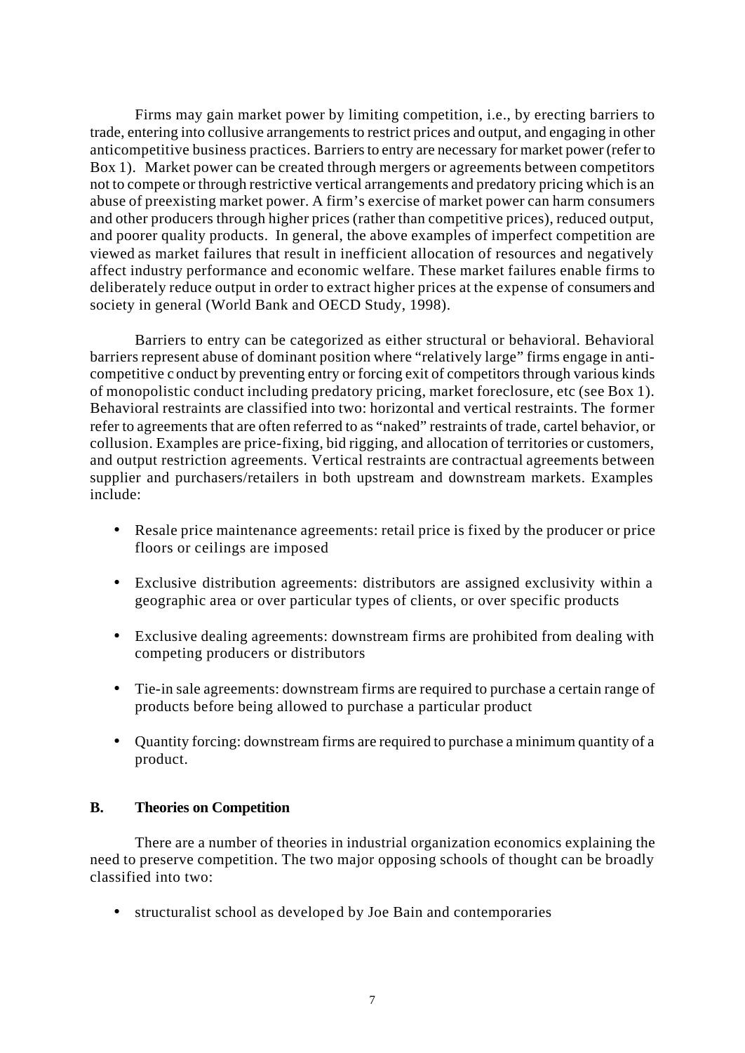Firms may gain market power by limiting competition, i.e., by erecting barriers to trade, entering into collusive arrangements to restrict prices and output, and engaging in other anticompetitive business practices. Barriers to entry are necessary for market power (refer to Box 1). Market power can be created through mergers or agreements between competitors not to compete or through restrictive vertical arrangements and predatory pricing which is an abuse of preexisting market power. A firm's exercise of market power can harm consumers and other producers through higher prices (rather than competitive prices), reduced output, and poorer quality products. In general, the above examples of imperfect competition are viewed as market failures that result in inefficient allocation of resources and negatively affect industry performance and economic welfare. These market failures enable firms to deliberately reduce output in order to extract higher prices at the expense of consumers and society in general (World Bank and OECD Study, 1998).

Barriers to entry can be categorized as either structural or behavioral. Behavioral barriers represent abuse of dominant position where "relatively large" firms engage in anticompetitive c onduct by preventing entry or forcing exit of competitors through various kinds of monopolistic conduct including predatory pricing, market foreclosure, etc (see Box 1). Behavioral restraints are classified into two: horizontal and vertical restraints. The former refer to agreements that are often referred to as "naked" restraints of trade, cartel behavior, or collusion. Examples are price-fixing, bid rigging, and allocation of territories or customers, and output restriction agreements. Vertical restraints are contractual agreements between supplier and purchasers/retailers in both upstream and downstream markets. Examples include:

- Resale price maintenance agreements: retail price is fixed by the producer or price floors or ceilings are imposed
- Exclusive distribution agreements: distributors are assigned exclusivity within a geographic area or over particular types of clients, or over specific products
- Exclusive dealing agreements: downstream firms are prohibited from dealing with competing producers or distributors
- Tie-in sale agreements: downstream firms are required to purchase a certain range of products before being allowed to purchase a particular product
- Quantity forcing: downstream firms are required to purchase a minimum quantity of a product.

## **B. Theories on Competition**

There are a number of theories in industrial organization economics explaining the need to preserve competition. The two major opposing schools of thought can be broadly classified into two:

• structuralist school as developed by Joe Bain and contemporaries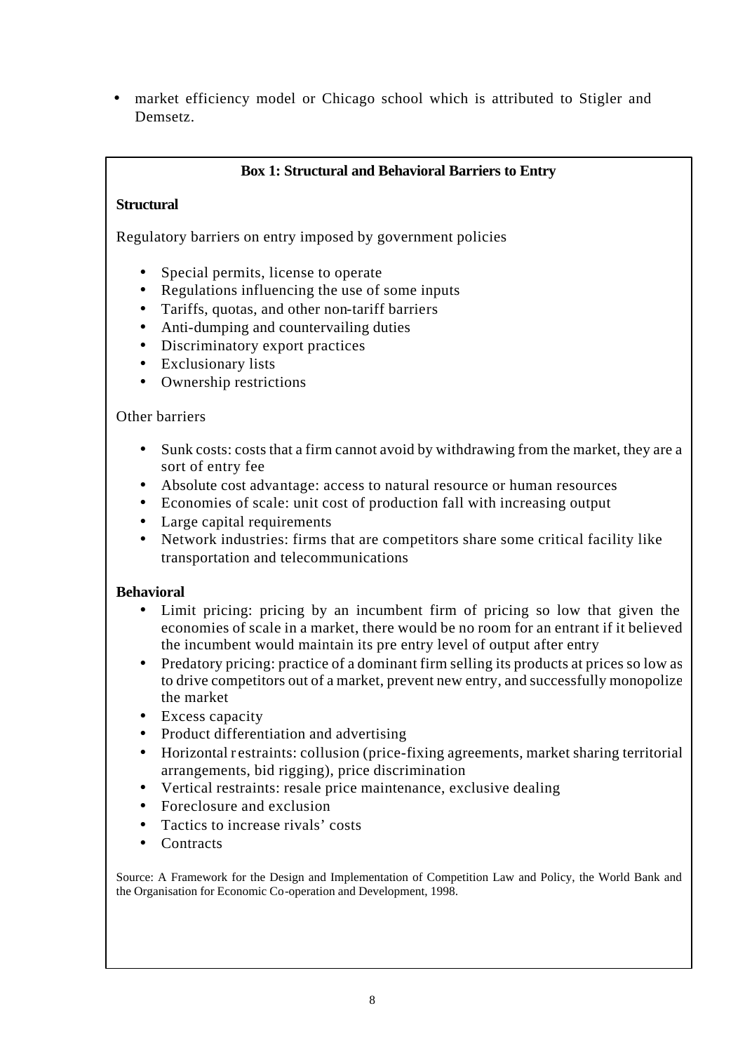• market efficiency model or Chicago school which is attributed to Stigler and Demsetz.

## **Box 1: Structural and Behavioral Barriers to Entry**

## **Structural**

Regulatory barriers on entry imposed by government policies

- Special permits, license to operate
- Regulations influencing the use of some inputs
- Tariffs, quotas, and other non-tariff barriers
- Anti-dumping and countervailing duties
- Discriminatory export practices
- Exclusionary lists
- Ownership restrictions

## Other barriers

- Sunk costs: costs that a firm cannot avoid by withdrawing from the market, they are a sort of entry fee
- Absolute cost advantage: access to natural resource or human resources
- Economies of scale: unit cost of production fall with increasing output
- Large capital requirements
- Network industries: firms that are competitors share some critical facility like transportation and telecommunications

## **Behavioral**

- Limit pricing: pricing by an incumbent firm of pricing so low that given the economies of scale in a market, there would be no room for an entrant if it believed the incumbent would maintain its pre entry level of output after entry
- Predatory pricing: practice of a dominant firm selling its products at prices so low as to drive competitors out of a market, prevent new entry, and successfully monopolize the market
- Excess capacity
- Product differentiation and advertising
- Horizontal restraints: collusion (price-fixing agreements, market sharing territorial arrangements, bid rigging), price discrimination
- Vertical restraints: resale price maintenance, exclusive dealing
- Foreclosure and exclusion
- Tactics to increase rivals' costs
- **Contracts**

Source: A Framework for the Design and Implementation of Competition Law and Policy, the World Bank and the Organisation for Economic Co-operation and Development, 1998.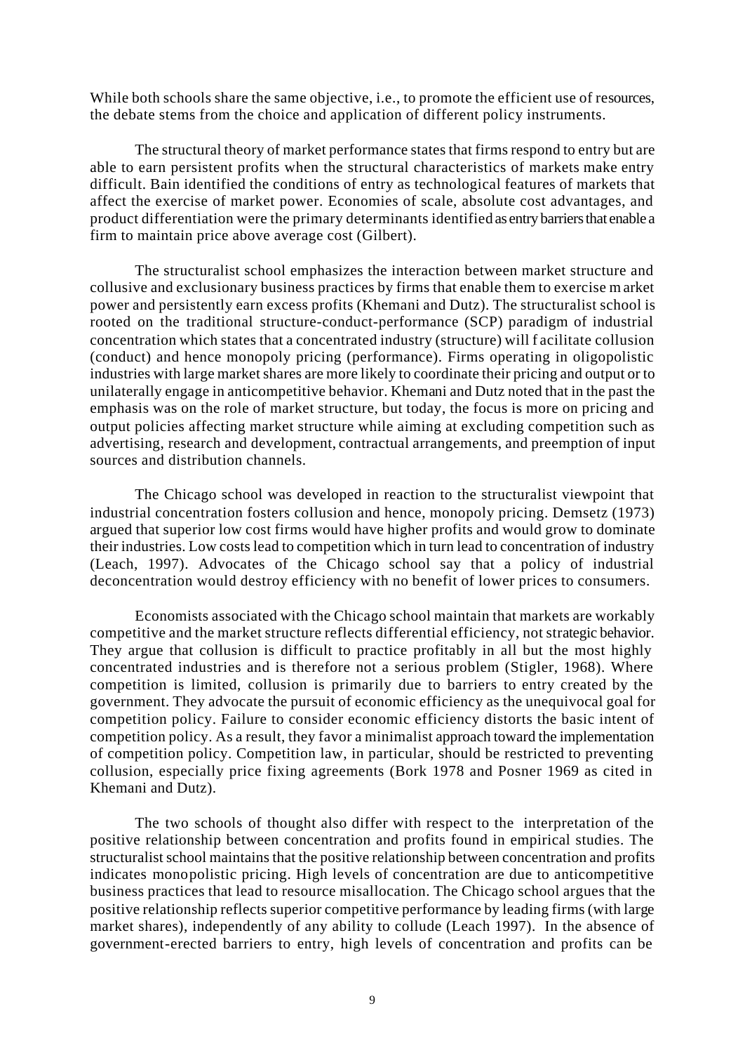While both schools share the same objective, i.e., to promote the efficient use of resources, the debate stems from the choice and application of different policy instruments.

The structural theory of market performance states that firms respond to entry but are able to earn persistent profits when the structural characteristics of markets make entry difficult. Bain identified the conditions of entry as technological features of markets that affect the exercise of market power. Economies of scale, absolute cost advantages, and product differentiation were the primary determinants identified as entry barriers that enable a firm to maintain price above average cost (Gilbert).

The structuralist school emphasizes the interaction between market structure and collusive and exclusionary business practices by firms that enable them to exercise market power and persistently earn excess profits (Khemani and Dutz). The structuralist school is rooted on the traditional structure-conduct-performance (SCP) paradigm of industrial concentration which states that a concentrated industry (structure) will f acilitate collusion (conduct) and hence monopoly pricing (performance). Firms operating in oligopolistic industries with large market shares are more likely to coordinate their pricing and output or to unilaterally engage in anticompetitive behavior. Khemani and Dutz noted that in the past the emphasis was on the role of market structure, but today, the focus is more on pricing and output policies affecting market structure while aiming at excluding competition such as advertising, research and development, contractual arrangements, and preemption of input sources and distribution channels.

The Chicago school was developed in reaction to the structuralist viewpoint that industrial concentration fosters collusion and hence, monopoly pricing. Demsetz (1973) argued that superior low cost firms would have higher profits and would grow to dominate their industries. Low costs lead to competition which in turn lead to concentration of industry (Leach, 1997). Advocates of the Chicago school say that a policy of industrial deconcentration would destroy efficiency with no benefit of lower prices to consumers.

Economists associated with the Chicago school maintain that markets are workably competitive and the market structure reflects differential efficiency, not strategic behavior. They argue that collusion is difficult to practice profitably in all but the most highly concentrated industries and is therefore not a serious problem (Stigler, 1968). Where competition is limited, collusion is primarily due to barriers to entry created by the government. They advocate the pursuit of economic efficiency as the unequivocal goal for competition policy. Failure to consider economic efficiency distorts the basic intent of competition policy. As a result, they favor a minimalist approach toward the implementation of competition policy. Competition law, in particular, should be restricted to preventing collusion, especially price fixing agreements (Bork 1978 and Posner 1969 as cited in Khemani and Dutz).

The two schools of thought also differ with respect to the interpretation of the positive relationship between concentration and profits found in empirical studies. The structuralist school maintains that the positive relationship between concentration and profits indicates monopolistic pricing. High levels of concentration are due to anticompetitive business practices that lead to resource misallocation. The Chicago school argues that the positive relationship reflects superior competitive performance by leading firms (with large market shares), independently of any ability to collude (Leach 1997). In the absence of government-erected barriers to entry, high levels of concentration and profits can be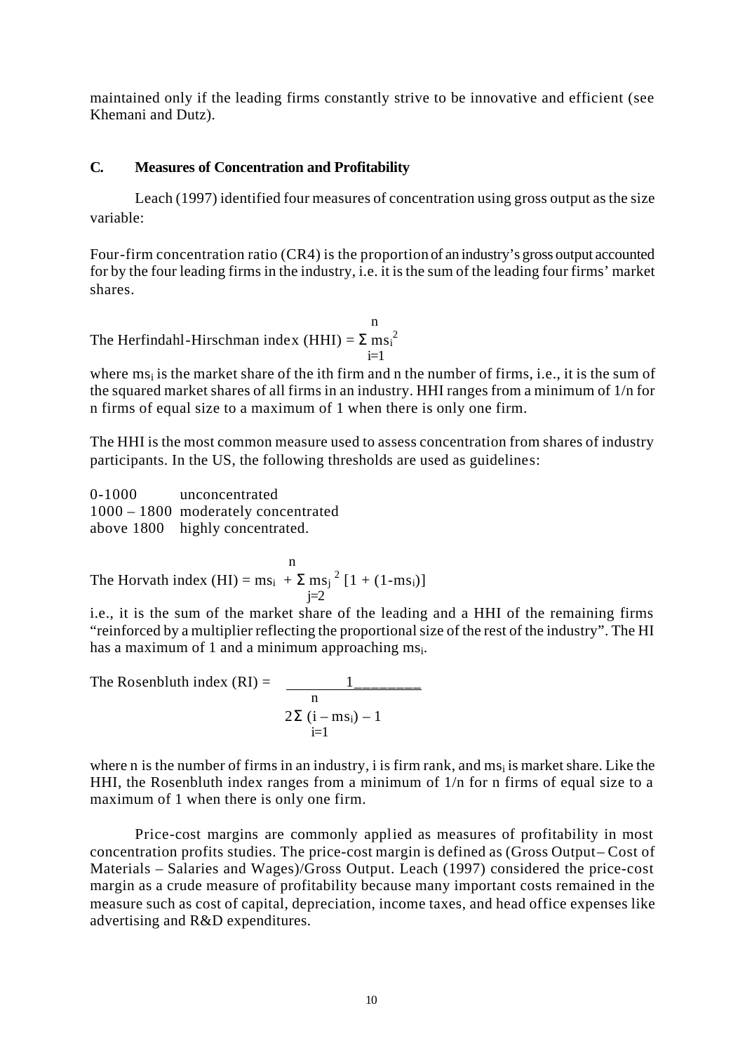maintained only if the leading firms constantly strive to be innovative and efficient (see Khemani and Dutz).

#### **C. Measures of Concentration and Profitability**

Leach (1997) identified four measures of concentration using gross output as the size variable:

Four-firm concentration ratio (CR4) is the proportion of an industry's gross output accounted for by the four leading firms in the industry, i.e. it is the sum of the leading four firms' market shares.

n and a structure of the structure of the structure of the structure of the structure of the structure of the structure of the structure of the structure of the structure of the structure of the structure of the structure The Herfindahl-Hirschman index  $(HHI) = \Sigma m s_i^2$  $i=1$ 

where  $ms<sub>i</sub>$  is the market share of the ith firm and n the number of firms, i.e., it is the sum of the squared market shares of all firms in an industry. HHI ranges from a minimum of 1/n for n firms of equal size to a maximum of 1 when there is only one firm.

The HHI is the most common measure used to assess concentration from shares of industry participants. In the US, the following thresholds are used as guidelines:

0-1000 unconcentrated 1000 – 1800 moderately concentrated above 1800 highly concentrated.

n<sub>n</sub> The Horvath index  $(HI) = ms_i + \sum ms_j^2 [1 + (1 - ms_i)]$  $j=2$ 

i.e., it is the sum of the market share of the leading and a HHI of the remaining firms "reinforced by a multiplier reflecting the proportional size of the rest of the industry". The HI has a maximum of 1 and a minimum approaching  $ms_i$ .

The Rosenbluth index (RI) = 
$$
\frac{1}{n}
$$

$$
2\Sigma (i - ms_i) - 1
$$

$$
i=1
$$

where n is the number of firms in an industry, i is firm rank, and  $ms<sub>i</sub>$  is market share. Like the HHI, the Rosenbluth index ranges from a minimum of 1/n for n firms of equal size to a maximum of 1 when there is only one firm.

Price-cost margins are commonly applied as measures of profitability in most concentration profits studies. The price-cost margin is defined as (Gross Output – Cost of Materials – Salaries and Wages)/Gross Output. Leach (1997) considered the price-cost margin as a crude measure of profitability because many important costs remained in the measure such as cost of capital, depreciation, income taxes, and head office expenses like advertising and R&D expenditures.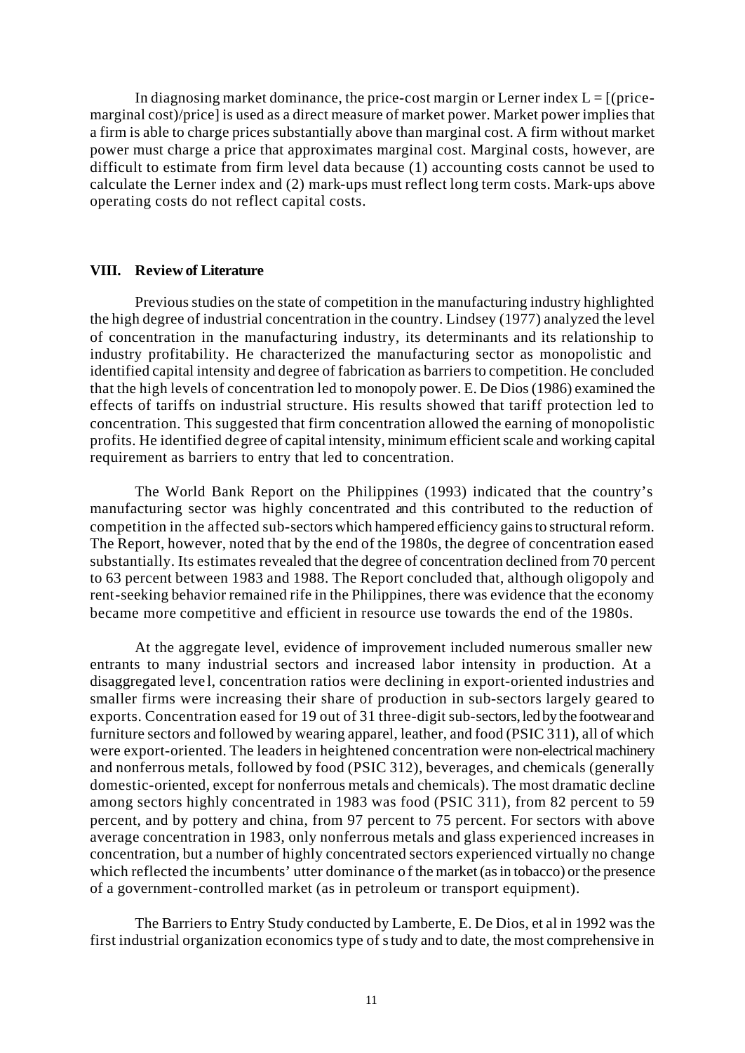In diagnosing market dominance, the price-cost margin or Lerner index  $L = \frac{1}{2}$  (pricemarginal cost)/price] is used as a direct measure of market power. Market power implies that a firm is able to charge prices substantially above than marginal cost. A firm without market power must charge a price that approximates marginal cost. Marginal costs, however, are difficult to estimate from firm level data because (1) accounting costs cannot be used to calculate the Lerner index and (2) mark-ups must reflect long term costs. Mark-ups above operating costs do not reflect capital costs.

#### **VIII. Review of Literature**

Previous studies on the state of competition in the manufacturing industry highlighted the high degree of industrial concentration in the country. Lindsey (1977) analyzed the level of concentration in the manufacturing industry, its determinants and its relationship to industry profitability. He characterized the manufacturing sector as monopolistic and identified capital intensity and degree of fabrication as barriers to competition. He concluded that the high levels of concentration led to monopoly power. E. De Dios (1986) examined the effects of tariffs on industrial structure. His results showed that tariff protection led to concentration. This suggested that firm concentration allowed the earning of monopolistic profits. He identified degree of capital intensity, minimum efficient scale and working capital requirement as barriers to entry that led to concentration.

The World Bank Report on the Philippines (1993) indicated that the country's manufacturing sector was highly concentrated and this contributed to the reduction of competition in the affected sub-sectors which hampered efficiency gains to structural reform. The Report, however, noted that by the end of the 1980s, the degree of concentration eased substantially. Its estimates revealed that the degree of concentration declined from 70 percent to 63 percent between 1983 and 1988. The Report concluded that, although oligopoly and rent-seeking behavior remained rife in the Philippines, there was evidence that the economy became more competitive and efficient in resource use towards the end of the 1980s.

At the aggregate level, evidence of improvement included numerous smaller new entrants to many industrial sectors and increased labor intensity in production. At a disaggregated leve l, concentration ratios were declining in export-oriented industries and smaller firms were increasing their share of production in sub-sectors largely geared to exports. Concentration eased for 19 out of 31 three-digit sub-sectors, led by the footwear and furniture sectors and followed by wearing apparel, leather, and food (PSIC 311), all of which were export-oriented. The leaders in heightened concentration were non-electrical machinery and nonferrous metals, followed by food (PSIC 312), beverages, and chemicals (generally domestic-oriented, except for nonferrous metals and chemicals). The most dramatic decline among sectors highly concentrated in 1983 was food (PSIC 311), from 82 percent to 59 percent, and by pottery and china, from 97 percent to 75 percent. For sectors with above average concentration in 1983, only nonferrous metals and glass experienced increases in concentration, but a number of highly concentrated sectors experienced virtually no change which reflected the incumbents' utter dominance o f the market (as in tobacco) or the presence of a government-controlled market (as in petroleum or transport equipment).

The Barriers to Entry Study conducted by Lamberte, E. De Dios, et al in 1992 was the first industrial organization economics type of study and to date, the most comprehensive in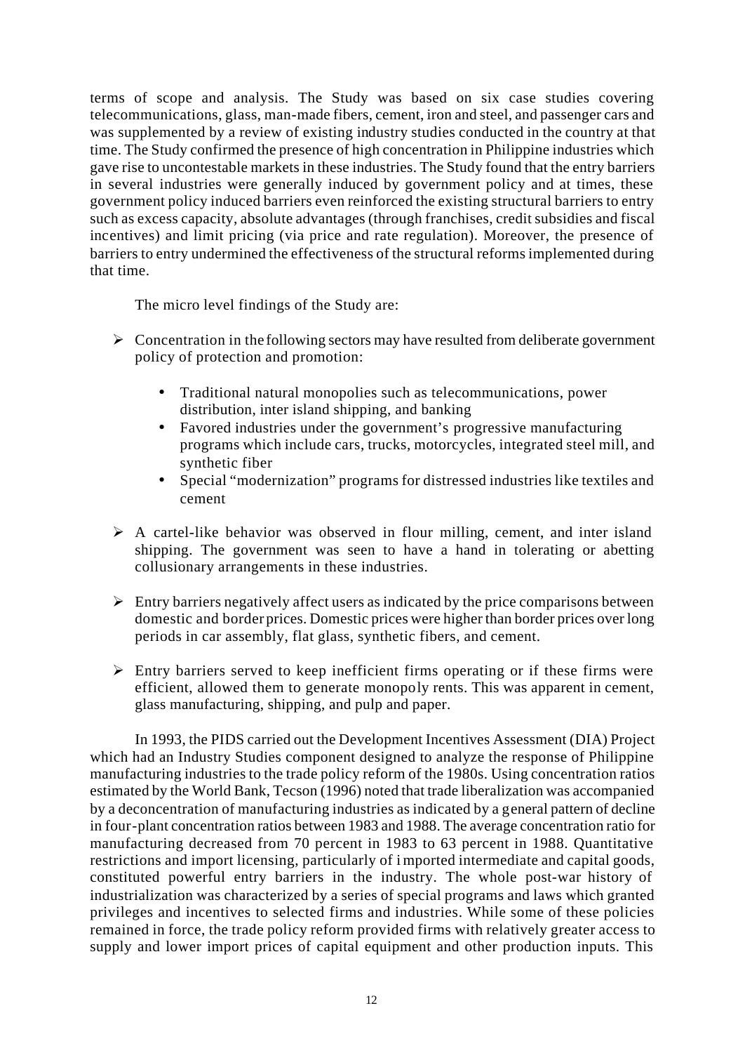terms of scope and analysis. The Study was based on six case studies covering telecommunications, glass, man-made fibers, cement, iron and steel, and passenger cars and was supplemented by a review of existing industry studies conducted in the country at that time. The Study confirmed the presence of high concentration in Philippine industries which gave rise to uncontestable markets in these industries. The Study found that the entry barriers in several industries were generally induced by government policy and at times, these government policy induced barriers even reinforced the existing structural barriers to entry such as excess capacity, absolute advantages (through franchises, credit subsidies and fiscal incentives) and limit pricing (via price and rate regulation). Moreover, the presence of barriers to entry undermined the effectiveness of the structural reforms implemented during that time.

The micro level findings of the Study are:

- $\triangleright$  Concentration in the following sectors may have resulted from deliberate government policy of protection and promotion:
	- Traditional natural monopolies such as telecommunications, power distribution, inter island shipping, and banking
	- Favored industries under the government's progressive manufacturing programs which include cars, trucks, motorcycles, integrated steel mill, and synthetic fiber
	- Special "modernization" programs for distressed industries like textiles and cement
- $\triangleright$  A cartel-like behavior was observed in flour milling, cement, and inter island shipping. The government was seen to have a hand in tolerating or abetting collusionary arrangements in these industries.
- $\triangleright$  Entry barriers negatively affect users as indicated by the price comparisons between domestic and border prices. Domestic prices were higher than border prices over long periods in car assembly, flat glass, synthetic fibers, and cement.
- $\triangleright$  Entry barriers served to keep inefficient firms operating or if these firms were efficient, allowed them to generate monopoly rents. This was apparent in cement, glass manufacturing, shipping, and pulp and paper.

In 1993, the PIDS carried out the Development Incentives Assessment (DIA) Project which had an Industry Studies component designed to analyze the response of Philippine manufacturing industries to the trade policy reform of the 1980s. Using concentration ratios estimated by the World Bank, Tecson (1996) noted that trade liberalization was accompanied by a deconcentration of manufacturing industries as indicated by a general pattern of decline in four-plant concentration ratios between 1983 and 1988. The average concentration ratio for manufacturing decreased from 70 percent in 1983 to 63 percent in 1988. Quantitative restrictions and import licensing, particularly of imported intermediate and capital goods, constituted powerful entry barriers in the industry. The whole post-war history of industrialization was characterized by a series of special programs and laws which granted privileges and incentives to selected firms and industries. While some of these policies remained in force, the trade policy reform provided firms with relatively greater access to supply and lower import prices of capital equipment and other production inputs. This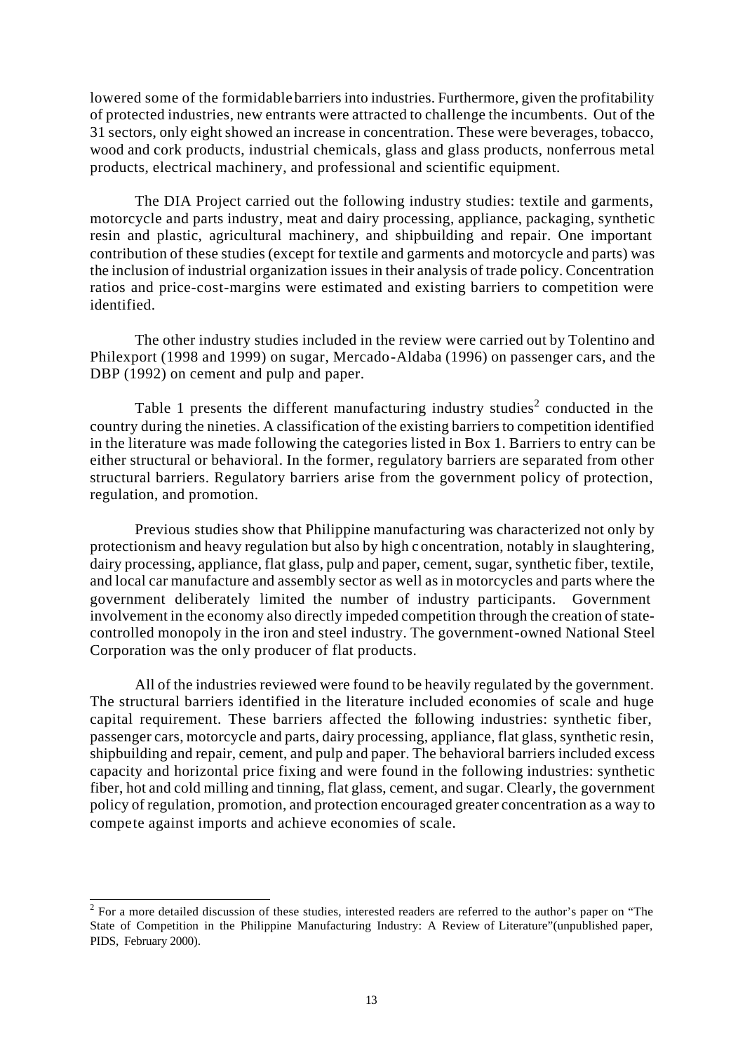lowered some of the formidable barriers into industries. Furthermore, given the profitability of protected industries, new entrants were attracted to challenge the incumbents. Out of the 31 sectors, only eight showed an increase in concentration. These were beverages, tobacco, wood and cork products, industrial chemicals, glass and glass products, nonferrous metal products, electrical machinery, and professional and scientific equipment.

The DIA Project carried out the following industry studies: textile and garments, motorcycle and parts industry, meat and dairy processing, appliance, packaging, synthetic resin and plastic, agricultural machinery, and shipbuilding and repair. One important contribution of these studies (except for textile and garments and motorcycle and parts) was the inclusion of industrial organization issues in their analysis of trade policy. Concentration ratios and price-cost-margins were estimated and existing barriers to competition were identified.

The other industry studies included in the review were carried out by Tolentino and Philexport (1998 and 1999) on sugar, Mercado-Aldaba (1996) on passenger cars, and the DBP (1992) on cement and pulp and paper.

Table 1 presents the different manufacturing industry studies<sup>2</sup> conducted in the country during the nineties. A classification of the existing barriers to competition identified in the literature was made following the categories listed in Box 1. Barriers to entry can be either structural or behavioral. In the former, regulatory barriers are separated from other structural barriers. Regulatory barriers arise from the government policy of protection, regulation, and promotion.

Previous studies show that Philippine manufacturing was characterized not only by protectionism and heavy regulation but also by high c oncentration, notably in slaughtering, dairy processing, appliance, flat glass, pulp and paper, cement, sugar, synthetic fiber, textile, and local car manufacture and assembly sector as well as in motorcycles and parts where the government deliberately limited the number of industry participants. Government involvement in the economy also directly impeded competition through the creation of statecontrolled monopoly in the iron and steel industry. The government-owned National Steel Corporation was the only producer of flat products.

All of the industries reviewed were found to be heavily regulated by the government. The structural barriers identified in the literature included economies of scale and huge capital requirement. These barriers affected the following industries: synthetic fiber, passenger cars, motorcycle and parts, dairy processing, appliance, flat glass, synthetic resin, shipbuilding and repair, cement, and pulp and paper. The behavioral barriers included excess capacity and horizontal price fixing and were found in the following industries: synthetic fiber, hot and cold milling and tinning, flat glass, cement, and sugar. Clearly, the government policy of regulation, promotion, and protection encouraged greater concentration as a way to compete against imports and achieve economies of scale.

<sup>&</sup>lt;sup>2</sup> For a more detailed discussion of these studies, interested readers are referred to the author's paper on "The State of Competition in the Philippine Manufacturing Industry: A Review of Literature"(unpublished paper, PIDS, February 2000).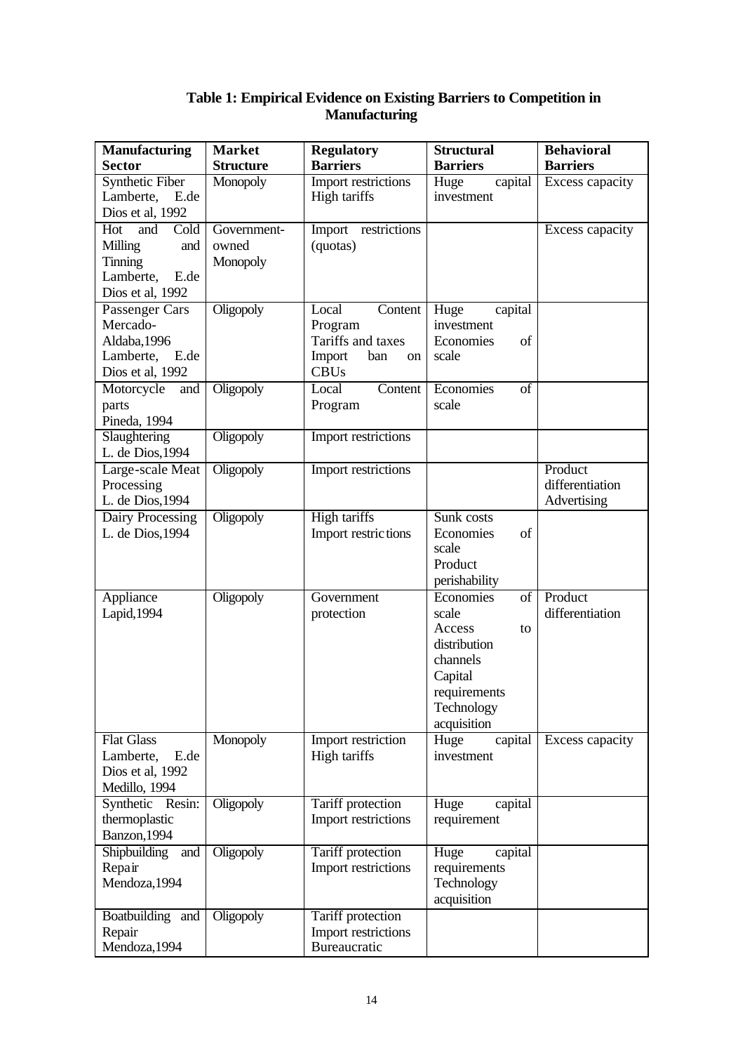| <b>Manufacturing</b>                                                                     | <b>Market</b>                    | <b>Regulatory</b>                                                                             | <b>Structural</b>                                                                                                            | <b>Behavioral</b>                         |
|------------------------------------------------------------------------------------------|----------------------------------|-----------------------------------------------------------------------------------------------|------------------------------------------------------------------------------------------------------------------------------|-------------------------------------------|
| <b>Sector</b>                                                                            | <b>Structure</b>                 | <b>Barriers</b>                                                                               | <b>Barriers</b>                                                                                                              | <b>Barriers</b>                           |
| <b>Synthetic Fiber</b><br>Lamberte,<br>E.de<br>Dios et al, 1992                          | Monopoly                         | <b>Import restrictions</b><br>High tariffs                                                    | Huge<br>capital<br>investment                                                                                                | Excess capacity                           |
| Cold<br>Hot<br>and<br>Milling<br>and<br>Tinning<br>Lamberte,<br>E.de<br>Dios et al, 1992 | Government-<br>owned<br>Monopoly | Import restrictions<br>(quotas)                                                               |                                                                                                                              | Excess capacity                           |
| Passenger Cars<br>Mercado-<br>Aldaba, 1996<br>Lamberte, E.de<br>Dios et al, 1992         | Oligopoly                        | <b>Content</b><br>Local<br>Program<br>Tariffs and taxes<br>Import<br>ban<br>on<br><b>CBUs</b> | Huge<br>capital<br>investment<br>Economies<br>of<br>scale                                                                    |                                           |
| Motorcycle<br>and<br>parts<br>Pineda, 1994                                               | Oligopoly                        | Content<br>Local<br>Program                                                                   | Economies<br>of<br>scale                                                                                                     |                                           |
| Slaughtering<br>L. de Dios, 1994                                                         | Oligopoly                        | <b>Import restrictions</b>                                                                    |                                                                                                                              |                                           |
| Large-scale Meat<br>Processing<br>L. de Dios, 1994                                       | Oligopoly                        | Import restrictions                                                                           |                                                                                                                              | Product<br>differentiation<br>Advertising |
| Dairy Processing<br>L. de Dios, 1994                                                     | Oligopoly                        | <b>High tariffs</b><br>Import restrictions                                                    | Sunk costs<br>of<br>Economies<br>scale<br>Product<br>perishability                                                           |                                           |
| Appliance<br>Lapid, 1994                                                                 | Oligopoly                        | Government<br>protection                                                                      | Economies<br>of<br>scale<br>Access<br>to<br>distribution<br>channels<br>Capital<br>requirements<br>Technology<br>acquisition | Product<br>differentiation                |
| <b>Flat Glass</b><br>Lamberte,<br>E.de<br>Dios et al, 1992<br>Medillo, 1994              | Monopoly                         | Import restriction<br>High tariffs                                                            | Huge<br>capital<br>investment                                                                                                | Excess capacity                           |
| Synthetic Resin:<br>thermoplastic<br>Banzon, 1994                                        | Oligopoly                        | Tariff protection<br>Import restrictions                                                      | Huge<br>capital<br>requirement                                                                                               |                                           |
| Shipbuilding<br>and<br>Repair<br>Mendoza, 1994                                           | Oligopoly                        | Tariff protection<br>Import restrictions                                                      | Huge<br>capital<br>requirements<br>Technology<br>acquisition                                                                 |                                           |
| Boatbuilding and<br>Repair<br>Mendoza, 1994                                              | Oligopoly                        | Tariff protection<br>Import restrictions<br>Bureaucratic                                      |                                                                                                                              |                                           |

## **Table 1: Empirical Evidence on Existing Barriers to Competition in Manufacturing**

procedures and the control of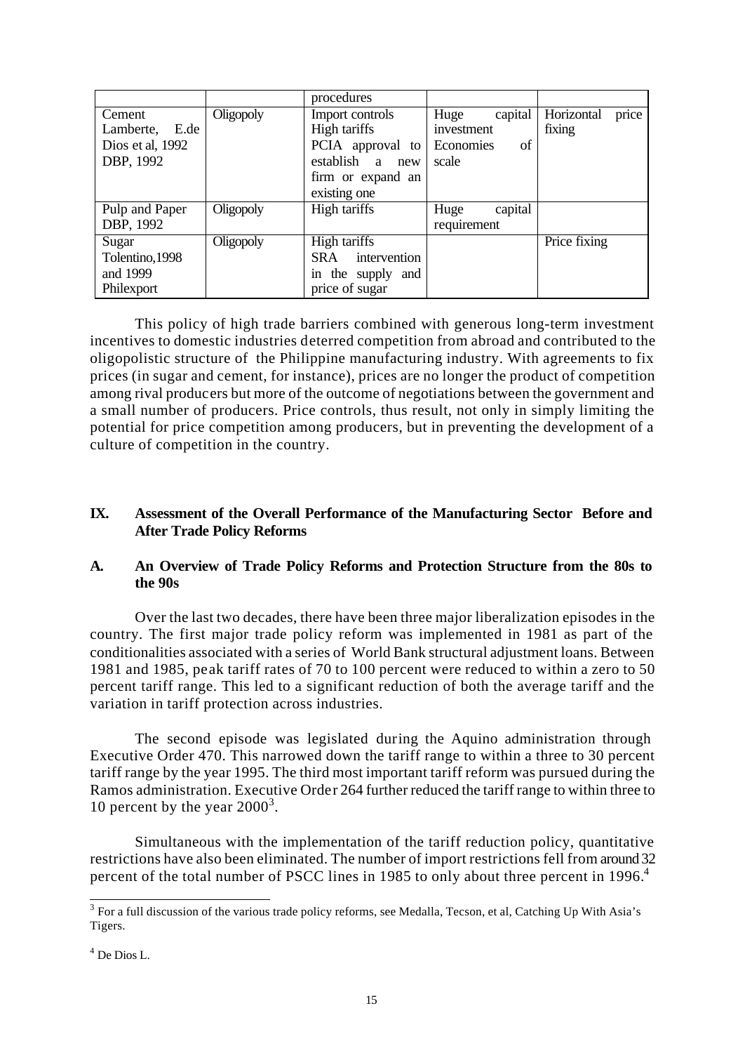|                   |           | procedures                 |                 |                     |
|-------------------|-----------|----------------------------|-----------------|---------------------|
| Cement            | Oligopoly | Import controls            | capital<br>Huge | price<br>Horizontal |
| E.de<br>Lamberte, |           | High tariffs               | investment      | fixing              |
| Dios et al, 1992  |           | PCIA approval to           | of<br>Economies |                     |
| DBP, 1992         |           | establish<br>a new         | scale           |                     |
|                   |           | firm or expand an          |                 |                     |
|                   |           | existing one               |                 |                     |
| Pulp and Paper    | Oligopoly | High tariffs               | capital<br>Huge |                     |
| DBP, 1992         |           |                            | requirement     |                     |
| Sugar             | Oligopoly | High tariffs               |                 | Price fixing        |
| Tolentino, 1998   |           | intervention<br><b>SRA</b> |                 |                     |
| and 1999          |           | in the supply and          |                 |                     |
| Philexport        |           | price of sugar             |                 |                     |

This policy of high trade barriers combined with generous long-term investment incentives to domestic industries deterred competition from abroad and contributed to the oligopolistic structure of the Philippine manufacturing industry. With agreements to fix prices (in sugar and cement, for instance), prices are no longer the product of competition among rival producers but more of the outcome of negotiations between the government and a small number of producers. Price controls, thus result, not only in simply limiting the potential for price competition among producers, but in preventing the development of a culture of competition in the country.

## **IX. Assessment of the Overall Performance of the Manufacturing Sector Before and After Trade Policy Reforms**

## **A. An Overview of Trade Policy Reforms and Protection Structure from the 80s to the 90s**

Over the last two decades, there have been three major liberalization episodes in the country. The first major trade policy reform was implemented in 1981 as part of the conditionalities associated with a series of World Bank structural adjustment loans. Between 1981 and 1985, peak tariff rates of 70 to 100 percent were reduced to within a zero to 50 percent tariff range. This led to a significant reduction of both the average tariff and the variation in tariff protection across industries.

The second episode was legislated during the Aquino administration through Executive Order 470. This narrowed down the tariff range to within a three to 30 percent tariff range by the year 1995. The third most important tariff reform was pursued during the Ramos administration. Executive Order 264 further reduced the tariff range to within three to 10 percent by the year  $2000^3$ .

Simultaneous with the implementation of the tariff reduction policy, quantitative restrictions have also been eliminated. The number of import restrictions fell from around 32 percent of the total number of PSCC lines in 1985 to only about three percent in 1996.<sup>4</sup>

<sup>&</sup>lt;sup>3</sup> For a full discussion of the various trade policy reforms, see Medalla, Tecson, et al, Catching Up With Asia's Tigers.

<sup>4</sup> De Dios L.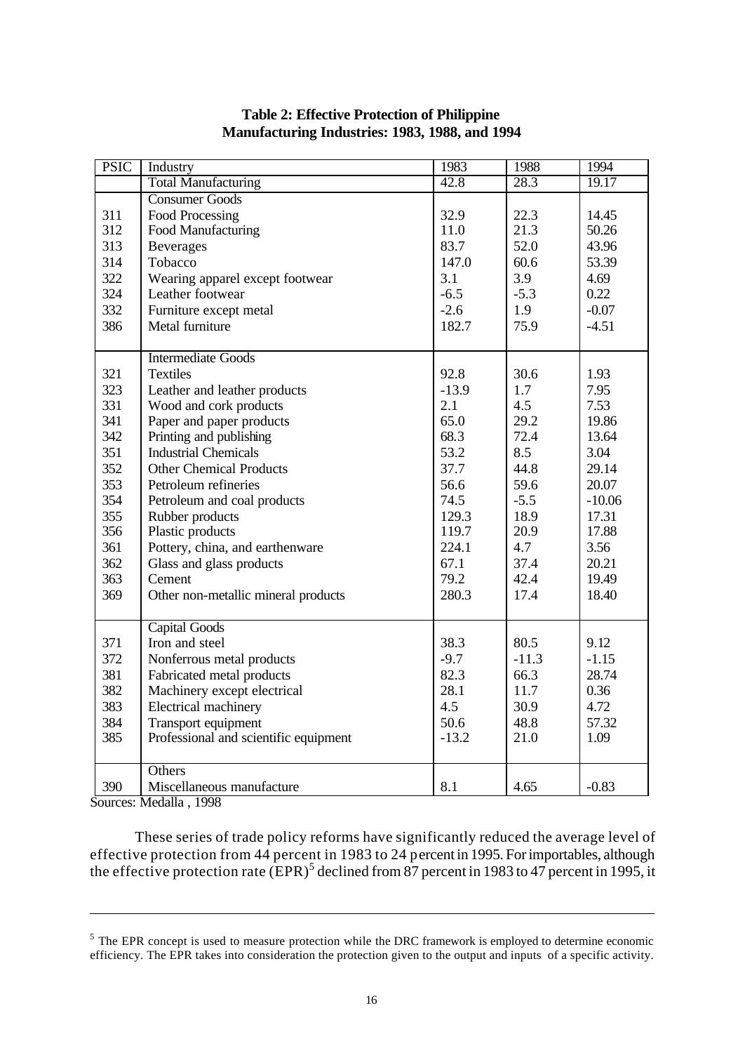| <b>PSIC</b> | Industry                              | 1983    | 1988    | 1994     |
|-------------|---------------------------------------|---------|---------|----------|
|             | <b>Total Manufacturing</b>            | 42.8    | 28.3    | 19.17    |
|             | <b>Consumer Goods</b>                 |         |         |          |
| 311         | Food Processing                       | 32.9    | 22.3    | 14.45    |
| 312         | Food Manufacturing                    | 11.0    | 21.3    | 50.26    |
| 313         | <b>Beverages</b>                      | 83.7    | 52.0    | 43.96    |
| 314         | Tobacco                               | 147.0   | 60.6    | 53.39    |
| 322         | Wearing apparel except footwear       | 3.1     | 3.9     | 4.69     |
| 324         | Leather footwear                      | $-6.5$  | $-5.3$  | 0.22     |
| 332         | Furniture except metal                | $-2.6$  | 1.9     | $-0.07$  |
| 386         | Metal furniture                       | 182.7   | 75.9    | $-4.51$  |
|             |                                       |         |         |          |
|             | <b>Intermediate Goods</b>             |         |         |          |
| 321         | <b>Textiles</b>                       | 92.8    | 30.6    | 1.93     |
| 323         | Leather and leather products          | $-13.9$ | 1.7     | 7.95     |
| 331         | Wood and cork products                | 2.1     | 4.5     | 7.53     |
| 341         | Paper and paper products              | 65.0    | 29.2    | 19.86    |
| 342         | Printing and publishing               | 68.3    | 72.4    | 13.64    |
| 351         | <b>Industrial Chemicals</b>           | 53.2    | 8.5     | 3.04     |
| 352         | <b>Other Chemical Products</b>        | 37.7    | 44.8    | 29.14    |
| 353         | Petroleum refineries                  | 56.6    | 59.6    | 20.07    |
| 354         | Petroleum and coal products           | 74.5    | $-5.5$  | $-10.06$ |
| 355         | Rubber products                       | 129.3   | 18.9    | 17.31    |
| 356         | Plastic products                      | 119.7   | 20.9    | 17.88    |
| 361         | Pottery, china, and earthenware       | 224.1   | 4.7     | 3.56     |
| 362         | Glass and glass products              | 67.1    | 37.4    | 20.21    |
| 363         | Cement                                | 79.2    | 42.4    | 19.49    |
| 369         | Other non-metallic mineral products   | 280.3   | 17.4    | 18.40    |
|             |                                       |         |         |          |
|             | <b>Capital Goods</b>                  |         |         |          |
| 371         | Iron and steel                        | 38.3    | 80.5    | 9.12     |
| 372         | Nonferrous metal products             | $-9.7$  | $-11.3$ | $-1.15$  |
| 381         | Fabricated metal products             | 82.3    | 66.3    | 28.74    |
| 382         | Machinery except electrical           | 28.1    | 11.7    | 0.36     |
| 383         | Electrical machinery                  | 4.5     | 30.9    | 4.72     |
| 384         | Transport equipment                   | 50.6    | 48.8    | 57.32    |
| 385         | Professional and scientific equipment | $-13.2$ | 21.0    | 1.09     |
|             |                                       |         |         |          |
|             | Others                                |         |         |          |
| 390         | Miscellaneous manufacture             | 8.1     | 4.65    | $-0.83$  |

## **Table 2: Effective Protection of Philippine Manufacturing Industries: 1983, 1988, and 1994**

Sources: Medalla , 1998

l

These series of trade policy reforms have significantly reduced the average level of effective protection from 44 percent in 1983 to 24 percent in 1995. For importables, although the effective protection rate  $(EPR)^5$  declined from 87 percent in 1983 to 47 percent in 1995, it

 $<sup>5</sup>$  The EPR concept is used to measure protection while the DRC framework is employed to determine economic</sup> efficiency. The EPR takes into consideration the protection given to the output and inputs of a specific activity.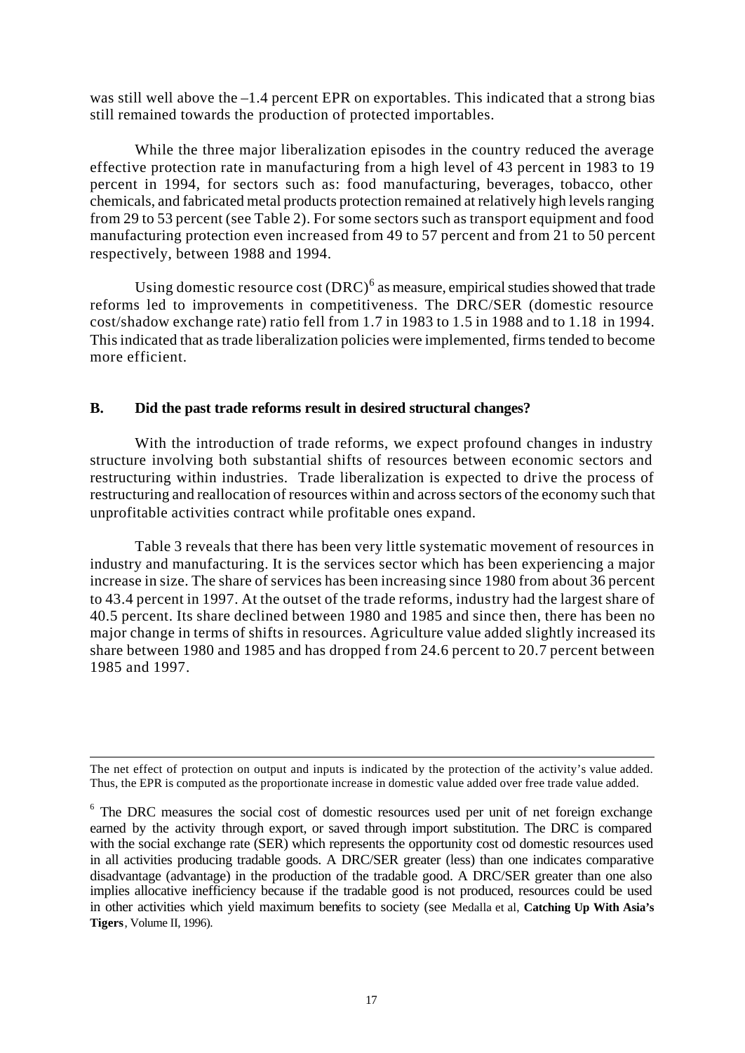was still well above the  $-1.4$  percent EPR on exportables. This indicated that a strong bias still remained towards the production of protected importables.

While the three major liberalization episodes in the country reduced the average effective protection rate in manufacturing from a high level of 43 percent in 1983 to 19 percent in 1994, for sectors such as: food manufacturing, beverages, tobacco, other chemicals, and fabricated metal products protection remained at relatively high levels ranging from 29 to 53 percent (see Table 2). For some sectors such as transport equipment and food manufacturing protection even increased from 49 to 57 percent and from 21 to 50 percent respectively, between 1988 and 1994.

Using domestic resource cost  $(DRC)^6$  as measure, empirical studies showed that trade reforms led to improvements in competitiveness. The DRC/SER (domestic resource cost/shadow exchange rate) ratio fell from 1.7 in 1983 to 1.5 in 1988 and to 1.18 in 1994. This indicated that as trade liberalization policies were implemented, firms tended to become more efficient.

## **B. Did the past trade reforms result in desired structural changes?**

With the introduction of trade reforms, we expect profound changes in industry structure involving both substantial shifts of resources between economic sectors and restructuring within industries. Trade liberalization is expected to drive the process of restructuring and reallocation of resources within and across sectors of the economy such that unprofitable activities contract while profitable ones expand.

Table 3 reveals that there has been very little systematic movement of resources in industry and manufacturing. It is the services sector which has been experiencing a major increase in size. The share of services has been increasing since 1980 from about 36 percent to 43.4 percent in 1997. At the outset of the trade reforms, industry had the largest share of 40.5 percent. Its share declined between 1980 and 1985 and since then, there has been no major change in terms of shifts in resources. Agriculture value added slightly increased its share between 1980 and 1985 and has dropped from 24.6 percent to 20.7 percent between 1985 and 1997.

l

The net effect of protection on output and inputs is indicated by the protection of the activity's value added. Thus, the EPR is computed as the proportionate increase in domestic value added over free trade value added.

<sup>&</sup>lt;sup>6</sup> The DRC measures the social cost of domestic resources used per unit of net foreign exchange earned by the activity through export, or saved through import substitution. The DRC is compared with the social exchange rate (SER) which represents the opportunity cost od domestic resources used in all activities producing tradable goods. A DRC/SER greater (less) than one indicates comparative disadvantage (advantage) in the production of the tradable good. A DRC/SER greater than one also implies allocative inefficiency because if the tradable good is not produced, resources could be used in other activities which yield maximum benefits to society (see Medalla et al, **Catching Up With Asia's Tigers**, Volume II, 1996).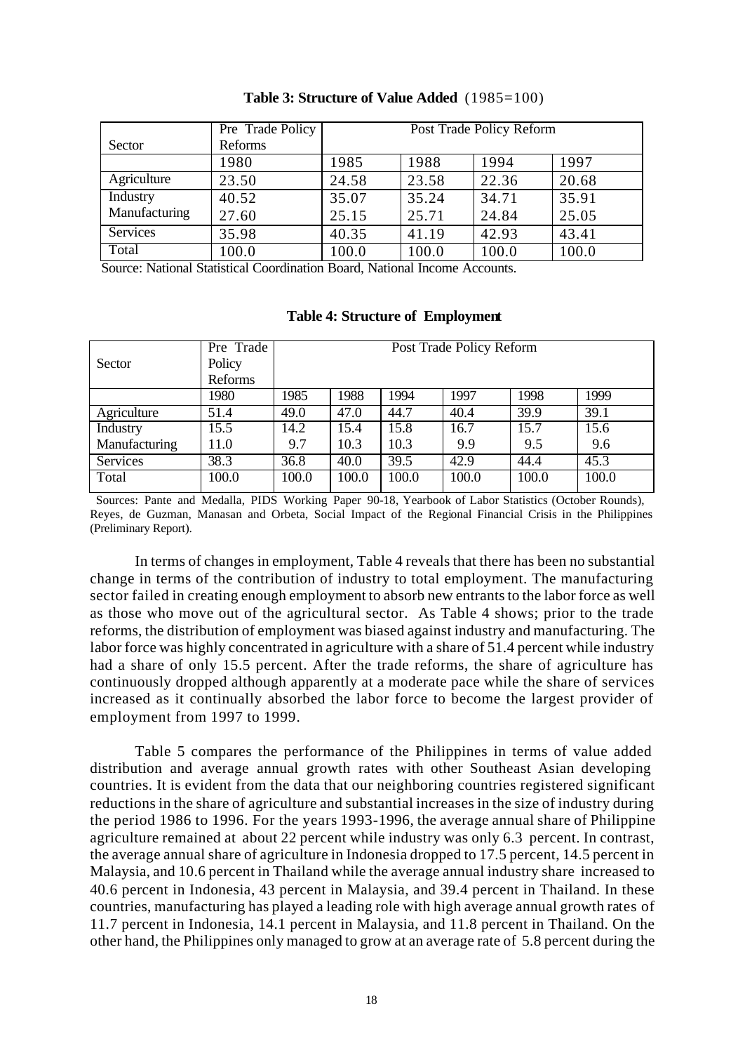|               | Pre Trade Policy | Post Trade Policy Reform |       |       |       |  |  |  |
|---------------|------------------|--------------------------|-------|-------|-------|--|--|--|
| Sector        | Reforms          |                          |       |       |       |  |  |  |
|               | 1980             | 1985                     | 1988  | 1994  | 1997  |  |  |  |
| Agriculture   | 23.50            | 24.58                    | 23.58 | 22.36 | 20.68 |  |  |  |
| Industry      | 40.52            | 35.07                    | 35.24 | 34.71 | 35.91 |  |  |  |
| Manufacturing | 27.60            | 25.15                    | 25.71 | 24.84 | 25.05 |  |  |  |
| Services      | 35.98            | 40.35                    | 41.19 | 42.93 | 43.41 |  |  |  |
| Total         | 100.0            | 100.0                    | 100.0 | 100.0 | 100.0 |  |  |  |

#### **Table 3: Structure of Value Added** (1985=100)

Source: National Statistical Coordination Board, National Income Accounts.

|               | Pre Trade |       |       |       | Post Trade Policy Reform |       |       |
|---------------|-----------|-------|-------|-------|--------------------------|-------|-------|
| Sector        | Policy    |       |       |       |                          |       |       |
|               | Reforms   |       |       |       |                          |       |       |
|               | 1980      | 1985  | 1988  | 1994  | 1997                     | 1998  | 1999  |
| Agriculture   | 51.4      | 49.0  | 47.0  | 44.7  | 40.4                     | 39.9  | 39.1  |
| Industry      | 15.5      | 14.2  | 15.4  | 15.8  | 16.7                     | 15.7  | 15.6  |
| Manufacturing | 11.0      | 9.7   | 10.3  | 10.3  | 9.9                      | 9.5   | 9.6   |
| Services      | 38.3      | 36.8  | 40.0  | 39.5  | 42.9                     | 44.4  | 45.3  |
| Total         | 100.0     | 100.0 | 100.0 | 100.0 | 100.0                    | 100.0 | 100.0 |

#### **Table 4: Structure of Employment**

 Sources: Pante and Medalla, PIDS Working Paper 90-18, Yearbook of Labor Statistics (October Rounds), Reyes, de Guzman, Manasan and Orbeta, Social Impact of the Regional Financial Crisis in the Philippines (Preliminary Report).

In terms of changes in employment, Table 4 reveals that there has been no substantial change in terms of the contribution of industry to total employment. The manufacturing sector failed in creating enough employment to absorb new entrants to the labor force as well as those who move out of the agricultural sector. As Table 4 shows; prior to the trade reforms, the distribution of employment was biased against industry and manufacturing. The labor force was highly concentrated in agriculture with a share of 51.4 percent while industry had a share of only 15.5 percent. After the trade reforms, the share of agriculture has continuously dropped although apparently at a moderate pace while the share of services increased as it continually absorbed the labor force to become the largest provider of employment from 1997 to 1999.

Table 5 compares the performance of the Philippines in terms of value added distribution and average annual growth rates with other Southeast Asian developing countries. It is evident from the data that our neighboring countries registered significant reductions in the share of agriculture and substantial increases in the size of industry during the period 1986 to 1996. For the years 1993-1996, the average annual share of Philippine agriculture remained at about 22 percent while industry was only 6.3 percent. In contrast, the average annual share of agriculture in Indonesia dropped to 17.5 percent, 14.5 percent in Malaysia, and 10.6 percent in Thailand while the average annual industry share increased to 40.6 percent in Indonesia, 43 percent in Malaysia, and 39.4 percent in Thailand. In these countries, manufacturing has played a leading role with high average annual growth rates of 11.7 percent in Indonesia, 14.1 percent in Malaysia, and 11.8 percent in Thailand. On the other hand, the Philippines only managed to grow at an average rate of 5.8 percent during the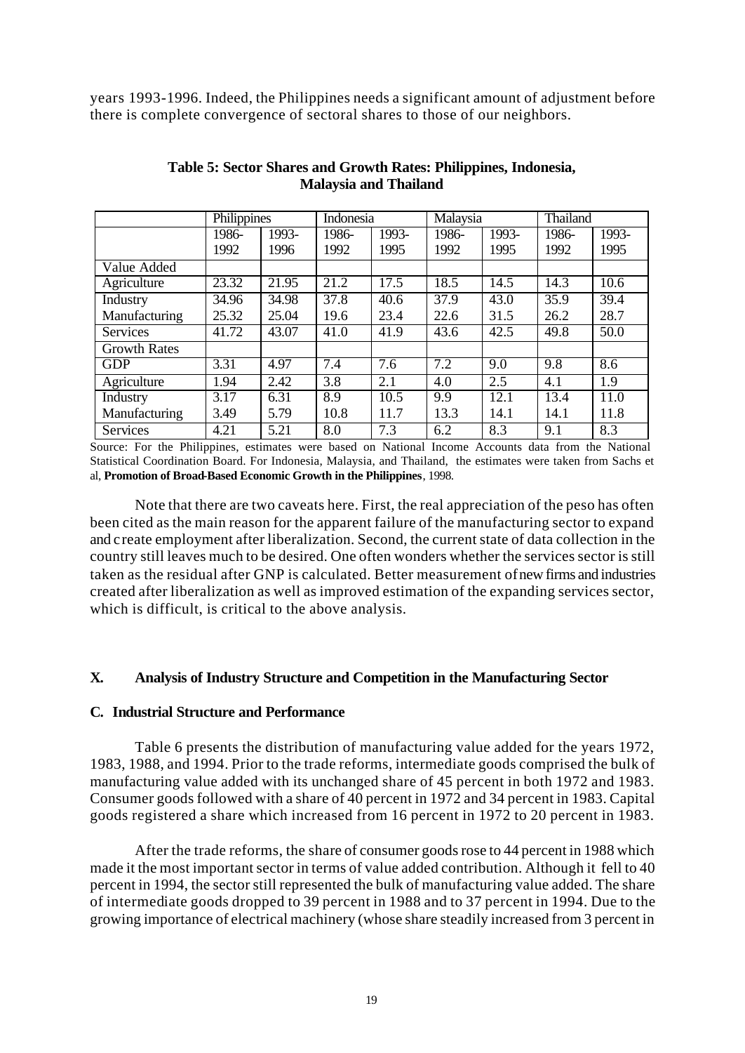years 1993-1996. Indeed, the Philippines needs a significant amount of adjustment before there is complete convergence of sectoral shares to those of our neighbors.

|                     | Philippines |       | Indonesia |       | Malaysia |       | Thailand |       |
|---------------------|-------------|-------|-----------|-------|----------|-------|----------|-------|
|                     | 1986-       | 1993- | 1986-     | 1993- | 1986-    | 1993- | 1986-    | 1993- |
|                     | 1992        | 1996  | 1992      | 1995  | 1992     | 1995  | 1992     | 1995  |
| Value Added         |             |       |           |       |          |       |          |       |
| Agriculture         | 23.32       | 21.95 | 21.2      | 17.5  | 18.5     | 14.5  | 14.3     | 10.6  |
| Industry            | 34.96       | 34.98 | 37.8      | 40.6  | 37.9     | 43.0  | 35.9     | 39.4  |
| Manufacturing       | 25.32       | 25.04 | 19.6      | 23.4  | 22.6     | 31.5  | 26.2     | 28.7  |
| <b>Services</b>     | 41.72       | 43.07 | 41.0      | 41.9  | 43.6     | 42.5  | 49.8     | 50.0  |
| <b>Growth Rates</b> |             |       |           |       |          |       |          |       |
| <b>GDP</b>          | 3.31        | 4.97  | 7.4       | 7.6   | 7.2      | 9.0   | 9.8      | 8.6   |
| Agriculture         | 1.94        | 2.42  | 3.8       | 2.1   | 4.0      | 2.5   | 4.1      | 1.9   |
| Industry            | 3.17        | 6.31  | 8.9       | 10.5  | 9.9      | 12.1  | 13.4     | 11.0  |
| Manufacturing       | 3.49        | 5.79  | 10.8      | 11.7  | 13.3     | 14.1  | 14.1     | 11.8  |
| Services            | 4.21        | 5.21  | 8.0       | 7.3   | 6.2      | 8.3   | 9.1      | 8.3   |

#### **Table 5: Sector Shares and Growth Rates: Philippines, Indonesia, Malaysia and Thailand**

Source: For the Philippines, estimates were based on National Income Accounts data from the National Statistical Coordination Board. For Indonesia, Malaysia, and Thailand, the estimates were taken from Sachs et al, **Promotion of Broad-Based Economic Growth in the Philippines**, 1998.

Note that there are two caveats here. First, the real appreciation of the peso has often been cited as the main reason for the apparent failure of the manufacturing sector to expand and create employment after liberalization. Second, the current state of data collection in the country still leaves much to be desired. One often wonders whether the services sector is still taken as the residual after GNP is calculated. Better measurement of new firms and industries created after liberalization as well as improved estimation of the expanding services sector, which is difficult, is critical to the above analysis.

## **X. Analysis of Industry Structure and Competition in the Manufacturing Sector**

## **C. Industrial Structure and Performance**

Table 6 presents the distribution of manufacturing value added for the years 1972, 1983, 1988, and 1994. Prior to the trade reforms, intermediate goods comprised the bulk of manufacturing value added with its unchanged share of 45 percent in both 1972 and 1983. Consumer goods followed with a share of 40 percent in 1972 and 34 percent in 1983. Capital goods registered a share which increased from 16 percent in 1972 to 20 percent in 1983.

After the trade reforms, the share of consumer goods rose to 44 percent in 1988 which made it the most important sector in terms of value added contribution. Although it fell to 40 percent in 1994, the sector still represented the bulk of manufacturing value added. The share of intermediate goods dropped to 39 percent in 1988 and to 37 percent in 1994. Due to the growing importance of electrical machinery (whose share steadily increased from 3 percent in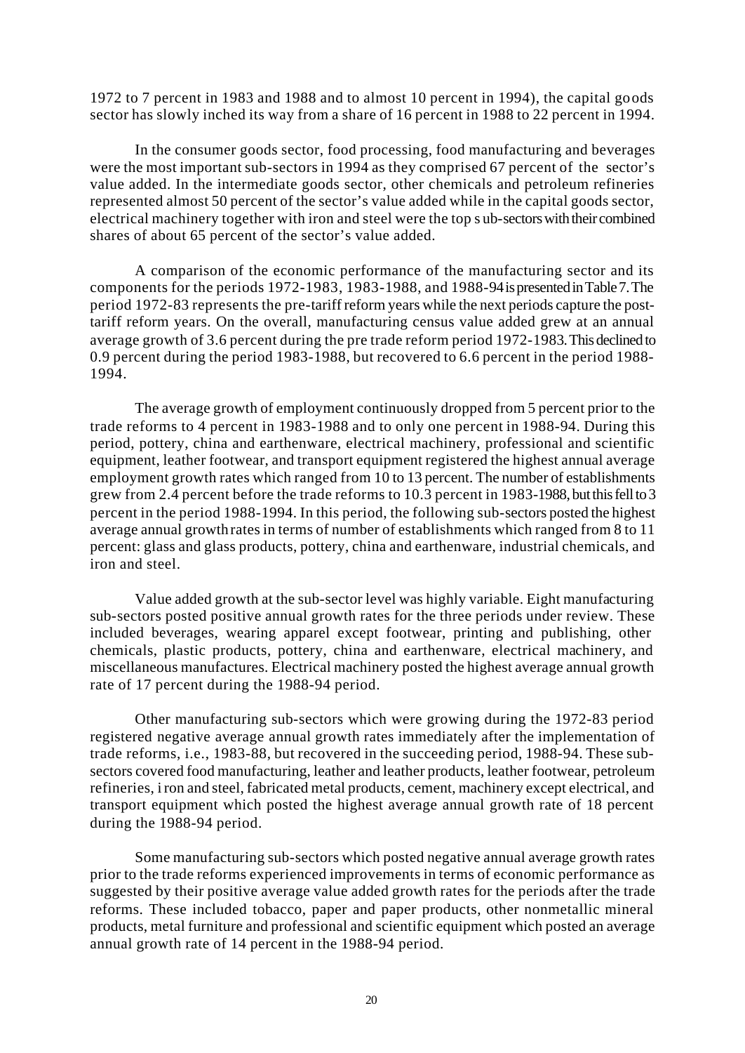1972 to 7 percent in 1983 and 1988 and to almost 10 percent in 1994), the capital goods sector has slowly inched its way from a share of 16 percent in 1988 to 22 percent in 1994.

In the consumer goods sector, food processing, food manufacturing and beverages were the most important sub-sectors in 1994 as they comprised 67 percent of the sector's value added. In the intermediate goods sector, other chemicals and petroleum refineries represented almost 50 percent of the sector's value added while in the capital goods sector, electrical machinery together with iron and steel were the top s ub-sectors with their combined shares of about 65 percent of the sector's value added.

A comparison of the economic performance of the manufacturing sector and its components for the periods 1972-1983, 1983-1988, and 1988-94 is presented in Table 7. The period 1972-83 represents the pre-tariff reform years while the next periods capture the posttariff reform years. On the overall, manufacturing census value added grew at an annual average growth of 3.6 percent during the pre trade reform period 1972-1983. This declined to 0.9 percent during the period 1983-1988, but recovered to 6.6 percent in the period 1988- 1994.

The average growth of employment continuously dropped from 5 percent prior to the trade reforms to 4 percent in 1983-1988 and to only one percent in 1988-94. During this period, pottery, china and earthenware, electrical machinery, professional and scientific equipment, leather footwear, and transport equipment registered the highest annual average employment growth rates which ranged from 10 to 13 percent. The number of establishments grew from 2.4 percent before the trade reforms to 10.3 percent in 1983-1988, but this fell to 3 percent in the period 1988-1994. In this period, the following sub-sectors posted the highest average annual growth rates in terms of number of establishments which ranged from 8 to 11 percent: glass and glass products, pottery, china and earthenware, industrial chemicals, and iron and steel.

Value added growth at the sub-sector level was highly variable. Eight manufacturing sub-sectors posted positive annual growth rates for the three periods under review. These included beverages, wearing apparel except footwear, printing and publishing, other chemicals, plastic products, pottery, china and earthenware, electrical machinery, and miscellaneous manufactures. Electrical machinery posted the highest average annual growth rate of 17 percent during the 1988-94 period.

Other manufacturing sub-sectors which were growing during the 1972-83 period registered negative average annual growth rates immediately after the implementation of trade reforms, i.e., 1983-88, but recovered in the succeeding period, 1988-94. These subsectors covered food manufacturing, leather and leather products, leather footwear, petroleum refineries, iron and steel, fabricated metal products, cement, machinery except electrical, and transport equipment which posted the highest average annual growth rate of 18 percent during the 1988-94 period.

Some manufacturing sub-sectors which posted negative annual average growth rates prior to the trade reforms experienced improvements in terms of economic performance as suggested by their positive average value added growth rates for the periods after the trade reforms. These included tobacco, paper and paper products, other nonmetallic mineral products, metal furniture and professional and scientific equipment which posted an average annual growth rate of 14 percent in the 1988-94 period.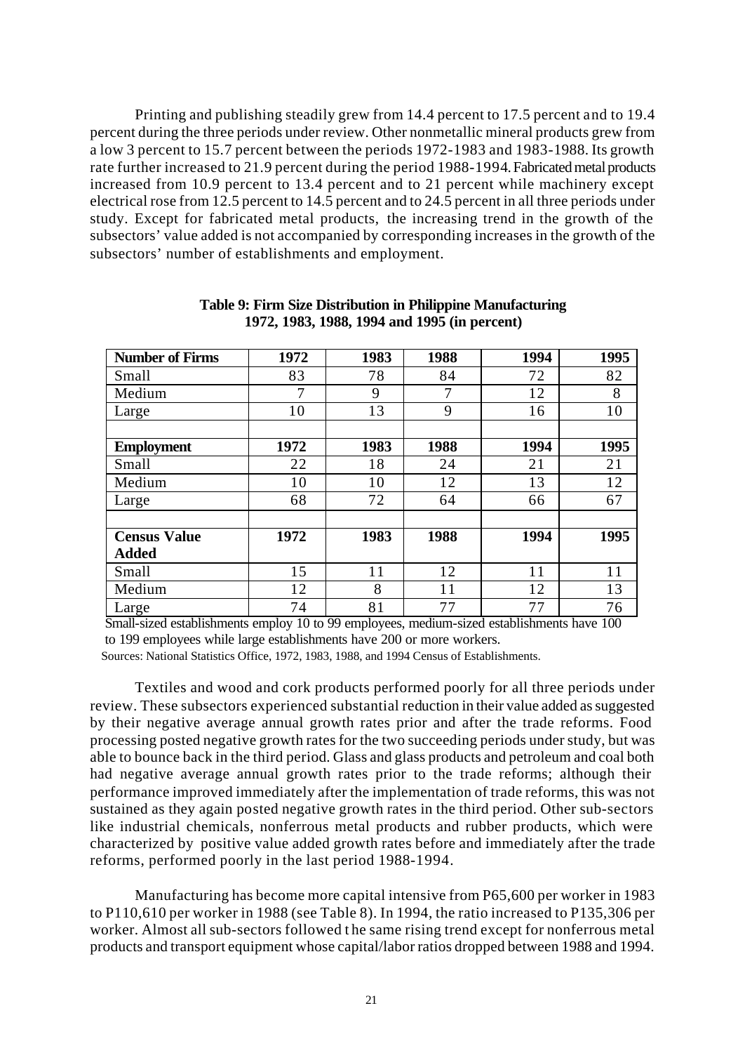Printing and publishing steadily grew from 14.4 percent to 17.5 percent and to 19.4 percent during the three periods under review. Other nonmetallic mineral products grew from a low 3 percent to 15.7 percent between the periods 1972-1983 and 1983-1988. Its growth rate further increased to 21.9 percent during the period 1988-1994. Fabricated metal products increased from 10.9 percent to 13.4 percent and to 21 percent while machinery except electrical rose from 12.5 percent to 14.5 percent and to 24.5 percent in all three periods under study. Except for fabricated metal products, the increasing trend in the growth of the subsectors' value added is not accompanied by corresponding increases in the growth of the subsectors' number of establishments and employment.

| <b>Number of Firms</b> | 1972 | 1983 | 1988 | 1994 | 1995 |
|------------------------|------|------|------|------|------|
| Small                  | 83   | 78   | 84   | 72   | 82   |
| Medium                 | 7    | 9    | 7    | 12   | 8    |
| Large                  | 10   | 13   | 9    | 16   | 10   |
|                        |      |      |      |      |      |
| <b>Employment</b>      | 1972 | 1983 | 1988 | 1994 | 1995 |
| Small                  | 22   | 18   | 24   | 21   | 21   |
| Medium                 | 10   | 10   | 12   | 13   | 12   |
| Large                  | 68   | 72   | 64   | 66   | 67   |
|                        |      |      |      |      |      |
| <b>Census Value</b>    | 1972 | 1983 | 1988 | 1994 | 1995 |
| <b>Added</b>           |      |      |      |      |      |
| Small                  | 15   | 11   | 12   | 11   | 11   |
| Medium                 | 12   | 8    | 11   | 12   | 13   |
| Large                  | 74   | 81   | 77   | 77   | 76   |

**Table 9: Firm Size Distribution in Philippine Manufacturing 1972, 1983, 1988, 1994 and 1995 (in percent)**

 Small-sized establishments employ 10 to 99 employees, medium-sized establishments have 100 to 199 employees while large establishments have 200 or more workers.

Sources: National Statistics Office, 1972, 1983, 1988, and 1994 Census of Establishments.

Textiles and wood and cork products performed poorly for all three periods under review. These subsectors experienced substantial reduction in their value added as suggested by their negative average annual growth rates prior and after the trade reforms. Food processing posted negative growth rates for the two succeeding periods under study, but was able to bounce back in the third period. Glass and glass products and petroleum and coal both had negative average annual growth rates prior to the trade reforms; although their performance improved immediately after the implementation of trade reforms, this was not sustained as they again posted negative growth rates in the third period. Other sub-sectors like industrial chemicals, nonferrous metal products and rubber products, which were characterized by positive value added growth rates before and immediately after the trade reforms, performed poorly in the last period 1988-1994.

Manufacturing has become more capital intensive from P65,600 per worker in 1983 to P110,610 per worker in 1988 (see Table 8). In 1994, the ratio increased to P135,306 per worker. Almost all sub-sectors followed t he same rising trend except for nonferrous metal products and transport equipment whose capital/labor ratios dropped between 1988 and 1994.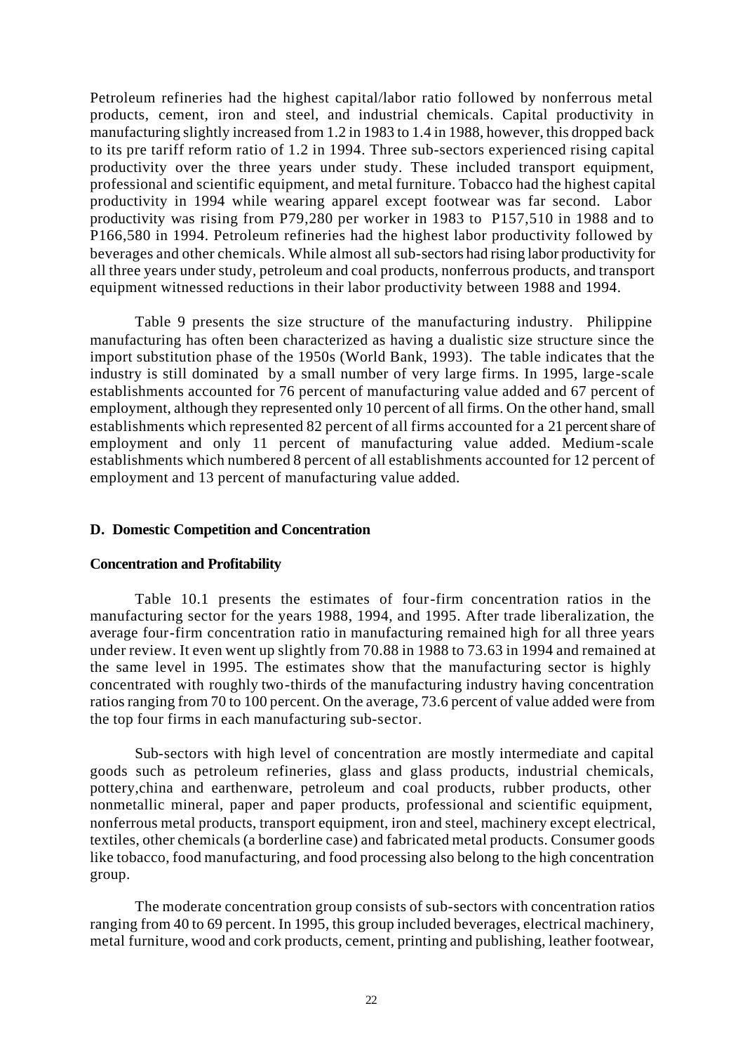Petroleum refineries had the highest capital/labor ratio followed by nonferrous metal products, cement, iron and steel, and industrial chemicals. Capital productivity in manufacturing slightly increased from 1.2 in 1983 to 1.4 in 1988, however, this dropped back to its pre tariff reform ratio of 1.2 in 1994. Three sub-sectors experienced rising capital productivity over the three years under study. These included transport equipment, professional and scientific equipment, and metal furniture. Tobacco had the highest capital productivity in 1994 while wearing apparel except footwear was far second. Labor productivity was rising from P79,280 per worker in 1983 to P157,510 in 1988 and to P166,580 in 1994. Petroleum refineries had the highest labor productivity followed by beverages and other chemicals. While almost all sub-sectors had rising labor productivity for all three years under study, petroleum and coal products, nonferrous products, and transport equipment witnessed reductions in their labor productivity between 1988 and 1994.

Table 9 presents the size structure of the manufacturing industry. Philippine manufacturing has often been characterized as having a dualistic size structure since the import substitution phase of the 1950s (World Bank, 1993). The table indicates that the industry is still dominated by a small number of very large firms. In 1995, large-scale establishments accounted for 76 percent of manufacturing value added and 67 percent of employment, although they represented only 10 percent of all firms. On the other hand, small establishments which represented 82 percent of all firms accounted for a 21 percent share of employment and only 11 percent of manufacturing value added. Medium-scale establishments which numbered 8 percent of all establishments accounted for 12 percent of employment and 13 percent of manufacturing value added.

## **D. Domestic Competition and Concentration**

#### **Concentration and Profitability**

Table 10.1 presents the estimates of four-firm concentration ratios in the manufacturing sector for the years 1988, 1994, and 1995. After trade liberalization, the average four-firm concentration ratio in manufacturing remained high for all three years under review. It even went up slightly from 70.88 in 1988 to 73.63 in 1994 and remained at the same level in 1995. The estimates show that the manufacturing sector is highly concentrated with roughly two-thirds of the manufacturing industry having concentration ratios ranging from 70 to 100 percent. On the average, 73.6 percent of value added were from the top four firms in each manufacturing sub-sector.

Sub-sectors with high level of concentration are mostly intermediate and capital goods such as petroleum refineries, glass and glass products, industrial chemicals, pottery,china and earthenware, petroleum and coal products, rubber products, other nonmetallic mineral, paper and paper products, professional and scientific equipment, nonferrous metal products, transport equipment, iron and steel, machinery except electrical, textiles, other chemicals (a borderline case) and fabricated metal products. Consumer goods like tobacco, food manufacturing, and food processing also belong to the high concentration group.

The moderate concentration group consists of sub-sectors with concentration ratios ranging from 40 to 69 percent. In 1995, this group included beverages, electrical machinery, metal furniture, wood and cork products, cement, printing and publishing, leather footwear,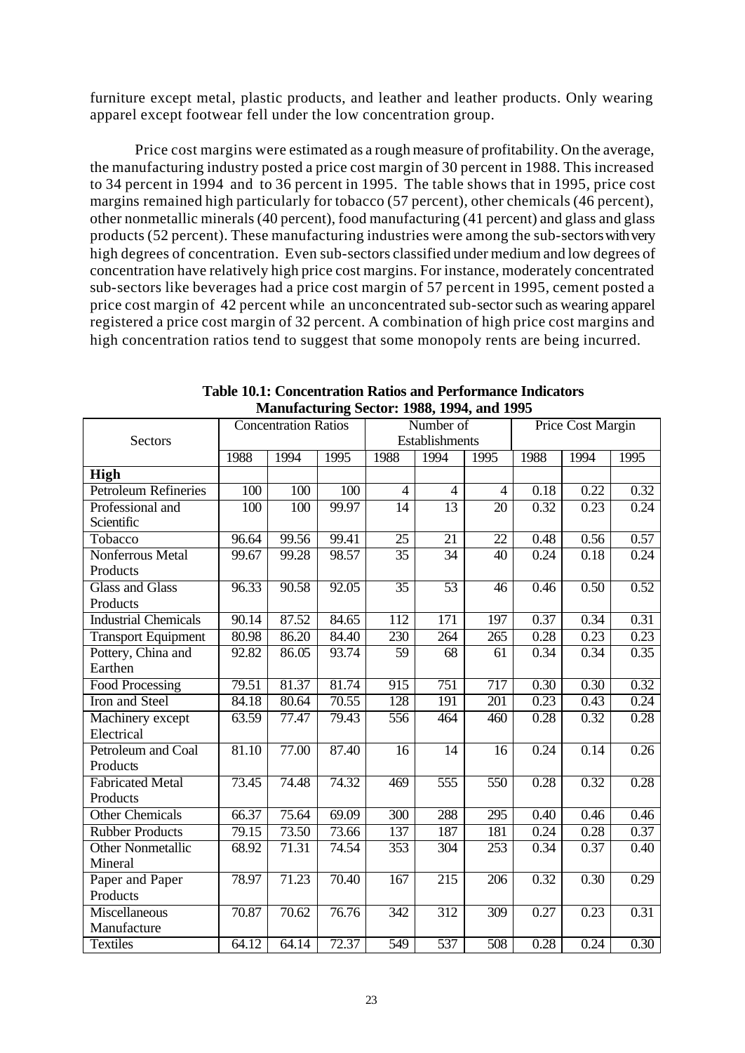furniture except metal, plastic products, and leather and leather products. Only wearing apparel except footwear fell under the low concentration group.

Price cost margins were estimated as a rough measure of profitability. On the average, the manufacturing industry posted a price cost margin of 30 percent in 1988. This increased to 34 percent in 1994 and to 36 percent in 1995. The table shows that in 1995, price cost margins remained high particularly for tobacco (57 percent), other chemicals (46 percent), other nonmetallic minerals (40 percent), food manufacturing (41 percent) and glass and glass products (52 percent). These manufacturing industries were among the sub-sectors with very high degrees of concentration. Even sub-sectors classified under medium and low degrees of concentration have relatively high price cost margins. For instance, moderately concentrated sub-sectors like beverages had a price cost margin of 57 percent in 1995, cement posted a price cost margin of 42 percent while an unconcentrated sub-sector such as wearing apparel registered a price cost margin of 32 percent. A combination of high price cost margins and high concentration ratios tend to suggest that some monopoly rents are being incurred.

|                                     |                  | <b>Concentration Ratios</b> |       |                  | Number of        |                  |      | <b>Price Cost Margin</b> |      |
|-------------------------------------|------------------|-----------------------------|-------|------------------|------------------|------------------|------|--------------------------|------|
| Sectors                             |                  |                             |       |                  | Establishments   |                  |      |                          |      |
|                                     | 1988             | 1994                        | 1995  | 1988             | 1994             | 1995             | 1988 | 1994                     | 1995 |
| High                                |                  |                             |       |                  |                  |                  |      |                          |      |
| <b>Petroleum Refineries</b>         | 100              | 100                         | 100   | $\overline{4}$   | $\overline{4}$   | $\overline{4}$   | 0.18 | 0.22                     | 0.32 |
| Professional and<br>Scientific      | $\overline{100}$ | 100                         | 99.97 | $\overline{14}$  | 13               | 20               | 0.32 | 0.23                     | 0.24 |
| Tobacco                             | 96.64            | 99.56                       | 99.41 | $\overline{25}$  | $\overline{21}$  | $\overline{22}$  | 0.48 | 0.56                     | 0.57 |
| Nonferrous Metal<br>Products        | 99.67            | 99.28                       | 98.57 | $\overline{35}$  | 34               | $\overline{40}$  | 0.24 | 0.18                     | 0.24 |
| <b>Glass and Glass</b><br>Products  | 96.33            | 90.58                       | 92.05 | $\overline{35}$  | 53               | $\overline{46}$  | 0.46 | 0.50                     | 0.52 |
| <b>Industrial Chemicals</b>         | 90.14            | 87.52                       | 84.65 | $\overline{112}$ | $\overline{171}$ | $\overline{197}$ | 0.37 | 0.34                     | 0.31 |
| <b>Transport Equipment</b>          | 80.98            | 86.20                       | 84.40 | 230              | 264              | 265              | 0.28 | 0.23                     | 0.23 |
| Pottery, China and<br>Earthen       | 92.82            | 86.05                       | 93.74 | 59               | 68               | 61               | 0.34 | 0.34                     | 0.35 |
| Food Processing                     | 79.51            | 81.37                       | 81.74 | 915              | $\overline{751}$ | 717              | 0.30 | 0.30                     | 0.32 |
| Iron and Steel                      | 84.18            | 80.64                       | 70.55 | 128              | 191              | $\overline{201}$ | 0.23 | 0.43                     | 0.24 |
| Machinery except<br>Electrical      | 63.59            | 77.47                       | 79.43 | 556              | 464              | 460              | 0.28 | 0.32                     | 0.28 |
| Petroleum and Coal<br>Products      | 81.10            | 77.00                       | 87.40 | 16               | 14               | 16               | 0.24 | 0.14                     | 0.26 |
| <b>Fabricated Metal</b><br>Products | 73.45            | 74.48                       | 74.32 | 469              | $\overline{555}$ | $\overline{550}$ | 0.28 | 0.32                     | 0.28 |
| Other Chemicals                     | 66.37            | 75.64                       | 69.09 | $\overline{300}$ | 288              | $\overline{295}$ | 0.40 | 0.46                     | 0.46 |
| <b>Rubber Products</b>              | 79.15            | 73.50                       | 73.66 | 137              | 187              | 181              | 0.24 | 0.28                     | 0.37 |
| <b>Other Nonmetallic</b><br>Mineral | 68.92            | 71.31                       | 74.54 | 353              | 304              | 253              | 0.34 | 0.37                     | 0.40 |
| Paper and Paper<br>Products         | 78.97            | 71.23                       | 70.40 | $\overline{167}$ | 215              | $\overline{206}$ | 0.32 | 0.30                     | 0.29 |
| Miscellaneous<br>Manufacture        | 70.87            | 70.62                       | 76.76 | 342              | $\overline{312}$ | 309              | 0.27 | 0.23                     | 0.31 |
| <b>Textiles</b>                     | 64.12            | 64.14                       | 72.37 | 549              | $\overline{537}$ | 508              | 0.28 | 0.24                     | 0.30 |

**Table 10.1: Concentration Ratios and Performance Indicators Manufacturing Sector: 1988, 1994, and 1995**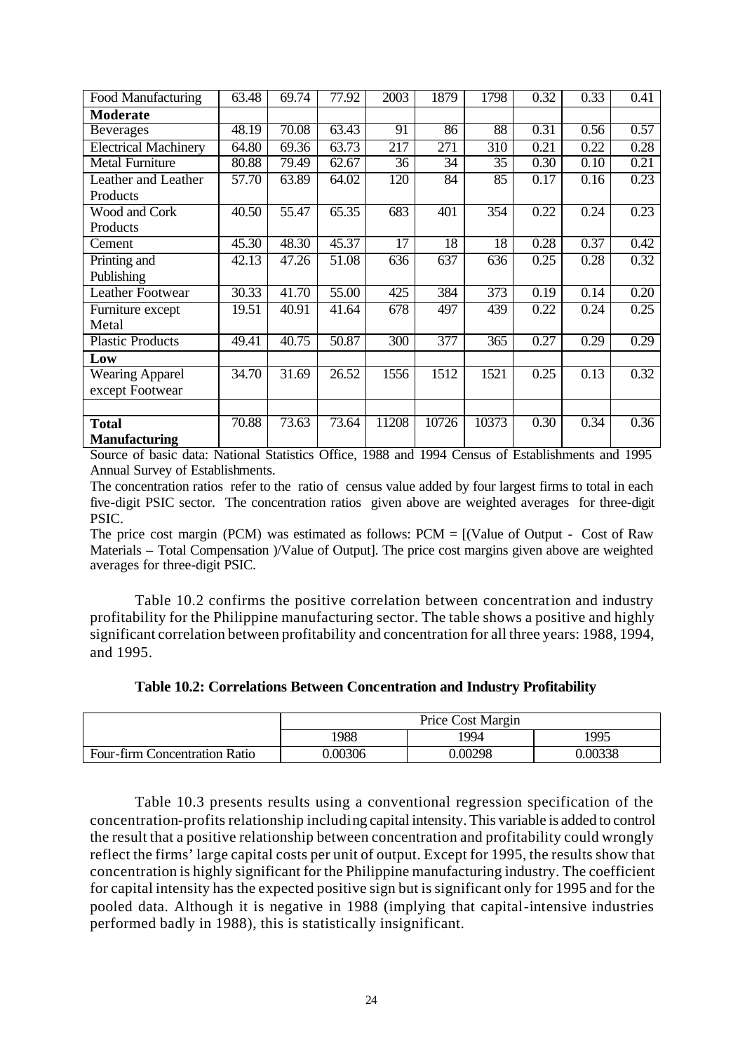| Food Manufacturing          | 63.48 | 69.74 | 77.92              | 2003             | 1879  | 1798  | 0.32 | 0.33              | 0.41 |
|-----------------------------|-------|-------|--------------------|------------------|-------|-------|------|-------------------|------|
| <b>Moderate</b>             |       |       |                    |                  |       |       |      |                   |      |
| <b>Beverages</b>            | 48.19 | 70.08 | 63.43              | 91               | 86    | 88    | 0.31 | $\overline{0.56}$ | 0.57 |
| <b>Electrical Machinery</b> | 64.80 | 69.36 | 63.73              | $\overline{217}$ | 271   | 310   | 0.21 | 0.22              | 0.28 |
| <b>Metal Furniture</b>      | 80.88 | 79.49 | $\overline{62.67}$ | 36               | 34    | 35    | 0.30 | 0.10              | 0.21 |
| Leather and Leather         | 57.70 | 63.89 | 64.02              | 120              | 84    | 85    | 0.17 | 0.16              | 0.23 |
| Products                    |       |       |                    |                  |       |       |      |                   |      |
| Wood and Cork               | 40.50 | 55.47 | 65.35              | 683              | 401   | 354   | 0.22 | 0.24              | 0.23 |
| Products                    |       |       |                    |                  |       |       |      |                   |      |
| Cement                      | 45.30 | 48.30 | 45.37              | $\overline{17}$  | 18    | 18    | 0.28 | 0.37              | 0.42 |
| Printing and                | 42.13 | 47.26 | 51.08              | 636              | 637   | 636   | 0.25 | 0.28              | 0.32 |
| Publishing                  |       |       |                    |                  |       |       |      |                   |      |
| <b>Leather Footwear</b>     | 30.33 | 41.70 | 55.00              | 425              | 384   | 373   | 0.19 | 0.14              | 0.20 |
| Furniture except            | 19.51 | 40.91 | 41.64              | 678              | 497   | 439   | 0.22 | 0.24              | 0.25 |
| Metal                       |       |       |                    |                  |       |       |      |                   |      |
| <b>Plastic Products</b>     | 49.41 | 40.75 | 50.87              | 300              | 377   | 365   | 0.27 | 0.29              | 0.29 |
| Low                         |       |       |                    |                  |       |       |      |                   |      |
| Wearing Apparel             | 34.70 | 31.69 | 26.52              | 1556             | 1512  | 1521  | 0.25 | 0.13              | 0.32 |
| except Footwear             |       |       |                    |                  |       |       |      |                   |      |
|                             |       |       |                    |                  |       |       |      |                   |      |
| <b>Total</b>                | 70.88 | 73.63 | 73.64              | 11208            | 10726 | 10373 | 0.30 | 0.34              | 0.36 |
| <b>Manufacturing</b>        |       |       |                    |                  |       |       |      |                   |      |

Source of basic data: National Statistics Office, 1988 and 1994 Census of Establishments and 1995 Annual Survey of Establishments.

The concentration ratios refer to the ratio of census value added by four largest firms to total in each five-digit PSIC sector. The concentration ratios given above are weighted averages for three-digit PSIC.

The price cost margin (PCM) was estimated as follows:  $PCM = [(Value of Output - Cost of Raw$ Materials – Total Compensation )/Value of Output]. The price cost margins given above are weighted averages for three-digit PSIC.

Table 10.2 confirms the positive correlation between concentration and industry profitability for the Philippine manufacturing sector. The table shows a positive and highly significant correlation between profitability and concentration for all three years: 1988, 1994, and 1995.

| Table 10.2: Correlations Between Concentration and Industry Profitability |
|---------------------------------------------------------------------------|
|---------------------------------------------------------------------------|

|                               |         | Price Cost Margin |         |
|-------------------------------|---------|-------------------|---------|
|                               | 1988    | 1994              | 1995    |
| Four-firm Concentration Ratio | 0.00306 | 0.00298           | 0.00338 |

Table 10.3 presents results using a conventional regression specification of the concentration-profits relationship including capital intensity. This variable is added to control the result that a positive relationship between concentration and profitability could wrongly reflect the firms' large capital costs per unit of output. Except for 1995, the results show that concentration is highly significant for the Philippine manufacturing industry. The coefficient for capital intensity has the expected positive sign but is significant only for 1995 and for the pooled data. Although it is negative in 1988 (implying that capital-intensive industries performed badly in 1988), this is statistically insignificant.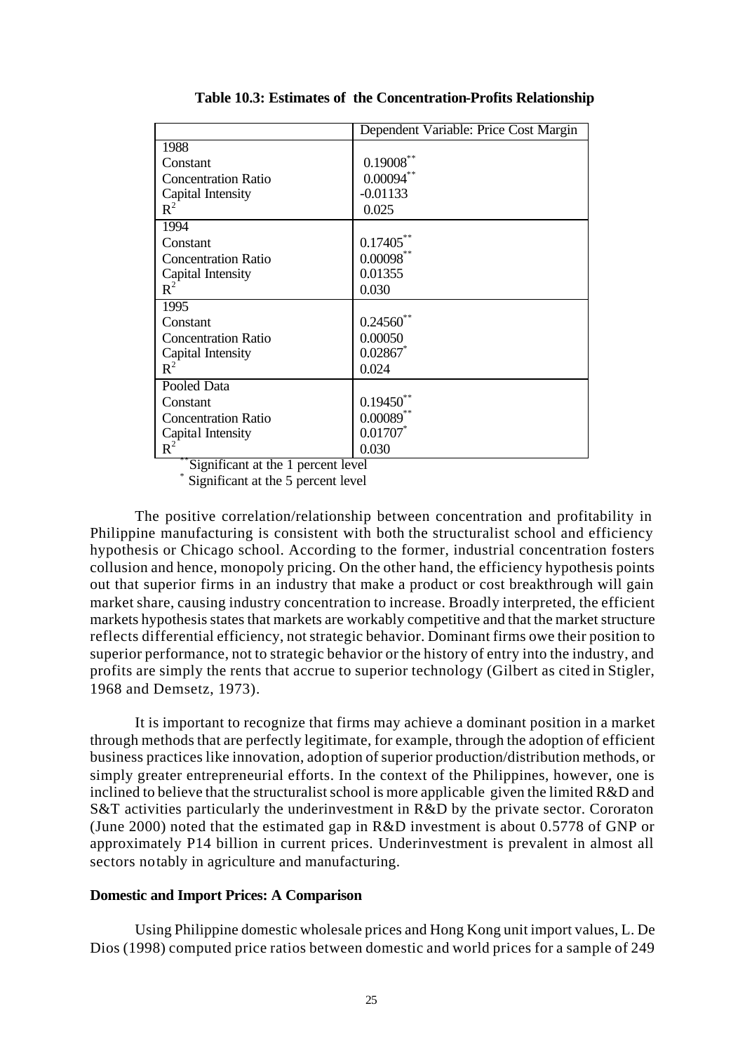|                            | Dependent Variable: Price Cost Margin |
|----------------------------|---------------------------------------|
| 1988                       |                                       |
| Constant                   | $0.19008$ **                          |
| <b>Concentration Ratio</b> | $0.00094$ **                          |
| Capital Intensity          | $-0.01133$                            |
| $R^2$                      | 0.025                                 |
| 1994                       |                                       |
| Constant                   | $0.17405***$                          |
| <b>Concentration Ratio</b> | $0.00098$ **                          |
| Capital Intensity          | 0.01355                               |
| $R^2$                      | 0.030                                 |
| 1995                       |                                       |
| Constant                   | $0.24560$ **                          |
| <b>Concentration Ratio</b> | 0.00050                               |
| Capital Intensity          | 0.02867                               |
| $R^2$                      | 0.024                                 |
| Pooled Data                |                                       |
| Constant                   | $0.19450$ **                          |
| <b>Concentration Ratio</b> | $0.00089$ **                          |
| Capital Intensity          | $0.01707$ *                           |
| $R^2$                      | 0.030                                 |

**Table 10.3: Estimates of the Concentration-Profits Relationship**

\*\*Significant at the 1 percent level \*

Significant at the 5 percent level

The positive correlation/relationship between concentration and profitability in Philippine manufacturing is consistent with both the structuralist school and efficiency hypothesis or Chicago school. According to the former, industrial concentration fosters collusion and hence, monopoly pricing. On the other hand, the efficiency hypothesis points out that superior firms in an industry that make a product or cost breakthrough will gain market share, causing industry concentration to increase. Broadly interpreted, the efficient markets hypothesis states that markets are workably competitive and that the market structure reflects differential efficiency, not strategic behavior. Dominant firms owe their position to superior performance, not to strategic behavior or the history of entry into the industry, and profits are simply the rents that accrue to superior technology (Gilbert as cited in Stigler, 1968 and Demsetz, 1973).

It is important to recognize that firms may achieve a dominant position in a market through methods that are perfectly legitimate, for example, through the adoption of efficient business practices like innovation, adoption of superior production/distribution methods, or simply greater entrepreneurial efforts. In the context of the Philippines, however, one is inclined to believe that the structuralist school is more applicable given the limited R&D and S&T activities particularly the underinvestment in R&D by the private sector. Cororaton (June 2000) noted that the estimated gap in R&D investment is about 0.5778 of GNP or approximately P14 billion in current prices. Underinvestment is prevalent in almost all sectors notably in agriculture and manufacturing.

#### **Domestic and Import Prices: A Comparison**

Using Philippine domestic wholesale prices and Hong Kong unit import values, L. De Dios (1998) computed price ratios between domestic and world prices for a sample of 249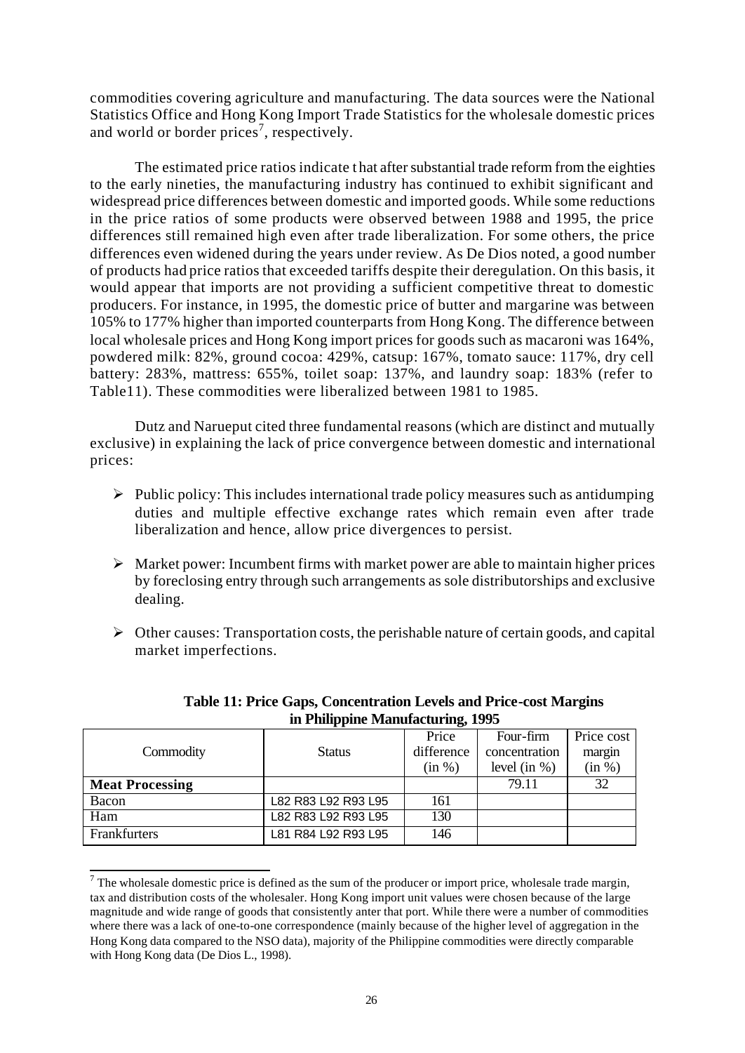commodities covering agriculture and manufacturing. The data sources were the National Statistics Office and Hong Kong Import Trade Statistics for the wholesale domestic prices and world or border prices<sup>7</sup>, respectively.

The estimated price ratios indicate t hat after substantial trade reform from the eighties to the early nineties, the manufacturing industry has continued to exhibit significant and widespread price differences between domestic and imported goods. While some reductions in the price ratios of some products were observed between 1988 and 1995, the price differences still remained high even after trade liberalization. For some others, the price differences even widened during the years under review. As De Dios noted, a good number of products had price ratios that exceeded tariffs despite their deregulation. On this basis, it would appear that imports are not providing a sufficient competitive threat to domestic producers. For instance, in 1995, the domestic price of butter and margarine was between 105% to 177% higher than imported counterparts from Hong Kong. The difference between local wholesale prices and Hong Kong import prices for goods such as macaroni was 164%, powdered milk: 82%, ground cocoa: 429%, catsup: 167%, tomato sauce: 117%, dry cell battery: 283%, mattress: 655%, toilet soap: 137%, and laundry soap: 183% (refer to Table11). These commodities were liberalized between 1981 to 1985.

Dutz and Narueput cited three fundamental reasons (which are distinct and mutually exclusive) in explaining the lack of price convergence between domestic and international prices:

- $\triangleright$  Public policy: This includes international trade policy measures such as antidumping duties and multiple effective exchange rates which remain even after trade liberalization and hence, allow price divergences to persist.
- $\triangleright$  Market power: Incumbent firms with market power are able to maintain higher prices by foreclosing entry through such arrangements as sole distributorships and exclusive dealing.
- $\triangleright$  Other causes: Transportation costs, the perishable nature of certain goods, and capital market imperfections.

|                        |                     | Price      | Four-firm      | Price cost |
|------------------------|---------------------|------------|----------------|------------|
| Commodity              | <b>Status</b>       | difference | concentration  | margin     |
|                        |                     | (in %)     | level $(in %)$ | (in %)     |
| <b>Meat Processing</b> |                     |            | 79.11          | 32         |
| Bacon                  | L82 R83 L92 R93 L95 | 161        |                |            |
| Ham                    | L82 R83 L92 R93 L95 | 130        |                |            |
| Frankfurters           | L81 R84 L92 R93 L95 | 146        |                |            |

l

**Table 11: Price Gaps, Concentration Levels and Price-cost Margins in Philippine Manufacturing, 1995**

 $<sup>7</sup>$  The wholesale domestic price is defined as the sum of the producer or import price, wholesale trade margin,</sup> tax and distribution costs of the wholesaler. Hong Kong import unit values were chosen because of the large magnitude and wide range of goods that consistently anter that port. While there were a number of commodities where there was a lack of one-to-one correspondence (mainly because of the higher level of aggregation in the Hong Kong data compared to the NSO data), majority of the Philippine commodities were directly comparable with Hong Kong data (De Dios L., 1998).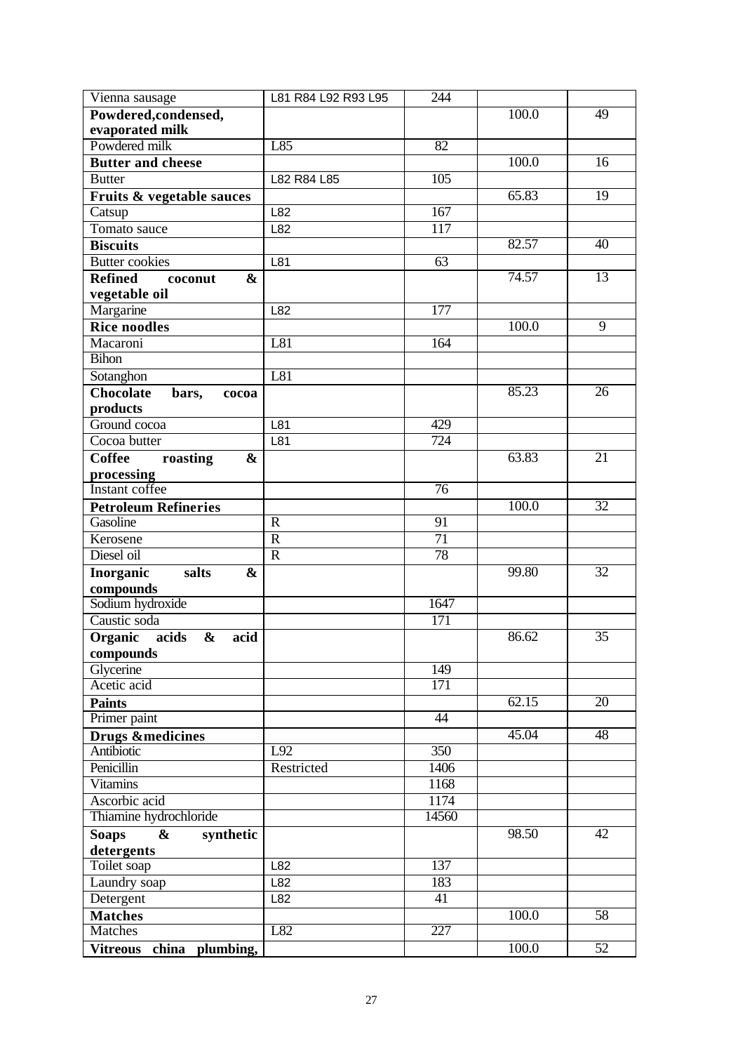| Vienna sausage                                 | L81 R84 L92 R93 L95 | 244              |       |                 |
|------------------------------------------------|---------------------|------------------|-------|-----------------|
| Powdered, condensed,                           |                     |                  | 100.0 | 49              |
| evaporated milk                                |                     |                  |       |                 |
| Powdered milk                                  | L85                 | 82               |       |                 |
| <b>Butter and cheese</b>                       |                     |                  | 100.0 | 16              |
| <b>Butter</b>                                  | L82 R84 L85         | 105              |       |                 |
| Fruits & vegetable sauces                      |                     |                  | 65.83 | 19              |
| Catsup                                         | L82                 | 167              |       |                 |
| Tomato sauce                                   | L82                 | 117              |       |                 |
| <b>Biscuits</b>                                |                     |                  | 82.57 | 40              |
| <b>Butter cookies</b>                          | L81                 | $\overline{63}$  |       |                 |
| <b>Refined</b><br>$\boldsymbol{\&}$<br>coconut |                     |                  | 74.57 | $\overline{13}$ |
| vegetable oil                                  |                     |                  |       |                 |
| Margarine                                      | L82                 | $\overline{177}$ |       |                 |
| <b>Rice noodles</b>                            |                     |                  | 100.0 | $\overline{9}$  |
| Macaroni                                       | L81                 | 164              |       |                 |
| <b>Bihon</b>                                   |                     |                  |       |                 |
| Sotanghon                                      | L81                 |                  |       |                 |
| <b>Chocolate</b><br>bars,<br>cocoa             |                     |                  | 85.23 | 26              |
| products                                       |                     |                  |       |                 |
| Ground cocoa                                   | L81                 | 429              |       |                 |
| Cocoa butter                                   | L81                 | 724              |       |                 |
| <b>Coffee</b><br>$\boldsymbol{\&}$<br>roasting |                     |                  | 63.83 | 21              |
| processing                                     |                     |                  |       |                 |
| Instant coffee                                 |                     | $\overline{76}$  |       |                 |
| <b>Petroleum Refineries</b>                    |                     |                  | 100.0 | 32              |
| Gasoline                                       | $\overline{R}$      | 91               |       |                 |
| Kerosene                                       | $\mathbf R$         | $\overline{71}$  |       |                 |
| Diesel oil                                     | $\overline{R}$      | 78               |       |                 |
| Inorganic<br>salts<br>&                        |                     |                  | 99.80 | 32              |
| compounds                                      |                     |                  |       |                 |
| Sodium hydroxide                               |                     | 1647             |       |                 |
| Caustic soda                                   |                     | $\overline{171}$ |       |                 |
| Organic acids<br>&<br>acid                     |                     |                  | 86.62 | $\overline{35}$ |
| compounds                                      |                     |                  |       |                 |
| Glycerine                                      |                     | $\overline{149}$ |       |                 |
| Acetic acid                                    |                     | $\overline{171}$ |       |                 |
| <b>Paints</b>                                  |                     |                  | 62.15 | $\overline{20}$ |
| Primer paint                                   |                     | $\overline{44}$  |       |                 |
| <b>Drugs &amp;medicines</b>                    |                     |                  | 45.04 | 48              |
| <b>Antibiotic</b>                              | L92                 | $\overline{350}$ |       |                 |
| Penicillin                                     | Restricted          | 1406             |       |                 |
| <b>Vitamins</b>                                |                     | 1168             |       |                 |
| Ascorbic acid                                  |                     | 1174             |       |                 |
| Thiamine hydrochloride                         |                     | 14560            |       |                 |
| <b>Soaps</b><br>&<br>synthetic                 |                     |                  | 98.50 | 42              |
| detergents                                     |                     |                  |       |                 |
| Toilet soap                                    | L82                 | $\overline{137}$ |       |                 |
| Laundry soap                                   | L82                 | 183              |       |                 |
| Detergent                                      | L82                 | 41               |       |                 |
| <b>Matches</b>                                 |                     |                  | 100.0 | 58              |
| Matches                                        | L82                 | 227              |       |                 |
| Vitreous china plumbing,                       |                     |                  | 100.0 | 52              |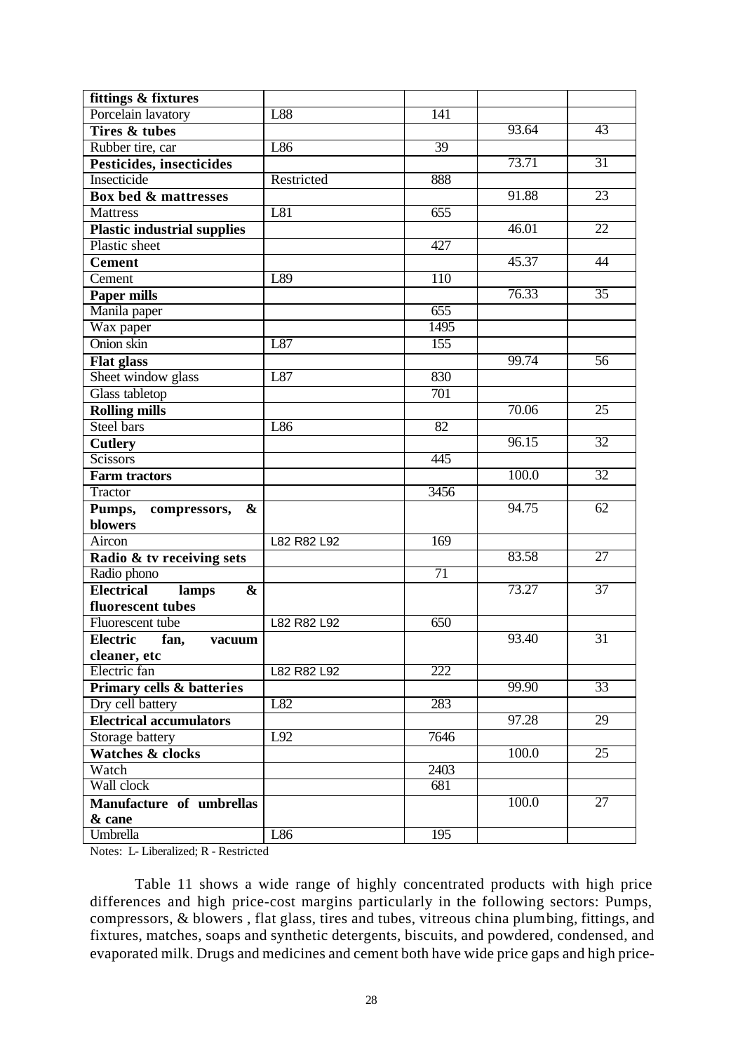| fittings & fixtures                             |             |                  |       |                 |
|-------------------------------------------------|-------------|------------------|-------|-----------------|
| Porcelain lavatory                              | L88         | $\overline{141}$ |       |                 |
| <b>Tires &amp; tubes</b>                        |             |                  | 93.64 | 43              |
| Rubber tire, car                                | L86         | 39               |       |                 |
| Pesticides, insecticides                        |             |                  | 73.71 | 31              |
| <b>Insecticide</b>                              | Restricted  | 888              |       |                 |
| Box bed & mattresses                            |             |                  | 91.88 | 23              |
| <b>Mattress</b>                                 | L81         | 655              |       |                 |
| <b>Plastic industrial supplies</b>              |             |                  | 46.01 | $\overline{22}$ |
| Plastic sheet                                   |             | 427              |       |                 |
| <b>Cement</b>                                   |             |                  | 45.37 | 44              |
| Cement                                          | L89         | 110              |       |                 |
| Paper mills                                     |             |                  | 76.33 | $\overline{35}$ |
| Manila paper                                    |             | 655              |       |                 |
| Wax paper                                       |             | 1495             |       |                 |
| Onion skin                                      | L87         | $\overline{155}$ |       |                 |
| <b>Flat glass</b>                               |             |                  | 99.74 | 56              |
| Sheet window glass                              | L87         | 830              |       |                 |
| <b>Glass tabletop</b>                           |             | 701              |       |                 |
| <b>Rolling mills</b>                            |             |                  | 70.06 | 25              |
| Steel bars                                      | L86         | $\overline{82}$  |       |                 |
| <b>Cutlery</b>                                  |             |                  | 96.15 | $\overline{32}$ |
| <b>Scissors</b>                                 |             | 445              |       |                 |
| <b>Farm tractors</b>                            |             |                  | 100.0 | $\overline{32}$ |
| Tractor                                         |             | 3456             |       |                 |
| Pumps,<br>&<br>compressors,                     |             |                  | 94.75 | 62              |
| <b>blowers</b>                                  |             |                  |       |                 |
| Aircon                                          | L82 R82 L92 | 169              |       |                 |
| Radio & tv receiving sets                       |             |                  | 83.58 | $\overline{27}$ |
| Radio phono                                     |             | $\overline{71}$  |       |                 |
| <b>Electrical</b><br>$\boldsymbol{\&}$<br>lamps |             |                  | 73.27 | $\overline{37}$ |
| fluorescent tubes                               |             |                  |       |                 |
| Fluorescent tube                                | L82 R82 L92 | 650              |       |                 |
| <b>Electric</b><br>fan,<br>vacuum               |             |                  | 93.40 | 31              |
| cleaner, etc                                    |             |                  |       |                 |
| Electric fan                                    | L82 R82 L92 | $\overline{222}$ |       |                 |
| <b>Primary cells &amp; batteries</b>            |             |                  | 99.90 | $\overline{33}$ |
| Dry cell battery                                | L82         | 283              |       |                 |
| <b>Electrical accumulators</b>                  |             |                  | 97.28 | 29              |
| Storage battery                                 | L92         | 7646             |       |                 |
| <b>Watches &amp; clocks</b>                     |             |                  | 100.0 | $\overline{25}$ |
| Watch                                           |             | 2403             |       |                 |
| Wall clock                                      |             | 681              |       |                 |
| Manufacture of umbrellas                        |             |                  | 100.0 | 27              |
| & cane                                          |             |                  |       |                 |
| Umbrella                                        | L86         | 195              |       |                 |

Notes: L- Liberalized; R - Restricted

Table 11 shows a wide range of highly concentrated products with high price differences and high price-cost margins particularly in the following sectors: Pumps, compressors, & blowers , flat glass, tires and tubes, vitreous china plumbing, fittings, and fixtures, matches, soaps and synthetic detergents, biscuits, and powdered, condensed, and evaporated milk. Drugs and medicines and cement both have wide price gaps and high price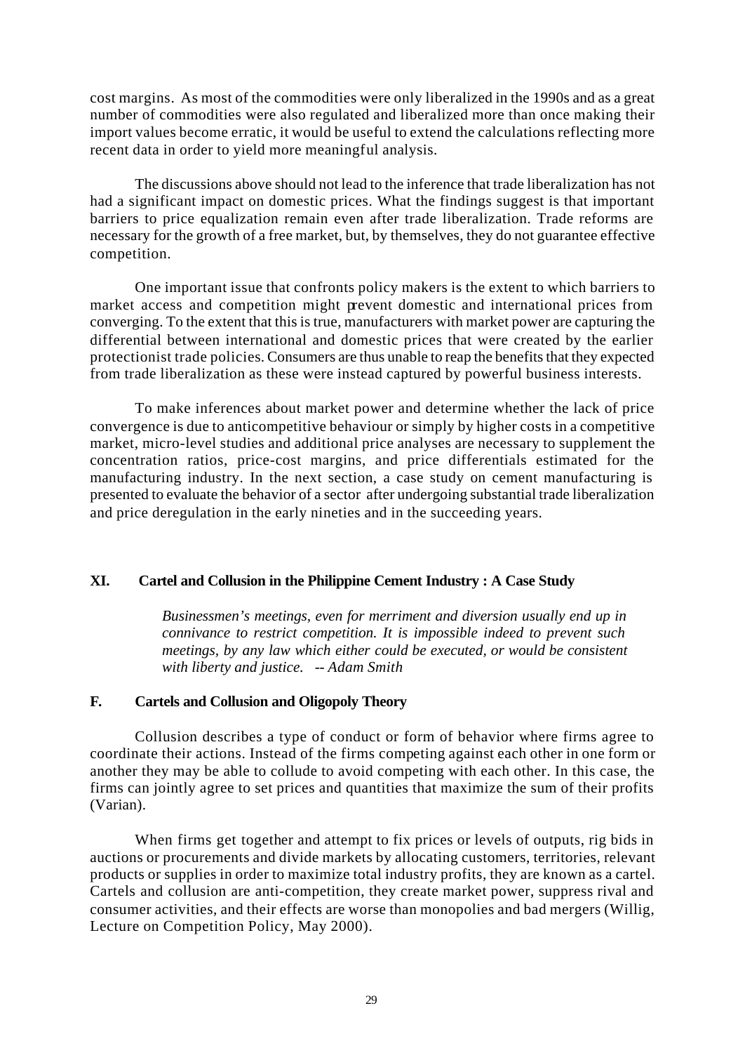cost margins. As most of the commodities were only liberalized in the 1990s and as a great number of commodities were also regulated and liberalized more than once making their import values become erratic, it would be useful to extend the calculations reflecting more recent data in order to yield more meaningful analysis.

The discussions above should not lead to the inference that trade liberalization has not had a significant impact on domestic prices. What the findings suggest is that important barriers to price equalization remain even after trade liberalization. Trade reforms are necessary for the growth of a free market, but, by themselves, they do not guarantee effective competition.

One important issue that confronts policy makers is the extent to which barriers to market access and competition might prevent domestic and international prices from converging. To the extent that this is true, manufacturers with market power are capturing the differential between international and domestic prices that were created by the earlier protectionist trade policies. Consumers are thus unable to reap the benefits that they expected from trade liberalization as these were instead captured by powerful business interests.

To make inferences about market power and determine whether the lack of price convergence is due to anticompetitive behaviour or simply by higher costs in a competitive market, micro-level studies and additional price analyses are necessary to supplement the concentration ratios, price-cost margins, and price differentials estimated for the manufacturing industry. In the next section, a case study on cement manufacturing is presented to evaluate the behavior of a sector after undergoing substantial trade liberalization and price deregulation in the early nineties and in the succeeding years.

## **XI. Cartel and Collusion in the Philippine Cement Industry : A Case Study**

*Businessmen's meetings, even for merriment and diversion usually end up in connivance to restrict competition. It is impossible indeed to prevent such meetings, by any law which either could be executed, or would be consistent with liberty and justice. -- Adam Smith*

## **F. Cartels and Collusion and Oligopoly Theory**

Collusion describes a type of conduct or form of behavior where firms agree to coordinate their actions. Instead of the firms competing against each other in one form or another they may be able to collude to avoid competing with each other. In this case, the firms can jointly agree to set prices and quantities that maximize the sum of their profits (Varian).

When firms get together and attempt to fix prices or levels of outputs, rig bids in auctions or procurements and divide markets by allocating customers, territories, relevant products or supplies in order to maximize total industry profits, they are known as a cartel. Cartels and collusion are anti-competition, they create market power, suppress rival and consumer activities, and their effects are worse than monopolies and bad mergers (Willig, Lecture on Competition Policy, May 2000).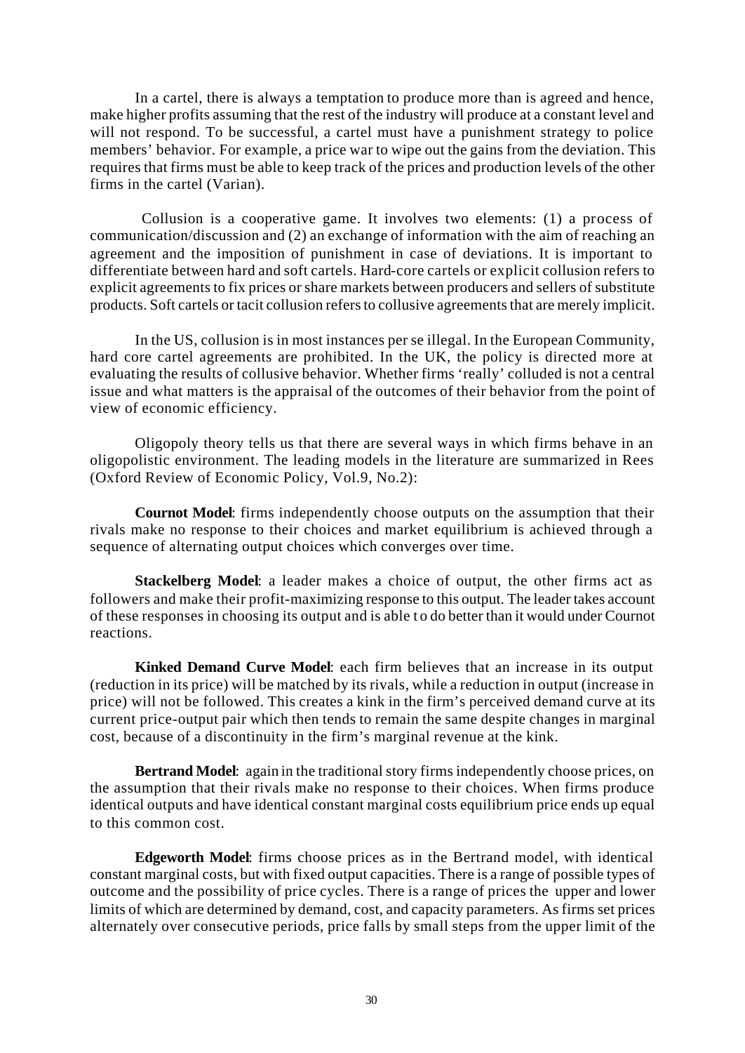In a cartel, there is always a temptation to produce more than is agreed and hence, make higher profits assuming that the rest of the industry will produce at a constant level and will not respond. To be successful, a cartel must have a punishment strategy to police members' behavior. For example, a price war to wipe out the gains from the deviation. This requires that firms must be able to keep track of the prices and production levels of the other firms in the cartel (Varian).

 Collusion is a cooperative game. It involves two elements: (1) a process of communication/discussion and (2) an exchange of information with the aim of reaching an agreement and the imposition of punishment in case of deviations. It is important to differentiate between hard and soft cartels. Hard-core cartels or explicit collusion refers to explicit agreements to fix prices or share markets between producers and sellers of substitute products. Soft cartels or tacit collusion refers to collusive agreements that are merely implicit.

In the US, collusion is in most instances per se illegal. In the European Community, hard core cartel agreements are prohibited. In the UK, the policy is directed more at evaluating the results of collusive behavior. Whether firms 'really' colluded is not a central issue and what matters is the appraisal of the outcomes of their behavior from the point of view of economic efficiency.

Oligopoly theory tells us that there are several ways in which firms behave in an oligopolistic environment. The leading models in the literature are summarized in Rees (Oxford Review of Economic Policy, Vol.9, No.2):

**Cournot Model**: firms independently choose outputs on the assumption that their rivals make no response to their choices and market equilibrium is achieved through a sequence of alternating output choices which converges over time.

**Stackelberg Model**: a leader makes a choice of output, the other firms act as followers and make their profit-maximizing response to this output. The leader takes account of these responses in choosing its output and is able t o do better than it would under Cournot reactions.

**Kinked Demand Curve Model**: each firm believes that an increase in its output (reduction in its price) will be matched by its rivals, while a reduction in output (increase in price) will not be followed. This creates a kink in the firm's perceived demand curve at its current price-output pair which then tends to remain the same despite changes in marginal cost, because of a discontinuity in the firm's marginal revenue at the kink.

**Bertrand Model**: again in the traditional story firms independently choose prices, on the assumption that their rivals make no response to their choices. When firms produce identical outputs and have identical constant marginal costs equilibrium price ends up equal to this common cost.

**Edgeworth Model**: firms choose prices as in the Bertrand model, with identical constant marginal costs, but with fixed output capacities. There is a range of possible types of outcome and the possibility of price cycles. There is a range of prices the upper and lower limits of which are determined by demand, cost, and capacity parameters. As firms set prices alternately over consecutive periods, price falls by small steps from the upper limit of the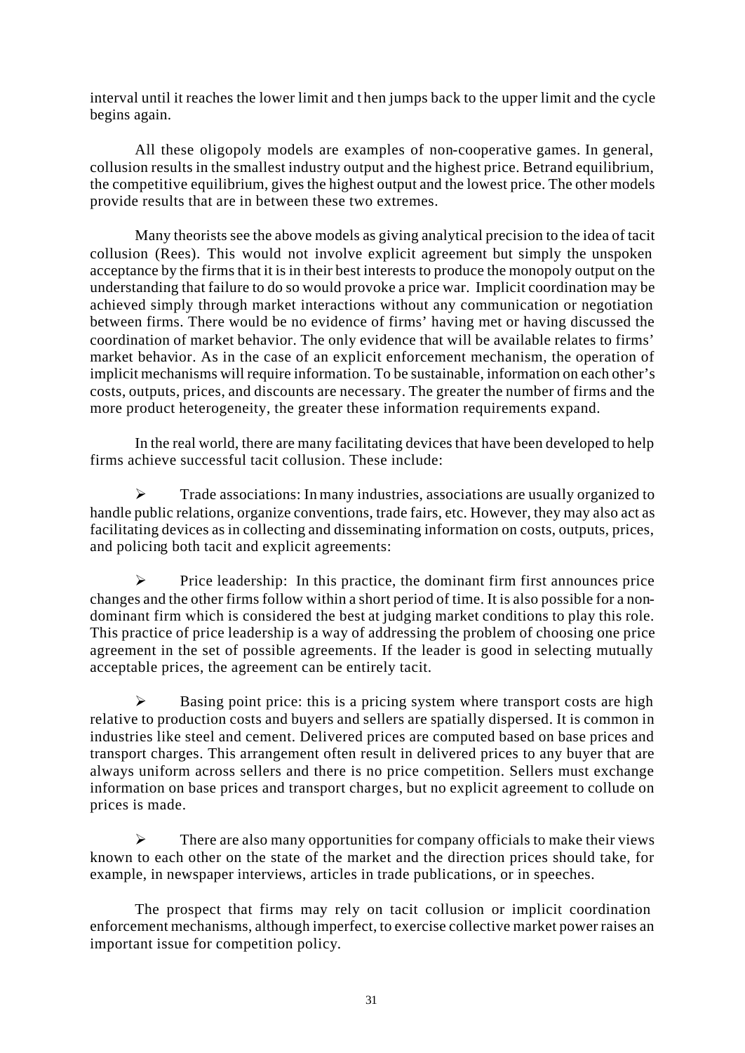interval until it reaches the lower limit and t hen jumps back to the upper limit and the cycle begins again.

All these oligopoly models are examples of non-cooperative games. In general, collusion results in the smallest industry output and the highest price. Betrand equilibrium, the competitive equilibrium, gives the highest output and the lowest price. The other models provide results that are in between these two extremes.

Many theorists see the above models as giving analytical precision to the idea of tacit collusion (Rees). This would not involve explicit agreement but simply the unspoken acceptance by the firms that it is in their best interests to produce the monopoly output on the understanding that failure to do so would provoke a price war. Implicit coordination may be achieved simply through market interactions without any communication or negotiation between firms. There would be no evidence of firms' having met or having discussed the coordination of market behavior. The only evidence that will be available relates to firms' market behavior. As in the case of an explicit enforcement mechanism, the operation of implicit mechanisms will require information. To be sustainable, information on each other's costs, outputs, prices, and discounts are necessary. The greater the number of firms and the more product heterogeneity, the greater these information requirements expand.

In the real world, there are many facilitating devices that have been developed to help firms achieve successful tacit collusion. These include:

 $\triangleright$  Trade associations: In many industries, associations are usually organized to handle public relations, organize conventions, trade fairs, etc. However, they may also act as facilitating devices as in collecting and disseminating information on costs, outputs, prices, and policing both tacit and explicit agreements:

 $\triangleright$  Price leadership: In this practice, the dominant firm first announces price changes and the other firms follow within a short period of time. It is also possible for a nondominant firm which is considered the best at judging market conditions to play this role. This practice of price leadership is a way of addressing the problem of choosing one price agreement in the set of possible agreements. If the leader is good in selecting mutually acceptable prices, the agreement can be entirely tacit.

 $\triangleright$  Basing point price: this is a pricing system where transport costs are high relative to production costs and buyers and sellers are spatially dispersed. It is common in industries like steel and cement. Delivered prices are computed based on base prices and transport charges. This arrangement often result in delivered prices to any buyer that are always uniform across sellers and there is no price competition. Sellers must exchange information on base prices and transport charges, but no explicit agreement to collude on prices is made.

 $\triangleright$  There are also many opportunities for company officials to make their views known to each other on the state of the market and the direction prices should take, for example, in newspaper interviews, articles in trade publications, or in speeches.

The prospect that firms may rely on tacit collusion or implicit coordination enforcement mechanisms, although imperfect, to exercise collective market power raises an important issue for competition policy.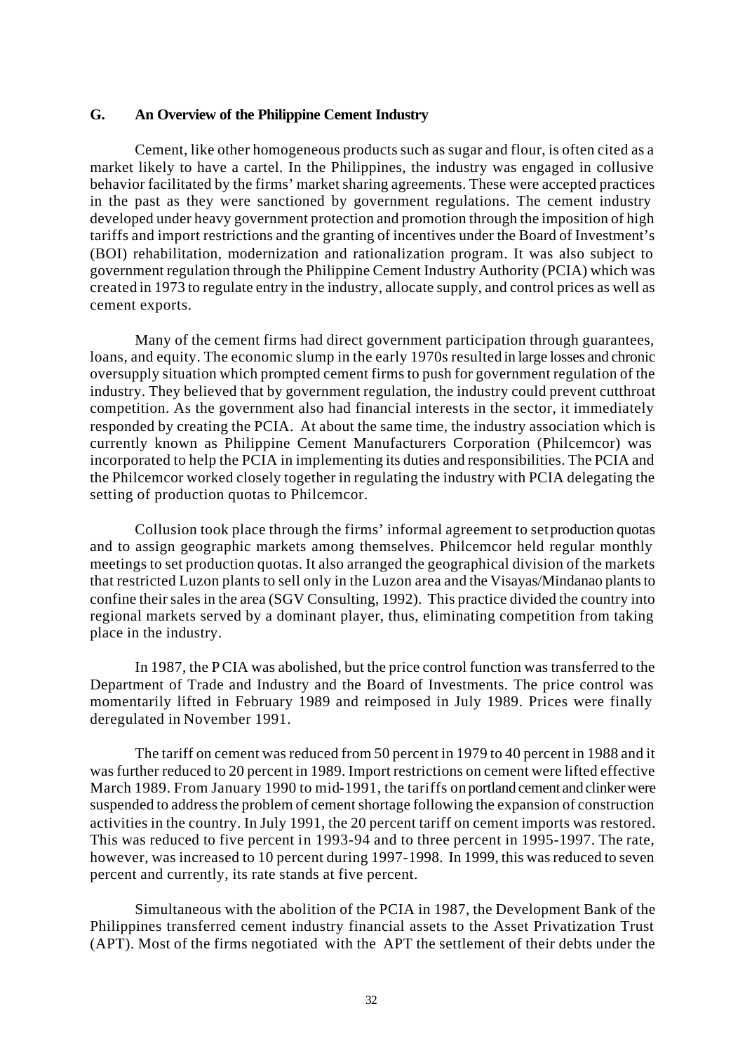#### **G. An Overview of the Philippine Cement Industry**

Cement, like other homogeneous products such as sugar and flour, is often cited as a market likely to have a cartel. In the Philippines, the industry was engaged in collusive behavior facilitated by the firms' market sharing agreements. These were accepted practices in the past as they were sanctioned by government regulations. The cement industry developed under heavy government protection and promotion through the imposition of high tariffs and import restrictions and the granting of incentives under the Board of Investment's (BOI) rehabilitation, modernization and rationalization program. It was also subject to government regulation through the Philippine Cement Industry Authority (PCIA) which was created in 1973 to regulate entry in the industry, allocate supply, and control prices as well as cement exports.

Many of the cement firms had direct government participation through guarantees, loans, and equity. The economic slump in the early 1970s resulted in large losses and chronic oversupply situation which prompted cement firms to push for government regulation of the industry. They believed that by government regulation, the industry could prevent cutthroat competition. As the government also had financial interests in the sector, it immediately responded by creating the PCIA. At about the same time, the industry association which is currently known as Philippine Cement Manufacturers Corporation (Philcemcor) was incorporated to help the PCIA in implementing its duties and responsibilities. The PCIA and the Philcemcor worked closely together in regulating the industry with PCIA delegating the setting of production quotas to Philcemcor.

Collusion took place through the firms' informal agreement to set production quotas and to assign geographic markets among themselves. Philcemcor held regular monthly meetings to set production quotas. It also arranged the geographical division of the markets that restricted Luzon plants to sell only in the Luzon area and the Visayas/Mindanao plants to confine their sales in the area (SGV Consulting, 1992). This practice divided the country into regional markets served by a dominant player, thus, eliminating competition from taking place in the industry.

In 1987, the PCIA was abolished, but the price control function was transferred to the Department of Trade and Industry and the Board of Investments. The price control was momentarily lifted in February 1989 and reimposed in July 1989. Prices were finally deregulated in November 1991.

The tariff on cement was reduced from 50 percent in 1979 to 40 percent in 1988 and it was further reduced to 20 percent in 1989. Import restrictions on cement were lifted effective March 1989. From January 1990 to mid-1991, the tariffs on portland cement and clinker were suspended to address the problem of cement shortage following the expansion of construction activities in the country. In July 1991, the 20 percent tariff on cement imports was restored. This was reduced to five percent in 1993-94 and to three percent in 1995-1997. The rate, however, was increased to 10 percent during 1997-1998. In 1999, this was reduced to seven percent and currently, its rate stands at five percent.

Simultaneous with the abolition of the PCIA in 1987, the Development Bank of the Philippines transferred cement industry financial assets to the Asset Privatization Trust (APT). Most of the firms negotiated with the APT the settlement of their debts under the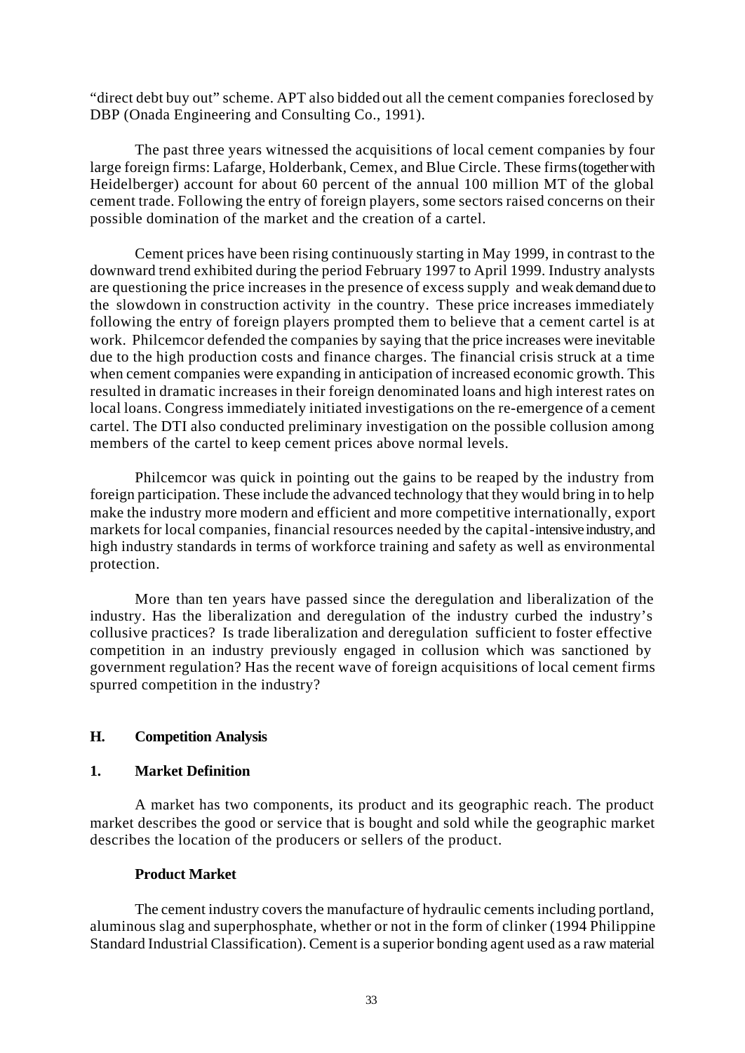"direct debt buy out" scheme. APT also bidded out all the cement companies foreclosed by DBP (Onada Engineering and Consulting Co., 1991).

The past three years witnessed the acquisitions of local cement companies by four large foreign firms: Lafarge, Holderbank, Cemex, and Blue Circle. These firms (together with Heidelberger) account for about 60 percent of the annual 100 million MT of the global cement trade. Following the entry of foreign players, some sectors raised concerns on their possible domination of the market and the creation of a cartel.

Cement prices have been rising continuously starting in May 1999, in contrast to the downward trend exhibited during the period February 1997 to April 1999. Industry analysts are questioning the price increases in the presence of excess supply and weak demand due to the slowdown in construction activity in the country. These price increases immediately following the entry of foreign players prompted them to believe that a cement cartel is at work. Philcemcor defended the companies by saying that the price increases were inevitable due to the high production costs and finance charges. The financial crisis struck at a time when cement companies were expanding in anticipation of increased economic growth. This resulted in dramatic increases in their foreign denominated loans and high interest rates on local loans. Congress immediately initiated investigations on the re-emergence of a cement cartel. The DTI also conducted preliminary investigation on the possible collusion among members of the cartel to keep cement prices above normal levels.

Philcemcor was quick in pointing out the gains to be reaped by the industry from foreign participation. These include the advanced technology that they would bring in to help make the industry more modern and efficient and more competitive internationally, export markets for local companies, financial resources needed by the capital-intensive industry, and high industry standards in terms of workforce training and safety as well as environmental protection.

More than ten years have passed since the deregulation and liberalization of the industry. Has the liberalization and deregulation of the industry curbed the industry's collusive practices? Is trade liberalization and deregulation sufficient to foster effective competition in an industry previously engaged in collusion which was sanctioned by government regulation? Has the recent wave of foreign acquisitions of local cement firms spurred competition in the industry?

## **H. Competition Analysis**

## **1. Market Definition**

A market has two components, its product and its geographic reach. The product market describes the good or service that is bought and sold while the geographic market describes the location of the producers or sellers of the product.

## **Product Market**

The cement industry covers the manufacture of hydraulic cements including portland, aluminous slag and superphosphate, whether or not in the form of clinker (1994 Philippine Standard Industrial Classification). Cement is a superior bonding agent used as a raw material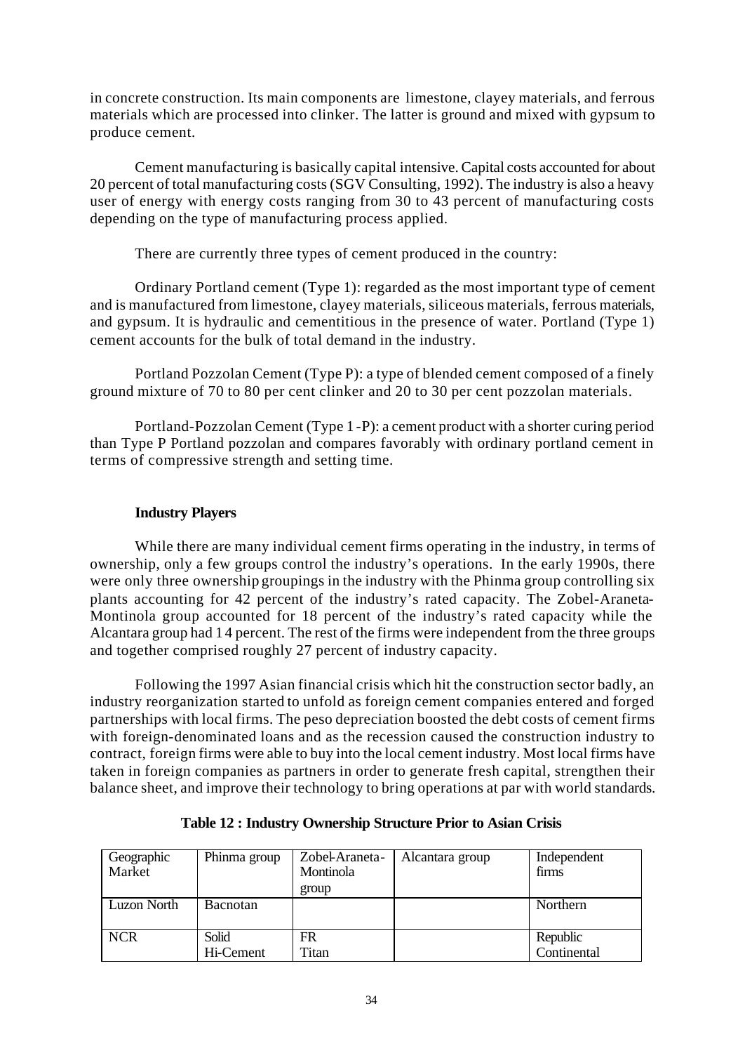in concrete construction. Its main components are limestone, clayey materials, and ferrous materials which are processed into clinker. The latter is ground and mixed with gypsum to produce cement.

Cement manufacturing is basically capital intensive. Capital costs accounted for about 20 percent of total manufacturing costs (SGV Consulting, 1992). The industry is also a heavy user of energy with energy costs ranging from 30 to 43 percent of manufacturing costs depending on the type of manufacturing process applied.

There are currently three types of cement produced in the country:

Ordinary Portland cement (Type 1): regarded as the most important type of cement and is manufactured from limestone, clayey materials, siliceous materials, ferrous materials, and gypsum. It is hydraulic and cementitious in the presence of water. Portland (Type 1) cement accounts for the bulk of total demand in the industry.

Portland Pozzolan Cement (Type P): a type of blended cement composed of a finely ground mixture of 70 to 80 per cent clinker and 20 to 30 per cent pozzolan materials.

Portland-Pozzolan Cement (Type 1 -P): a cement product with a shorter curing period than Type P Portland pozzolan and compares favorably with ordinary portland cement in terms of compressive strength and setting time.

## **Industry Players**

While there are many individual cement firms operating in the industry, in terms of ownership, only a few groups control the industry's operations. In the early 1990s, there were only three ownership groupings in the industry with the Phinma group controlling six plants accounting for 42 percent of the industry's rated capacity. The Zobel-Araneta-Montinola group accounted for 18 percent of the industry's rated capacity while the Alcantara group had 1 4 percent. The rest of the firms were independent from the three groups and together comprised roughly 27 percent of industry capacity.

Following the 1997 Asian financial crisis which hit the construction sector badly, an industry reorganization started to unfold as foreign cement companies entered and forged partnerships with local firms. The peso depreciation boosted the debt costs of cement firms with foreign-denominated loans and as the recession caused the construction industry to contract, foreign firms were able to buy into the local cement industry. Most local firms have taken in foreign companies as partners in order to generate fresh capital, strengthen their balance sheet, and improve their technology to bring operations at par with world standards.

| Geographic<br>Market | Phinma group    | Zobel-Araneta-<br>Montinola<br>group | Alcantara group | Independent<br>firms |
|----------------------|-----------------|--------------------------------------|-----------------|----------------------|
| Luzon North          | <b>Bacnotan</b> |                                      |                 | Northern             |
| <b>NCR</b>           | Solid           | FR                                   |                 | Republic             |
|                      | Hi-Cement       | Titan                                |                 | Continental          |

**Table 12 : Industry Ownership Structure Prior to Asian Crisis**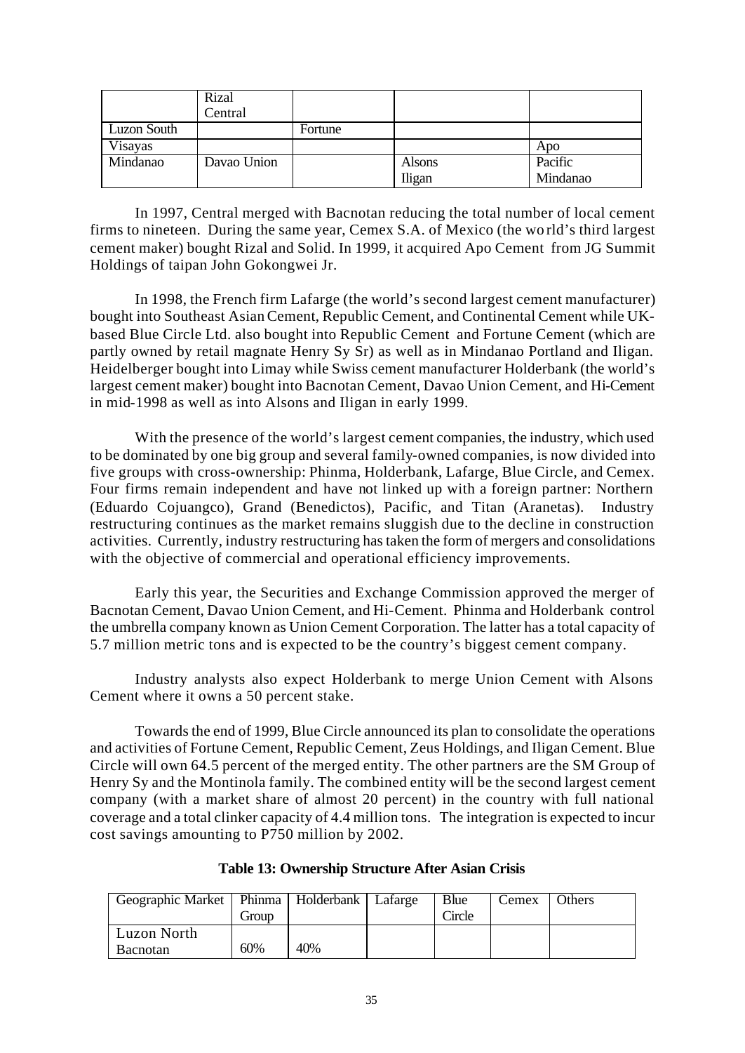|             | Rizal       |         |        |          |
|-------------|-------------|---------|--------|----------|
|             | Central     |         |        |          |
| Luzon South |             | Fortune |        |          |
| Visayas     |             |         |        | Apo      |
| Mindanao    | Davao Union |         | Alsons | Pacific  |
|             |             |         | Iligan | Mindanao |

In 1997, Central merged with Bacnotan reducing the total number of local cement firms to nineteen. During the same year, Cemex S.A. of Mexico (the wo rld's third largest cement maker) bought Rizal and Solid. In 1999, it acquired Apo Cement from JG Summit Holdings of taipan John Gokongwei Jr.

In 1998, the French firm Lafarge (the world's second largest cement manufacturer) bought into Southeast Asian Cement, Republic Cement, and Continental Cement while UKbased Blue Circle Ltd. also bought into Republic Cement and Fortune Cement (which are partly owned by retail magnate Henry Sy Sr) as well as in Mindanao Portland and Iligan. Heidelberger bought into Limay while Swiss cement manufacturer Holderbank (the world's largest cement maker) bought into Bacnotan Cement, Davao Union Cement, and Hi-Cement in mid-1998 as well as into Alsons and Iligan in early 1999.

With the presence of the world's largest cement companies, the industry, which used to be dominated by one big group and several family-owned companies, is now divided into five groups with cross-ownership: Phinma, Holderbank, Lafarge, Blue Circle, and Cemex. Four firms remain independent and have not linked up with a foreign partner: Northern (Eduardo Cojuangco), Grand (Benedictos), Pacific, and Titan (Aranetas). Industry restructuring continues as the market remains sluggish due to the decline in construction activities. Currently, industry restructuring has taken the form of mergers and consolidations with the objective of commercial and operational efficiency improvements.

Early this year, the Securities and Exchange Commission approved the merger of Bacnotan Cement, Davao Union Cement, and Hi-Cement. Phinma and Holderbank control the umbrella company known as Union Cement Corporation. The latter has a total capacity of 5.7 million metric tons and is expected to be the country's biggest cement company.

Industry analysts also expect Holderbank to merge Union Cement with Alsons Cement where it owns a 50 percent stake.

Towards the end of 1999, Blue Circle announced its plan to consolidate the operations and activities of Fortune Cement, Republic Cement, Zeus Holdings, and Iligan Cement. Blue Circle will own 64.5 percent of the merged entity. The other partners are the SM Group of Henry Sy and the Montinola family. The combined entity will be the second largest cement company (with a market share of almost 20 percent) in the country with full national coverage and a total clinker capacity of 4.4 million tons. The integration is expected to incur cost savings amounting to P750 million by 2002.

| Geographic Market   Phinma   Holderbank   Lafarge | Group |     | Blue<br><b>Tircle</b> | Cemex | Others |
|---------------------------------------------------|-------|-----|-----------------------|-------|--------|
| Luzon North<br><b>Bacnotan</b>                    | 60%   | 40% |                       |       |        |

**Table 13: Ownership Structure After Asian Crisis**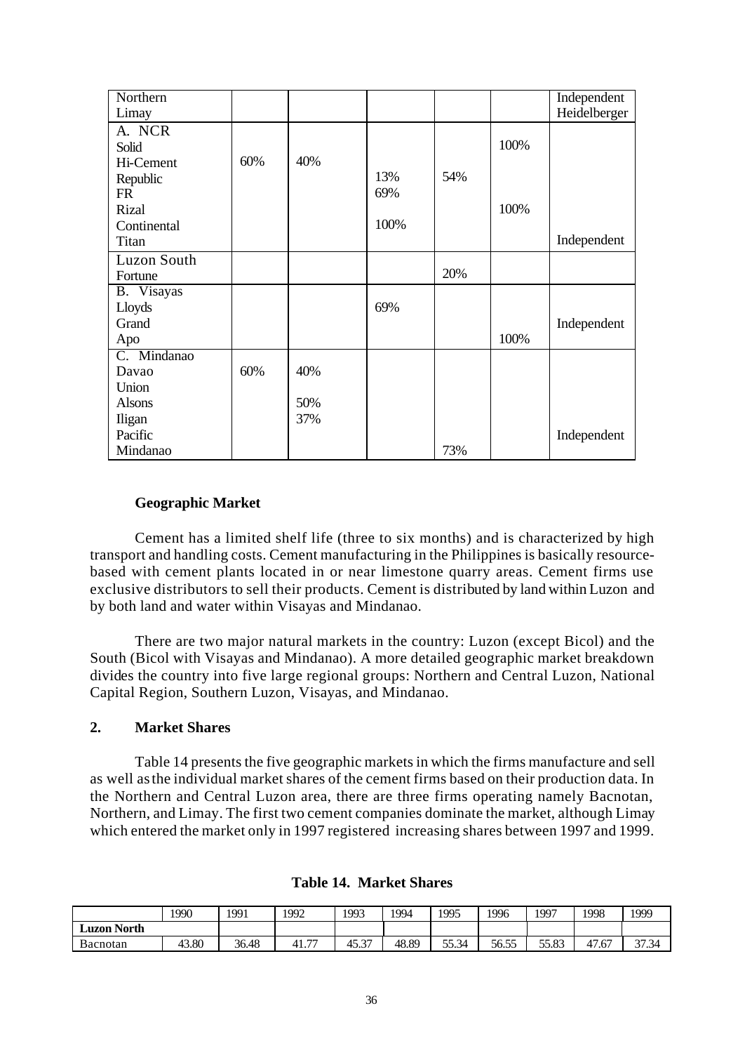| Northern      |     |     |      |     |      | Independent  |
|---------------|-----|-----|------|-----|------|--------------|
| Limay         |     |     |      |     |      | Heidelberger |
| A. NCR        |     |     |      |     |      |              |
| Solid         |     |     |      |     | 100% |              |
| Hi-Cement     | 60% | 40% |      |     |      |              |
| Republic      |     |     | 13%  | 54% |      |              |
| FR            |     |     | 69%  |     |      |              |
| Rizal         |     |     |      |     | 100% |              |
| Continental   |     |     | 100% |     |      |              |
| Titan         |     |     |      |     |      | Independent  |
| Luzon South   |     |     |      |     |      |              |
| Fortune       |     |     |      | 20% |      |              |
| B. Visayas    |     |     |      |     |      |              |
| Lloyds        |     |     | 69%  |     |      |              |
| Grand         |     |     |      |     |      | Independent  |
| Apo           |     |     |      |     | 100% |              |
| C. Mindanao   |     |     |      |     |      |              |
| Davao         | 60% | 40% |      |     |      |              |
| Union         |     |     |      |     |      |              |
| <b>Alsons</b> |     | 50% |      |     |      |              |
| Iligan        |     | 37% |      |     |      |              |
| Pacific       |     |     |      |     |      | Independent  |
| Mindanao      |     |     |      | 73% |      |              |

## **Geographic Market**

Cement has a limited shelf life (three to six months) and is characterized by high transport and handling costs. Cement manufacturing in the Philippines is basically resourcebased with cement plants located in or near limestone quarry areas. Cement firms use exclusive distributors to sell their products. Cement is distributed by land within Luzon and by both land and water within Visayas and Mindanao.

There are two major natural markets in the country: Luzon (except Bicol) and the South (Bicol with Visayas and Mindanao). A more detailed geographic market breakdown divides the country into five large regional groups: Northern and Central Luzon, National Capital Region, Southern Luzon, Visayas, and Mindanao.

## **2. Market Shares**

Table 14 presents the five geographic markets in which the firms manufacture and sell as well as the individual market shares of the cement firms based on their production data. In the Northern and Central Luzon area, there are three firms operating namely Bacnotan, Northern, and Limay. The first two cement companies dominate the market, although Limay which entered the market only in 1997 registered increasing shares between 1997 and 1999.

|                         | 1990  | 1991  | 1992                             | 1993  | 1994  | 1995         | 1996  | 1997  | 1998  | 1999           |
|-------------------------|-------|-------|----------------------------------|-------|-------|--------------|-------|-------|-------|----------------|
| <b>North</b><br>Luzon N |       |       |                                  |       |       |              |       |       |       |                |
| Bacnotan                | 43.80 | 36.48 | $\overline{\phantom{a}}$<br>41., | 45.37 | 48.89 | 55.34<br>--- | 56.55 | 55.83 | 47.67 | 27.24<br>31.34 |

**Table 14. Market Shares**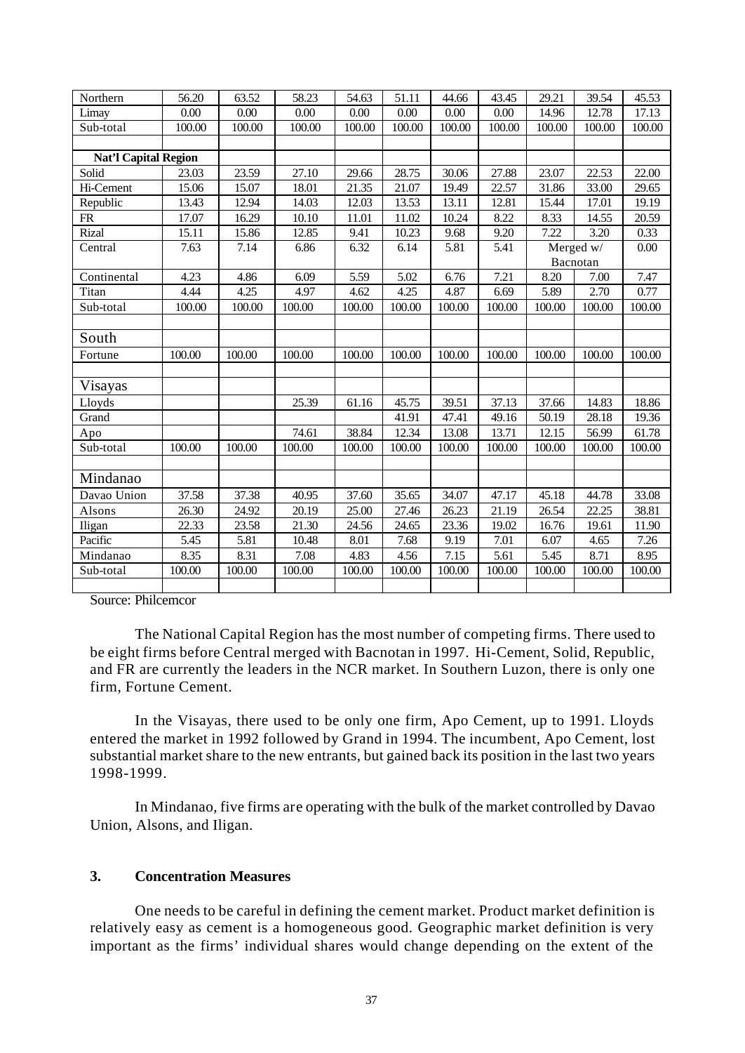| Northern                    | 56.20  | 63.52  | 58.23  | 54.63  | 51.11  | 44.66  | 43.45  | 29.21  | 39.54     | 45.53  |
|-----------------------------|--------|--------|--------|--------|--------|--------|--------|--------|-----------|--------|
| Limay                       | 0.00   | 0.00   | 0.00   | 0.00   | 0.00   | 0.00   | 0.00   | 14.96  | 12.78     | 17.13  |
| Sub-total                   | 100.00 | 100.00 | 100.00 | 100.00 | 100.00 | 100.00 | 100.00 | 100.00 | 100.00    | 100.00 |
|                             |        |        |        |        |        |        |        |        |           |        |
| <b>Nat'l Capital Region</b> |        |        |        |        |        |        |        |        |           |        |
| Solid                       | 23.03  | 23.59  | 27.10  | 29.66  | 28.75  | 30.06  | 27.88  | 23.07  | 22.53     | 22.00  |
| Hi-Cement                   | 15.06  | 15.07  | 18.01  | 21.35  | 21.07  | 19.49  | 22.57  | 31.86  | 33.00     | 29.65  |
| Republic                    | 13.43  | 12.94  | 14.03  | 12.03  | 13.53  | 13.11  | 12.81  | 15.44  | 17.01     | 19.19  |
| ${\sf FR}$                  | 17.07  | 16.29  | 10.10  | 11.01  | 11.02  | 10.24  | 8.22   | 8.33   | 14.55     | 20.59  |
| Rizal                       | 15.11  | 15.86  | 12.85  | 9.41   | 10.23  | 9.68   | 9.20   | 7.22   | 3.20      | 0.33   |
| Central                     | 7.63   | 7.14   | 6.86   | 6.32   | 6.14   | 5.81   | 5.41   |        | Merged w/ | 0.00   |
|                             |        |        |        |        |        |        |        |        | Bacnotan  |        |
| Continental                 | 4.23   | 4.86   | 6.09   | 5.59   | 5.02   | 6.76   | 7.21   | 8.20   | 7.00      | 7.47   |
| Titan                       | 4.44   | 4.25   | 4.97   | 4.62   | 4.25   | 4.87   | 6.69   | 5.89   | 2.70      | 0.77   |
| Sub-total                   | 100.00 | 100.00 | 100.00 | 100.00 | 100.00 | 100.00 | 100.00 | 100.00 | 100.00    | 100.00 |
|                             |        |        |        |        |        |        |        |        |           |        |
| South                       |        |        |        |        |        |        |        |        |           |        |
| Fortune                     | 100.00 | 100.00 | 100.00 | 100.00 | 100.00 | 100.00 | 100.00 | 100.00 | 100.00    | 100.00 |
|                             |        |        |        |        |        |        |        |        |           |        |
| Visayas                     |        |        |        |        |        |        |        |        |           |        |
| Lloyds                      |        |        | 25.39  | 61.16  | 45.75  | 39.51  | 37.13  | 37.66  | 14.83     | 18.86  |
| Grand                       |        |        |        |        | 41.91  | 47.41  | 49.16  | 50.19  | 28.18     | 19.36  |
| Apo                         |        |        | 74.61  | 38.84  | 12.34  | 13.08  | 13.71  | 12.15  | 56.99     | 61.78  |
| Sub-total                   | 100.00 | 100.00 | 100.00 | 100.00 | 100.00 | 100.00 | 100.00 | 100.00 | 100.00    | 100.00 |
|                             |        |        |        |        |        |        |        |        |           |        |
| Mindanao                    |        |        |        |        |        |        |        |        |           |        |
| Davao Union                 | 37.58  | 37.38  | 40.95  | 37.60  | 35.65  | 34.07  | 47.17  | 45.18  | 44.78     | 33.08  |
| Alsons                      | 26.30  | 24.92  | 20.19  | 25.00  | 27.46  | 26.23  | 21.19  | 26.54  | 22.25     | 38.81  |
| Iligan                      | 22.33  | 23.58  | 21.30  | 24.56  | 24.65  | 23.36  | 19.02  | 16.76  | 19.61     | 11.90  |
| Pacific                     | 5.45   | 5.81   | 10.48  | 8.01   | 7.68   | 9.19   | 7.01   | 6.07   | 4.65      | 7.26   |
| Mindanao                    | 8.35   | 8.31   | 7.08   | 4.83   | 4.56   | 7.15   | 5.61   | 5.45   | 8.71      | 8.95   |
| Sub-total                   | 100.00 | 100.00 | 100.00 | 100.00 | 100.00 | 100.00 | 100.00 | 100.00 | 100.00    | 100.00 |
|                             |        |        |        |        |        |        |        |        |           |        |

Source: Philcemcor

The National Capital Region has the most number of competing firms. There used to be eight firms before Central merged with Bacnotan in 1997. Hi-Cement, Solid, Republic, and FR are currently the leaders in the NCR market. In Southern Luzon, there is only one firm, Fortune Cement.

In the Visayas, there used to be only one firm, Apo Cement, up to 1991. Lloyds entered the market in 1992 followed by Grand in 1994. The incumbent, Apo Cement, lost substantial market share to the new entrants, but gained back its position in the last two years 1998-1999.

In Mindanao, five firms are operating with the bulk of the market controlled by Davao Union, Alsons, and Iligan.

## **3. Concentration Measures**

One needs to be careful in defining the cement market. Product market definition is relatively easy as cement is a homogeneous good. Geographic market definition is very important as the firms' individual shares would change depending on the extent of the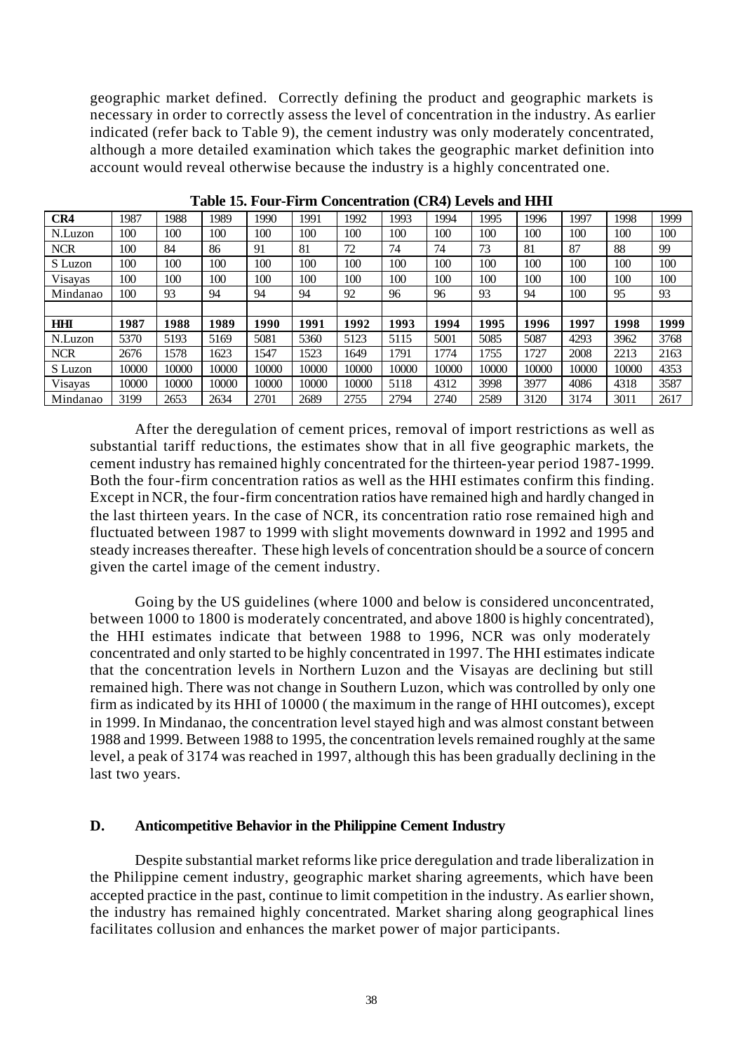geographic market defined. Correctly defining the product and geographic markets is necessary in order to correctly assess the level of concentration in the industry. As earlier indicated (refer back to Table 9), the cement industry was only moderately concentrated, although a more detailed examination which takes the geographic market definition into account would reveal otherwise because the industry is a highly concentrated one.

| CR4        | 1987  | 1988  | 989   | 1990  | 1991  | 1992  | 1993  | 1994  | 1995  | 1996  | 1997  | 1998  | 1999 |
|------------|-------|-------|-------|-------|-------|-------|-------|-------|-------|-------|-------|-------|------|
| N.Luzon    | 100   | 100   | 100   | 100   | 100   | 100   | 100   | 100   | 100   | 100   | 100   | 100   | 100  |
| <b>NCR</b> | 100   | 84    | 86    | 91    | 81    | 72    | 74    | 74    | 73    | 81    | 87    | 88    | 99   |
| S Luzon    | 100   | 100   | 100   | 100   | 100   | 100   | 100   | 100   | 100   | 100   | 100   | 100   | 100  |
| Visayas    | 100   | 100   | 100   | 100   | 100   | 100   | 100   | 100   | 100   | 100   | 100   | 100   | 100  |
| Mindanao   | 100   | 93    | 94    | 94    | 94    | 92    | 96    | 96    | 93    | 94    | 100   | 95    | 93   |
|            |       |       |       |       |       |       |       |       |       |       |       |       |      |
| <b>HHI</b> | 1987  | 1988  | 1989  | 1990  | 1991  | 1992  | 1993  | 1994  | 1995  | 1996  | 1997  | 1998  | 1999 |
| N.Luzon    | 5370  | 5193  | 5169  | 5081  | 5360  | 5123  | 5115  | 5001  | 5085  | 5087  | 4293  | 3962  | 3768 |
|            |       |       |       |       |       |       |       |       |       |       |       |       |      |
| <b>NCR</b> | 2676  | 1578  | 1623  | 1547  | 1523  | 1649  | 1791  | 1774  | 755   | 1727  | 2008  | 2213  | 2163 |
| S Luzon    | 10000 | 10000 | 10000 | 10000 | 10000 | 10000 | 10000 | 10000 | 10000 | 10000 | 10000 | 10000 | 4353 |
| Visayas    | 10000 | 10000 | 10000 | 10000 | 10000 | 10000 | 5118  | 4312  | 3998  | 3977  | 4086  | 4318  | 3587 |

**Table 15. Four-Firm Concentration (CR4) Levels and HHI**

After the deregulation of cement prices, removal of import restrictions as well as substantial tariff reductions, the estimates show that in all five geographic markets, the cement industry has remained highly concentrated for the thirteen-year period 1987-1999. Both the four-firm concentration ratios as well as the HHI estimates confirm this finding. Except in NCR, the four-firm concentration ratios have remained high and hardly changed in the last thirteen years. In the case of NCR, its concentration ratio rose remained high and fluctuated between 1987 to 1999 with slight movements downward in 1992 and 1995 and steady increases thereafter. These high levels of concentration should be a source of concern given the cartel image of the cement industry.

Going by the US guidelines (where 1000 and below is considered unconcentrated, between 1000 to 1800 is moderately concentrated, and above 1800 is highly concentrated), the HHI estimates indicate that between 1988 to 1996, NCR was only moderately concentrated and only started to be highly concentrated in 1997. The HHI estimates indicate that the concentration levels in Northern Luzon and the Visayas are declining but still remained high. There was not change in Southern Luzon, which was controlled by only one firm as indicated by its HHI of 10000 ( the maximum in the range of HHI outcomes), except in 1999. In Mindanao, the concentration level stayed high and was almost constant between 1988 and 1999. Between 1988 to 1995, the concentration levels remained roughly at the same level, a peak of 3174 was reached in 1997, although this has been gradually declining in the last two years.

#### **D. Anticompetitive Behavior in the Philippine Cement Industry**

Despite substantial market reforms like price deregulation and trade liberalization in the Philippine cement industry, geographic market sharing agreements, which have been accepted practice in the past, continue to limit competition in the industry. As earlier shown, the industry has remained highly concentrated. Market sharing along geographical lines facilitates collusion and enhances the market power of major participants.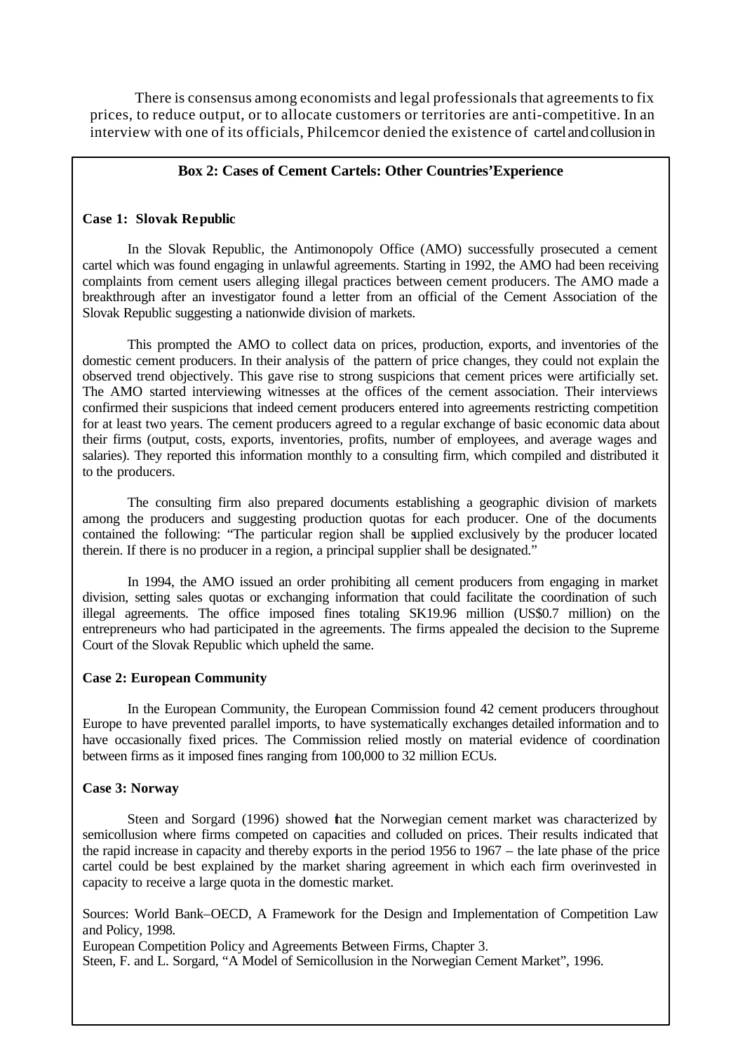There is consensus among economists and legal professionals that agreements to fix prices, to reduce output, or to allocate customers or territories are anti-competitive. In an interview with one of its officials, Philcemcor denied the existence of cartel and collusion in

## **Box 2: Cases of Cement Cartels: Other Countries'Experience**

#### **Case 1: Slovak Republic**

In the Slovak Republic, the Antimonopoly Office (AMO) successfully prosecuted a cement cartel which was found engaging in unlawful agreements. Starting in 1992, the AMO had been receiving complaints from cement users alleging illegal practices between cement producers. The AMO made a breakthrough after an investigator found a letter from an official of the Cement Association of the Slovak Republic suggesting a nationwide division of markets.

This prompted the AMO to collect data on prices, production, exports, and inventories of the domestic cement producers. In their analysis of the pattern of price changes, they could not explain the observed trend objectively. This gave rise to strong suspicions that cement prices were artificially set. The AMO started interviewing witnesses at the offices of the cement association. Their interviews confirmed their suspicions that indeed cement producers entered into agreements restricting competition for at least two years. The cement producers agreed to a regular exchange of basic economic data about their firms (output, costs, exports, inventories, profits, number of employees, and average wages and salaries). They reported this information monthly to a consulting firm, which compiled and distributed it to the producers.

The consulting firm also prepared documents establishing a geographic division of markets among the producers and suggesting production quotas for each producer. One of the documents contained the following: "The particular region shall be supplied exclusively by the producer located therein. If there is no producer in a region, a principal supplier shall be designated."

In 1994, the AMO issued an order prohibiting all cement producers from engaging in market division, setting sales quotas or exchanging information that could facilitate the coordination of such illegal agreements. The office imposed fines totaling SK19.96 million (US\$0.7 million) on the entrepreneurs who had participated in the agreements. The firms appealed the decision to the Supreme Court of the Slovak Republic which upheld the same.

#### **Case 2: European Community**

In the European Community, the European Commission found 42 cement producers throughout Europe to have prevented parallel imports, to have systematically exchanges detailed information and to have occasionally fixed prices. The Commission relied mostly on material evidence of coordination between firms as it imposed fines ranging from 100,000 to 32 million ECUs.

#### **Case 3: Norway**

Steen and Sorgard (1996) showed that the Norwegian cement market was characterized by semicollusion where firms competed on capacities and colluded on prices. Their results indicated that the rapid increase in capacity and thereby exports in the period 1956 to 1967 – the late phase of the price cartel could be best explained by the market sharing agreement in which each firm overinvested in capacity to receive a large quota in the domestic market.

Sources: World Bank–OECD, A Framework for the Design and Implementation of Competition Law and Policy, 1998.

European Competition Policy and Agreements Between Firms, Chapter 3.

Steen, F. and L. Sorgard, "A Model of Semicollusion in the Norwegian Cement Market", 1996.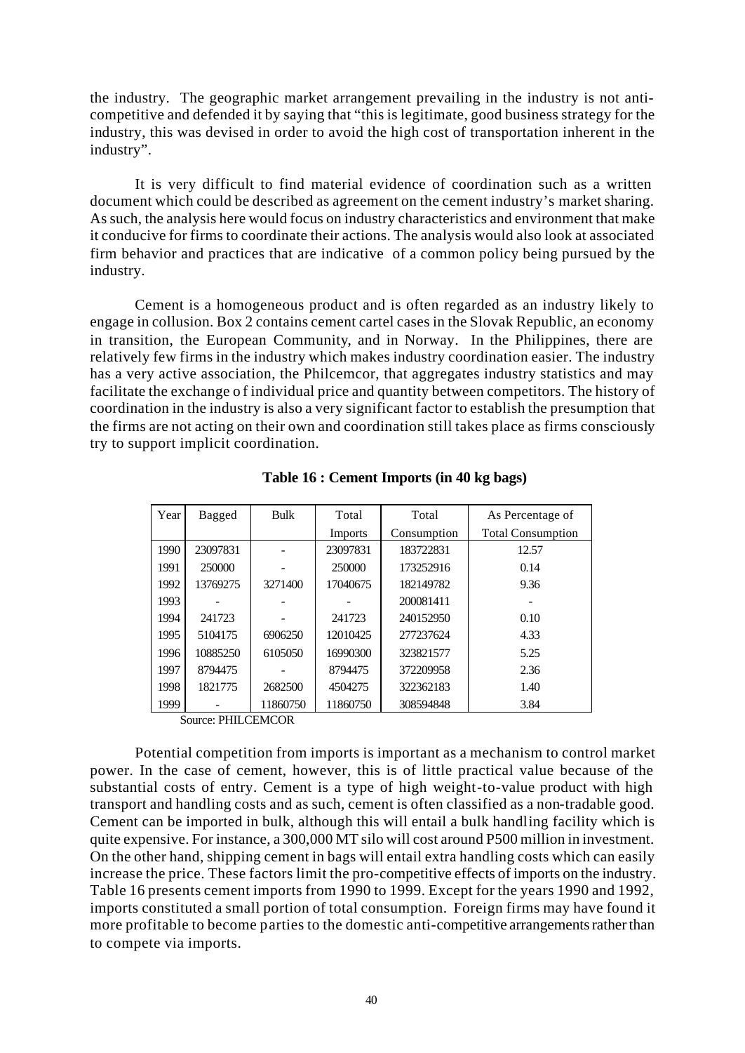the industry. The geographic market arrangement prevailing in the industry is not anticompetitive and defended it by saying that "this is legitimate, good business strategy for the industry, this was devised in order to avoid the high cost of transportation inherent in the industry".

It is very difficult to find material evidence of coordination such as a written document which could be described as agreement on the cement industry's market sharing. As such, the analysis here would focus on industry characteristics and environment that make it conducive for firms to coordinate their actions. The analysis would also look at associated firm behavior and practices that are indicative of a common policy being pursued by the industry.

Cement is a homogeneous product and is often regarded as an industry likely to engage in collusion. Box 2 contains cement cartel cases in the Slovak Republic, an economy in transition, the European Community, and in Norway. In the Philippines, there are relatively few firms in the industry which makes industry coordination easier. The industry has a very active association, the Philcemcor, that aggregates industry statistics and may facilitate the exchange o f individual price and quantity between competitors. The history of coordination in the industry is also a very significant factor to establish the presumption that the firms are not acting on their own and coordination still takes place as firms consciously try to support implicit coordination.

| Year | Bagged   | <b>Bulk</b> | Total    | Total       | As Percentage of         |
|------|----------|-------------|----------|-------------|--------------------------|
|      |          |             | Imports  | Consumption | <b>Total Consumption</b> |
| 1990 | 23097831 |             | 23097831 | 183722831   | 12.57                    |
| 1991 | 250000   |             | 250000   | 173252916   | 0.14                     |
| 1992 | 13769275 | 3271400     | 17040675 | 182149782   | 9.36                     |
| 1993 |          |             |          | 200081411   |                          |
| 1994 | 241723   |             | 241723   | 240152950   | 0.10                     |
| 1995 | 5104175  | 6906250     | 12010425 | 277237624   | 4.33                     |
| 1996 | 10885250 | 6105050     | 16990300 | 323821577   | 5.25                     |
| 1997 | 8794475  |             | 8794475  | 372209958   | 2.36                     |
| 1998 | 1821775  | 2682500     | 4504275  | 322362183   | 1.40                     |
| 1999 |          | 11860750    | 11860750 | 308594848   | 3.84                     |

**Table 16 : Cement Imports (in 40 kg bags)**

Source: PHILCEMCOR

Potential competition from imports is important as a mechanism to control market power. In the case of cement, however, this is of little practical value because of the substantial costs of entry. Cement is a type of high weight-to-value product with high transport and handling costs and as such, cement is often classified as a non-tradable good. Cement can be imported in bulk, although this will entail a bulk handling facility which is quite expensive. For instance, a 300,000 MT silo will cost around P500 million in investment. On the other hand, shipping cement in bags will entail extra handling costs which can easily increase the price. These factors limit the pro-competitive effects of imports on the industry. Table 16 presents cement imports from 1990 to 1999. Except for the years 1990 and 1992, imports constituted a small portion of total consumption. Foreign firms may have found it more profitable to become parties to the domestic anti-competitive arrangements rather than to compete via imports.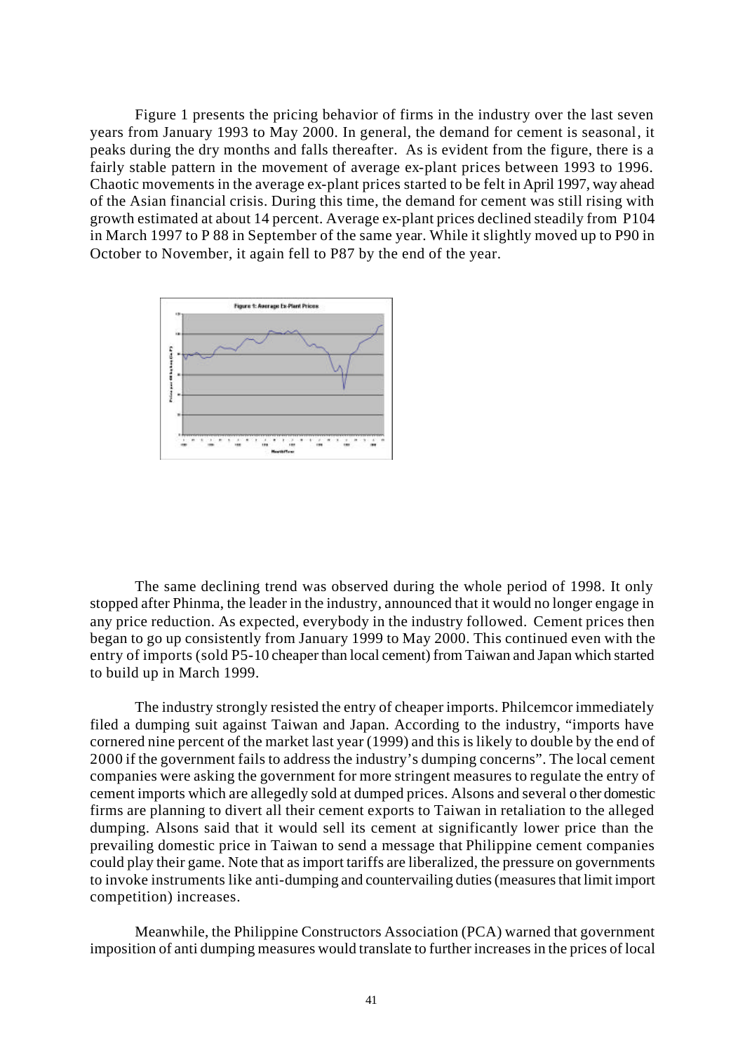Figure 1 presents the pricing behavior of firms in the industry over the last seven years from January 1993 to May 2000. In general, the demand for cement is seasonal, it peaks during the dry months and falls thereafter. As is evident from the figure, there is a fairly stable pattern in the movement of average ex-plant prices between 1993 to 1996. Chaotic movements in the average ex-plant prices started to be felt in April 1997, way ahead of the Asian financial crisis. During this time, the demand for cement was still rising with growth estimated at about 14 percent. Average ex-plant prices declined steadily from P104 in March 1997 to P 88 in September of the same year. While it slightly moved up to P90 in October to November, it again fell to P87 by the end of the year.



The same declining trend was observed during the whole period of 1998. It only stopped after Phinma, the leader in the industry, announced that it would no longer engage in any price reduction. As expected, everybody in the industry followed. Cement prices then began to go up consistently from January 1999 to May 2000. This continued even with the entry of imports (sold P5-10 cheaper than local cement) from Taiwan and Japan which started to build up in March 1999.

The industry strongly resisted the entry of cheaper imports. Philcemcor immediately filed a dumping suit against Taiwan and Japan. According to the industry, "imports have cornered nine percent of the market last year (1999) and this is likely to double by the end of 2000 if the government fails to address the industry's dumping concerns". The local cement companies were asking the government for more stringent measures to regulate the entry of cement imports which are allegedly sold at dumped prices. Alsons and several o ther domestic firms are planning to divert all their cement exports to Taiwan in retaliation to the alleged dumping. Alsons said that it would sell its cement at significantly lower price than the prevailing domestic price in Taiwan to send a message that Philippine cement companies could play their game. Note that as import tariffs are liberalized, the pressure on governments to invoke instruments like anti-dumping and countervailing duties (measures that limit import competition) increases.

Meanwhile, the Philippine Constructors Association (PCA) warned that government imposition of anti dumping measures would translate to further increases in the prices of local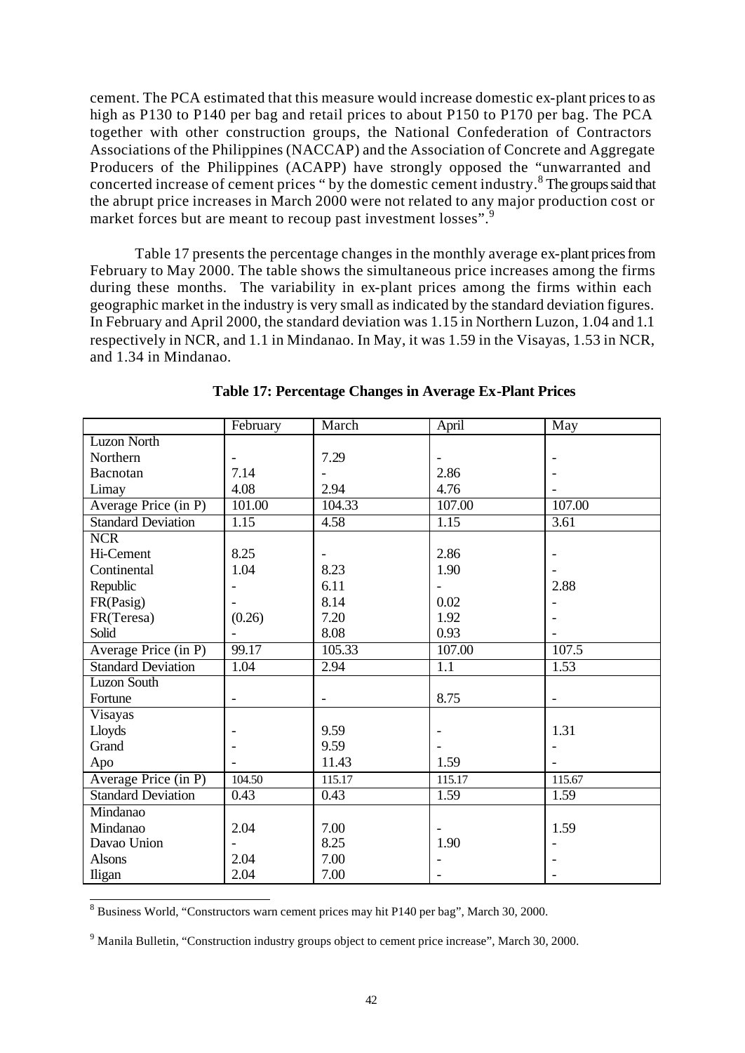cement. The PCA estimated that this measure would increase domestic ex-plant prices to as high as P130 to P140 per bag and retail prices to about P150 to P170 per bag. The PCA together with other construction groups, the National Confederation of Contractors Associations of the Philippines (NACCAP) and the Association of Concrete and Aggregate Producers of the Philippines (ACAPP) have strongly opposed the "unwarranted and concerted increase of cement prices " by the domestic cement industry. $8$  The groups said that the abrupt price increases in March 2000 were not related to any major production cost or market forces but are meant to recoup past investment losses".<sup>9</sup>

Table 17 presents the percentage changes in the monthly average ex-plant prices from February to May 2000. The table shows the simultaneous price increases among the firms during these months. The variability in ex-plant prices among the firms within each geographic market in the industry is very small as indicated by the standard deviation figures. In February and April 2000, the standard deviation was 1.15 in Northern Luzon, 1.04 and 1.1 respectively in NCR, and 1.1 in Mindanao. In May, it was 1.59 in the Visayas, 1.53 in NCR, and 1.34 in Mindanao.

|                                   | February                 | March             | April                    | May                      |
|-----------------------------------|--------------------------|-------------------|--------------------------|--------------------------|
| <b>Luzon North</b>                |                          |                   |                          |                          |
| Northern                          | $\overline{\phantom{a}}$ | 7.29              |                          |                          |
| Bacnotan                          | 7.14                     |                   | 2.86                     |                          |
| Limay                             | 4.08                     | 2.94              | 4.76                     |                          |
| Average Price (in P)              | 101.00                   | 104.33            | 107.00                   | 107.00                   |
| <b>Standard Deviation</b>         | 1.15                     | 4.58              | 1.15                     | $\overline{3.61}$        |
| <b>NCR</b>                        |                          |                   |                          |                          |
| Hi-Cement                         | 8.25                     |                   | 2.86                     |                          |
| Continental                       | 1.04                     | 8.23              | 1.90                     |                          |
| Republic                          |                          | 6.11              | $\overline{\phantom{a}}$ | 2.88                     |
| FR(Pasig)                         |                          | 8.14              | 0.02                     |                          |
| FR(Teresa)                        | (0.26)                   | 7.20              | 1.92                     |                          |
| Solid                             |                          | 8.08              | 0.93                     |                          |
| Average Price (in P)              | 99.17                    | 105.33            | 107.00                   | 107.5                    |
| <b>Standard Deviation</b>         | 1.04                     | 2.94              | 1.1                      | 1.53                     |
| <b>Luzon South</b>                |                          |                   |                          |                          |
| Fortune                           | $\overline{\phantom{a}}$ | $\qquad \qquad -$ | 8.75                     | $\overline{\phantom{a}}$ |
| Visayas                           |                          |                   |                          |                          |
| Lloyds                            |                          | 9.59              |                          | 1.31                     |
| Grand                             |                          | 9.59              |                          |                          |
| Apo                               |                          | 11.43             | 1.59                     |                          |
| Average Price $(\overline{in P})$ | 104.50                   | 115.17            | 115.17                   | 115.67                   |
| <b>Standard Deviation</b>         | 0.43                     | 0.43              | 1.59                     | 1.59                     |
| Mindanao                          |                          |                   |                          |                          |
| Mindanao                          | 2.04                     | 7.00              |                          | 1.59                     |
| Davao Union                       |                          | 8.25              | 1.90                     |                          |
| <b>Alsons</b>                     | 2.04                     | 7.00              |                          |                          |
| Iligan                            | 2.04                     | 7.00              |                          |                          |

**Table 17: Percentage Changes in Average Ex-Plant Prices**

 8 Business World, "Constructors warn cement prices may hit P140 per bag", March 30, 2000.

<sup>&</sup>lt;sup>9</sup> Manila Bulletin, "Construction industry groups object to cement price increase", March 30, 2000.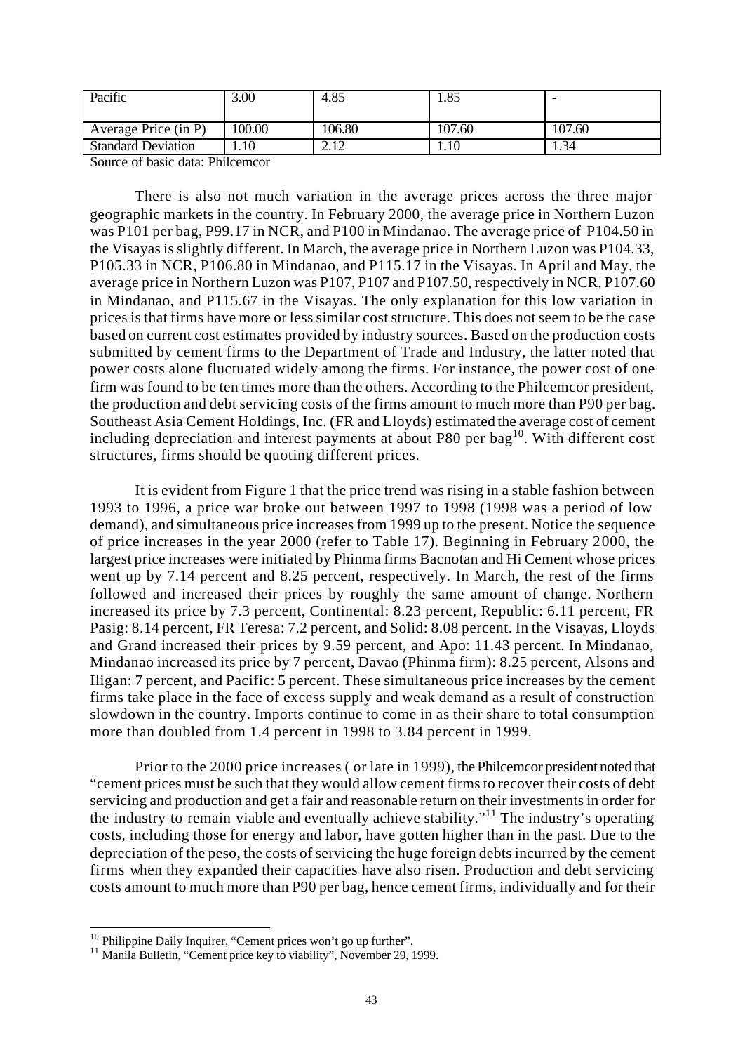| Pacific                   | 5.00 <sub>1</sub> | 4.85   | 1.85   |        |
|---------------------------|-------------------|--------|--------|--------|
| Average Price (in P)      | 100.00            | 106.80 | 107.60 | 107.60 |
| <b>Standard Deviation</b> | 1.10              | 2. I 2 | 1.10   | 1.34   |

Source of basic data: Philcemcor

There is also not much variation in the average prices across the three major geographic markets in the country. In February 2000, the average price in Northern Luzon was P101 per bag, P99.17 in NCR, and P100 in Mindanao. The average price of P104.50 in the Visayas is slightly different. In March, the average price in Northern Luzon was P104.33, P105.33 in NCR, P106.80 in Mindanao, and P115.17 in the Visayas. In April and May, the average price in Northern Luzon was P107, P107 and P107.50, respectively in NCR, P107.60 in Mindanao, and P115.67 in the Visayas. The only explanation for this low variation in prices is that firms have more or less similar cost structure. This does not seem to be the case based on current cost estimates provided by industry sources. Based on the production costs submitted by cement firms to the Department of Trade and Industry, the latter noted that power costs alone fluctuated widely among the firms. For instance, the power cost of one firm was found to be ten times more than the others. According to the Philcemcor president, the production and debt servicing costs of the firms amount to much more than P90 per bag. Southeast Asia Cement Holdings, Inc. (FR and Lloyds) estimated the average cost of cement including depreciation and interest payments at about P80 per  $bag<sup>10</sup>$ . With different cost structures, firms should be quoting different prices.

It is evident from Figure 1 that the price trend was rising in a stable fashion between 1993 to 1996, a price war broke out between 1997 to 1998 (1998 was a period of low demand), and simultaneous price increases from 1999 up to the present. Notice the sequence of price increases in the year 2000 (refer to Table 17). Beginning in February 2000, the largest price increases were initiated by Phinma firms Bacnotan and Hi Cement whose prices went up by 7.14 percent and 8.25 percent, respectively. In March, the rest of the firms followed and increased their prices by roughly the same amount of change. Northern increased its price by 7.3 percent, Continental: 8.23 percent, Republic: 6.11 percent, FR Pasig: 8.14 percent, FR Teresa: 7.2 percent, and Solid: 8.08 percent. In the Visayas, Lloyds and Grand increased their prices by 9.59 percent, and Apo: 11.43 percent. In Mindanao, Mindanao increased its price by 7 percent, Davao (Phinma firm): 8.25 percent, Alsons and Iligan: 7 percent, and Pacific: 5 percent. These simultaneous price increases by the cement firms take place in the face of excess supply and weak demand as a result of construction slowdown in the country. Imports continue to come in as their share to total consumption more than doubled from 1.4 percent in 1998 to 3.84 percent in 1999.

Prior to the 2000 price increases ( or late in 1999), the Philcemcor president noted that "cement prices must be such that they would allow cement firms to recover their costs of debt servicing and production and get a fair and reasonable return on their investments in order for the industry to remain viable and eventually achieve stability."<sup>11</sup> The industry's operating costs, including those for energy and labor, have gotten higher than in the past. Due to the depreciation of the peso, the costs of servicing the huge foreign debts incurred by the cement firms when they expanded their capacities have also risen. Production and debt servicing costs amount to much more than P90 per bag, hence cement firms, individually and for their

l

 $10$  Philippine Daily Inquirer, "Cement prices won't go up further".

<sup>&</sup>lt;sup>11</sup> Manila Bulletin, "Cement price key to viability", November 29, 1999.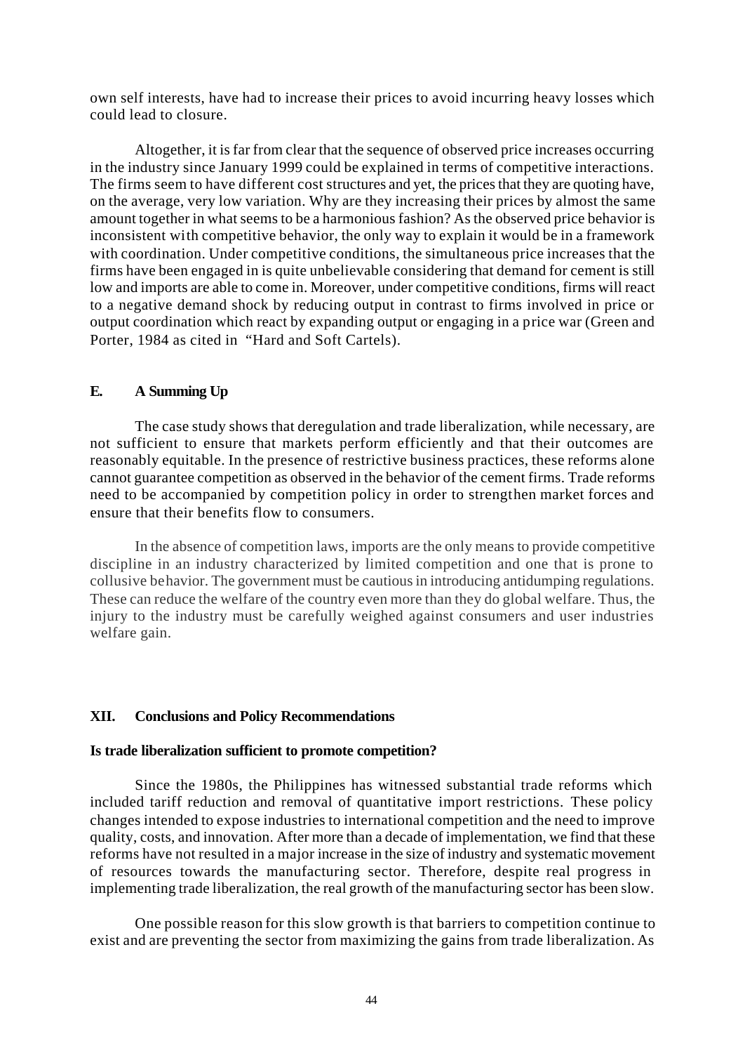own self interests, have had to increase their prices to avoid incurring heavy losses which could lead to closure.

Altogether, it is far from clear that the sequence of observed price increases occurring in the industry since January 1999 could be explained in terms of competitive interactions. The firms seem to have different cost structures and yet, the prices that they are quoting have, on the average, very low variation. Why are they increasing their prices by almost the same amount together in what seems to be a harmonious fashion? As the observed price behavior is inconsistent with competitive behavior, the only way to explain it would be in a framework with coordination. Under competitive conditions, the simultaneous price increases that the firms have been engaged in is quite unbelievable considering that demand for cement is still low and imports are able to come in. Moreover, under competitive conditions, firms will react to a negative demand shock by reducing output in contrast to firms involved in price or output coordination which react by expanding output or engaging in a price war (Green and Porter, 1984 as cited in "Hard and Soft Cartels).

## **E. A Summing Up**

The case study shows that deregulation and trade liberalization, while necessary, are not sufficient to ensure that markets perform efficiently and that their outcomes are reasonably equitable. In the presence of restrictive business practices, these reforms alone cannot guarantee competition as observed in the behavior of the cement firms. Trade reforms need to be accompanied by competition policy in order to strengthen market forces and ensure that their benefits flow to consumers.

In the absence of competition laws, imports are the only means to provide competitive discipline in an industry characterized by limited competition and one that is prone to collusive behavior. The government must be cautious in introducing antidumping regulations. These can reduce the welfare of the country even more than they do global welfare. Thus, the injury to the industry must be carefully weighed against consumers and user industries welfare gain.

#### **XII. Conclusions and Policy Recommendations**

#### **Is trade liberalization sufficient to promote competition?**

Since the 1980s, the Philippines has witnessed substantial trade reforms which included tariff reduction and removal of quantitative import restrictions. These policy changes intended to expose industries to international competition and the need to improve quality, costs, and innovation. After more than a decade of implementation, we find that these reforms have not resulted in a major increase in the size of industry and systematic movement of resources towards the manufacturing sector. Therefore, despite real progress in implementing trade liberalization, the real growth of the manufacturing sector has been slow.

One possible reason for this slow growth is that barriers to competition continue to exist and are preventing the sector from maximizing the gains from trade liberalization. As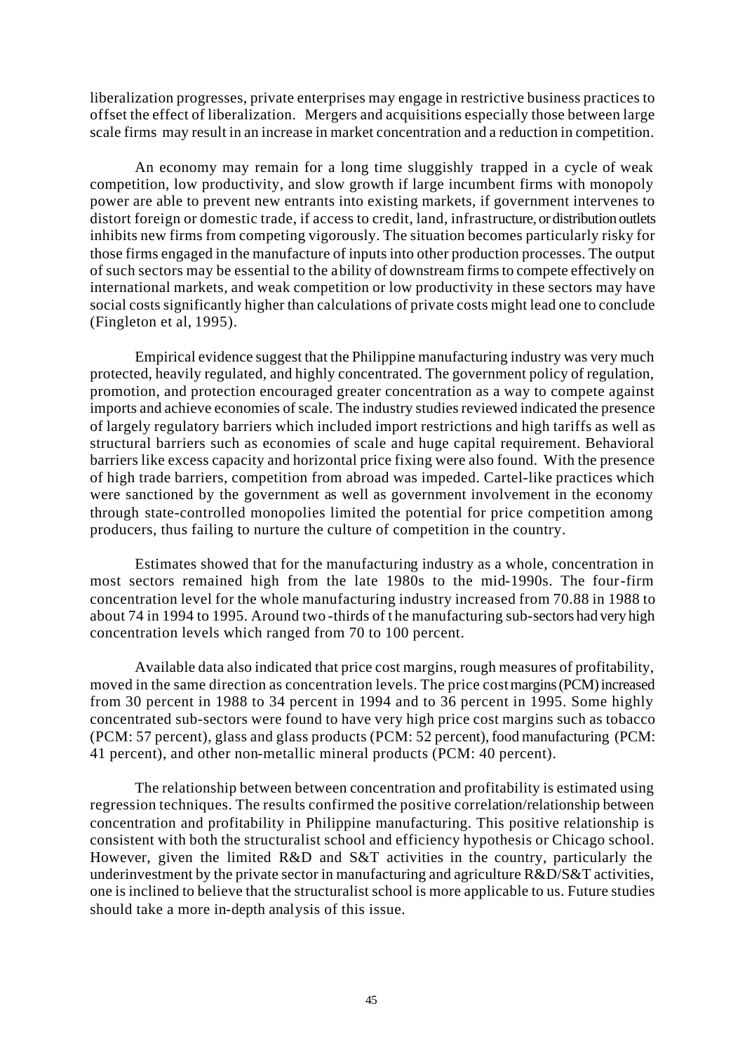liberalization progresses, private enterprises may engage in restrictive business practices to offset the effect of liberalization. Mergers and acquisitions especially those between large scale firms may result in an increase in market concentration and a reduction in competition.

An economy may remain for a long time sluggishly trapped in a cycle of weak competition, low productivity, and slow growth if large incumbent firms with monopoly power are able to prevent new entrants into existing markets, if government intervenes to distort foreign or domestic trade, if access to credit, land, infrastructure, or distribution outlets inhibits new firms from competing vigorously. The situation becomes particularly risky for those firms engaged in the manufacture of inputs into other production processes. The output of such sectors may be essential to the ability of downstream firms to compete effectively on international markets, and weak competition or low productivity in these sectors may have social costs significantly higher than calculations of private costs might lead one to conclude (Fingleton et al, 1995).

Empirical evidence suggest that the Philippine manufacturing industry was very much protected, heavily regulated, and highly concentrated. The government policy of regulation, promotion, and protection encouraged greater concentration as a way to compete against imports and achieve economies of scale. The industry studies reviewed indicated the presence of largely regulatory barriers which included import restrictions and high tariffs as well as structural barriers such as economies of scale and huge capital requirement. Behavioral barriers like excess capacity and horizontal price fixing were also found. With the presence of high trade barriers, competition from abroad was impeded. Cartel-like practices which were sanctioned by the government as well as government involvement in the economy through state-controlled monopolies limited the potential for price competition among producers, thus failing to nurture the culture of competition in the country.

Estimates showed that for the manufacturing industry as a whole, concentration in most sectors remained high from the late 1980s to the mid-1990s. The four-firm concentration level for the whole manufacturing industry increased from 70.88 in 1988 to about 74 in 1994 to 1995. Around two -thirds of t he manufacturing sub-sectors had very high concentration levels which ranged from 70 to 100 percent.

Available data also indicated that price cost margins, rough measures of profitability, moved in the same direction as concentration levels. The price cost margins (PCM) increased from 30 percent in 1988 to 34 percent in 1994 and to 36 percent in 1995. Some highly concentrated sub-sectors were found to have very high price cost margins such as tobacco (PCM: 57 percent), glass and glass products (PCM: 52 percent), food manufacturing (PCM: 41 percent), and other non-metallic mineral products (PCM: 40 percent).

The relationship between between concentration and profitability is estimated using regression techniques. The results confirmed the positive correlation/relationship between concentration and profitability in Philippine manufacturing. This positive relationship is consistent with both the structuralist school and efficiency hypothesis or Chicago school. However, given the limited R&D and S&T activities in the country, particularly the underinvestment by the private sector in manufacturing and agriculture R&D/S&T activities, one is inclined to believe that the structuralist school is more applicable to us. Future studies should take a more in-depth analysis of this issue.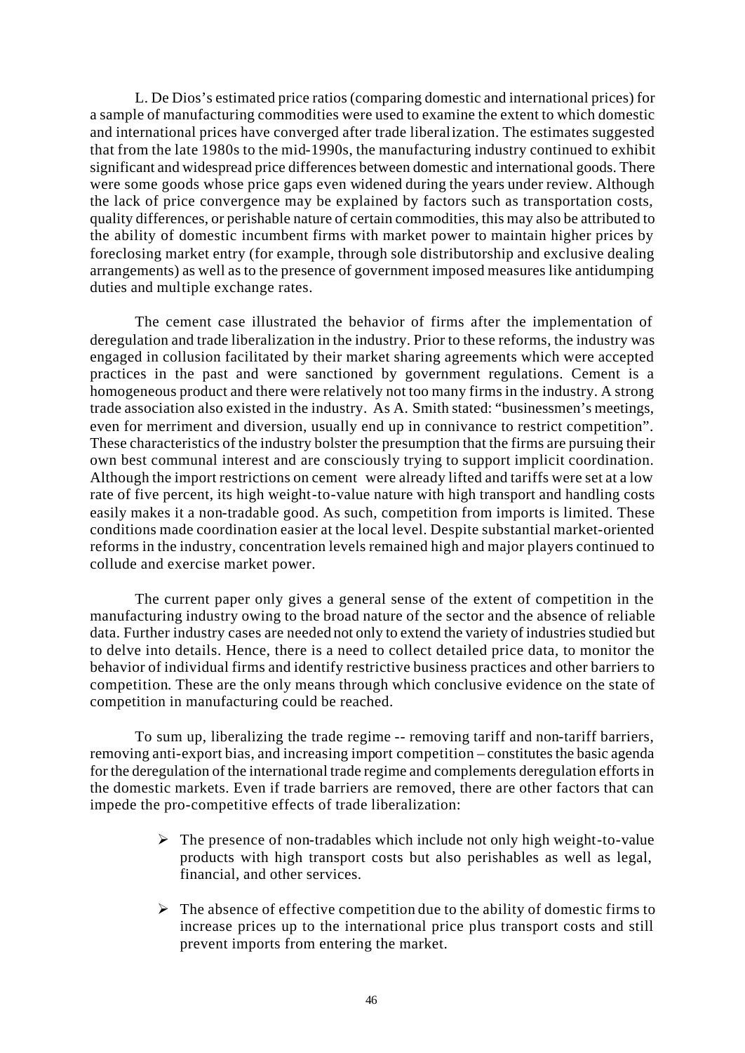L. De Dios's estimated price ratios (comparing domestic and international prices) for a sample of manufacturing commodities were used to examine the extent to which domestic and international prices have converged after trade liberalization. The estimates suggested that from the late 1980s to the mid-1990s, the manufacturing industry continued to exhibit significant and widespread price differences between domestic and international goods. There were some goods whose price gaps even widened during the years under review. Although the lack of price convergence may be explained by factors such as transportation costs, quality differences, or perishable nature of certain commodities, this may also be attributed to the ability of domestic incumbent firms with market power to maintain higher prices by foreclosing market entry (for example, through sole distributorship and exclusive dealing arrangements) as well as to the presence of government imposed measures like antidumping duties and multiple exchange rates.

The cement case illustrated the behavior of firms after the implementation of deregulation and trade liberalization in the industry. Prior to these reforms, the industry was engaged in collusion facilitated by their market sharing agreements which were accepted practices in the past and were sanctioned by government regulations. Cement is a homogeneous product and there were relatively not too many firms in the industry. A strong trade association also existed in the industry. As A. Smith stated: "businessmen's meetings, even for merriment and diversion, usually end up in connivance to restrict competition". These characteristics of the industry bolster the presumption that the firms are pursuing their own best communal interest and are consciously trying to support implicit coordination. Although the import restrictions on cement were already lifted and tariffs were set at a low rate of five percent, its high weight-to-value nature with high transport and handling costs easily makes it a non-tradable good. As such, competition from imports is limited. These conditions made coordination easier at the local level. Despite substantial market-oriented reforms in the industry, concentration levels remained high and major players continued to collude and exercise market power.

The current paper only gives a general sense of the extent of competition in the manufacturing industry owing to the broad nature of the sector and the absence of reliable data. Further industry cases are needed not only to extend the variety of industries studied but to delve into details. Hence, there is a need to collect detailed price data, to monitor the behavior of individual firms and identify restrictive business practices and other barriers to competition. These are the only means through which conclusive evidence on the state of competition in manufacturing could be reached.

To sum up, liberalizing the trade regime -- removing tariff and non-tariff barriers, removing anti-export bias, and increasing import competition – constitutes the basic agenda for the deregulation of the international trade regime and complements deregulation efforts in the domestic markets. Even if trade barriers are removed, there are other factors that can impede the pro-competitive effects of trade liberalization:

- $\triangleright$  The presence of non-tradables which include not only high weight-to-value products with high transport costs but also perishables as well as legal, financial, and other services.
- $\triangleright$  The absence of effective competition due to the ability of domestic firms to increase prices up to the international price plus transport costs and still prevent imports from entering the market.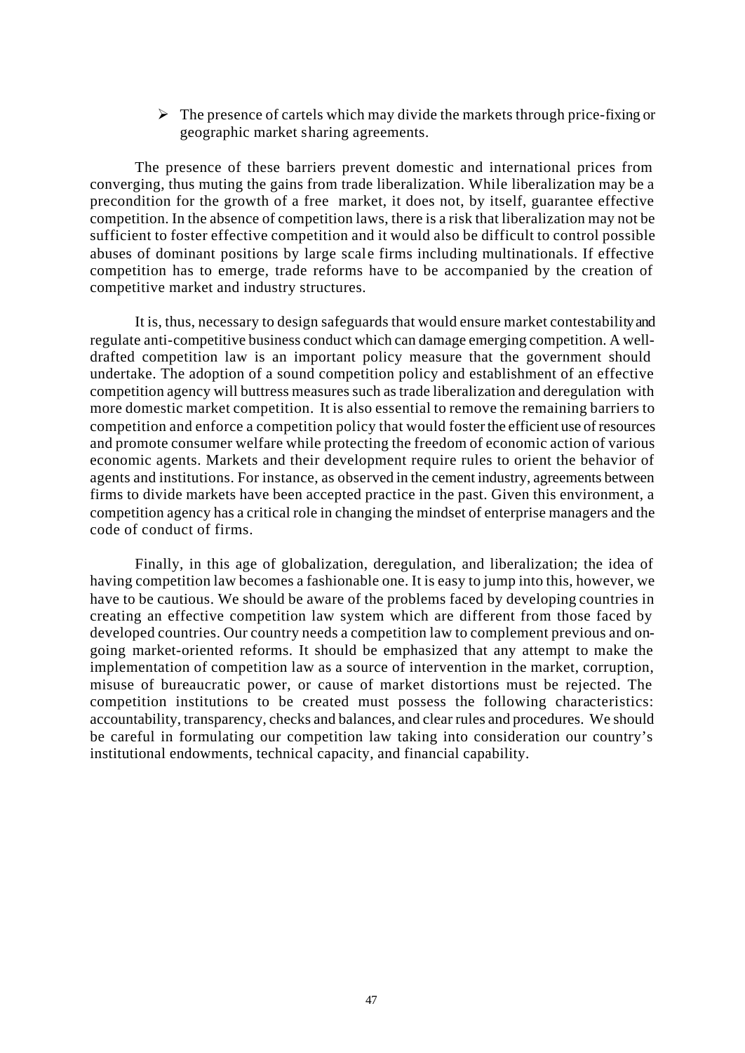$\triangleright$  The presence of cartels which may divide the markets through price-fixing or geographic market sharing agreements.

The presence of these barriers prevent domestic and international prices from converging, thus muting the gains from trade liberalization. While liberalization may be a precondition for the growth of a free market, it does not, by itself, guarantee effective competition. In the absence of competition laws, there is a risk that liberalization may not be sufficient to foster effective competition and it would also be difficult to control possible abuses of dominant positions by large scale firms including multinationals. If effective competition has to emerge, trade reforms have to be accompanied by the creation of competitive market and industry structures.

It is, thus, necessary to design safeguards that would ensure market contestability and regulate anti-competitive business conduct which can damage emerging competition. A welldrafted competition law is an important policy measure that the government should undertake. The adoption of a sound competition policy and establishment of an effective competition agency will buttress measures such as trade liberalization and deregulation with more domestic market competition. It is also essential to remove the remaining barriers to competition and enforce a competition policy that would foster the efficient use of resources and promote consumer welfare while protecting the freedom of economic action of various economic agents. Markets and their development require rules to orient the behavior of agents and institutions. For instance, as observed in the cement industry, agreements between firms to divide markets have been accepted practice in the past. Given this environment, a competition agency has a critical role in changing the mindset of enterprise managers and the code of conduct of firms.

Finally, in this age of globalization, deregulation, and liberalization; the idea of having competition law becomes a fashionable one. It is easy to jump into this, however, we have to be cautious. We should be aware of the problems faced by developing countries in creating an effective competition law system which are different from those faced by developed countries. Our country needs a competition law to complement previous and ongoing market-oriented reforms. It should be emphasized that any attempt to make the implementation of competition law as a source of intervention in the market, corruption, misuse of bureaucratic power, or cause of market distortions must be rejected. The competition institutions to be created must possess the following characteristics: accountability, transparency, checks and balances, and clear rules and procedures. We should be careful in formulating our competition law taking into consideration our country's institutional endowments, technical capacity, and financial capability.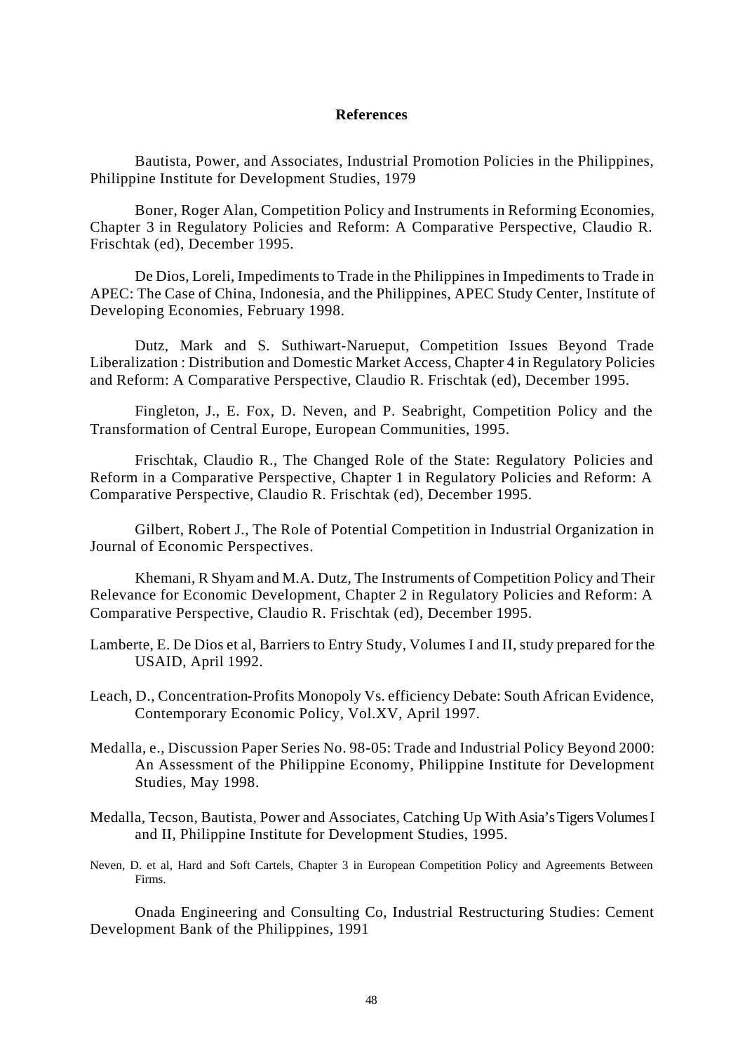#### **References**

Bautista, Power, and Associates, Industrial Promotion Policies in the Philippines, Philippine Institute for Development Studies, 1979

Boner, Roger Alan, Competition Policy and Instruments in Reforming Economies, Chapter 3 in Regulatory Policies and Reform: A Comparative Perspective, Claudio R. Frischtak (ed), December 1995.

De Dios, Loreli, Impediments to Trade in the Philippines in Impediments to Trade in APEC: The Case of China, Indonesia, and the Philippines, APEC Study Center, Institute of Developing Economies, February 1998.

Dutz, Mark and S. Suthiwart-Narueput, Competition Issues Beyond Trade Liberalization : Distribution and Domestic Market Access, Chapter 4 in Regulatory Policies and Reform: A Comparative Perspective, Claudio R. Frischtak (ed), December 1995.

Fingleton, J., E. Fox, D. Neven, and P. Seabright, Competition Policy and the Transformation of Central Europe, European Communities, 1995.

Frischtak, Claudio R., The Changed Role of the State: Regulatory Policies and Reform in a Comparative Perspective, Chapter 1 in Regulatory Policies and Reform: A Comparative Perspective, Claudio R. Frischtak (ed), December 1995.

Gilbert, Robert J., The Role of Potential Competition in Industrial Organization in Journal of Economic Perspectives.

Khemani, R Shyam and M.A. Dutz, The Instruments of Competition Policy and Their Relevance for Economic Development, Chapter 2 in Regulatory Policies and Reform: A Comparative Perspective, Claudio R. Frischtak (ed), December 1995.

- Lamberte, E. De Dios et al, Barriers to Entry Study, Volumes I and II, study prepared for the USAID, April 1992.
- Leach, D., Concentration-Profits Monopoly Vs. efficiency Debate: South African Evidence, Contemporary Economic Policy, Vol.XV, April 1997.
- Medalla, e., Discussion Paper Series No. 98-05: Trade and Industrial Policy Beyond 2000: An Assessment of the Philippine Economy, Philippine Institute for Development Studies, May 1998.
- Medalla, Tecson, Bautista, Power and Associates, Catching Up With Asia's Tigers Volumes I and II, Philippine Institute for Development Studies, 1995.
- Neven, D. et al, Hard and Soft Cartels, Chapter 3 in European Competition Policy and Agreements Between Firms.

Onada Engineering and Consulting Co, Industrial Restructuring Studies: Cement Development Bank of the Philippines, 1991